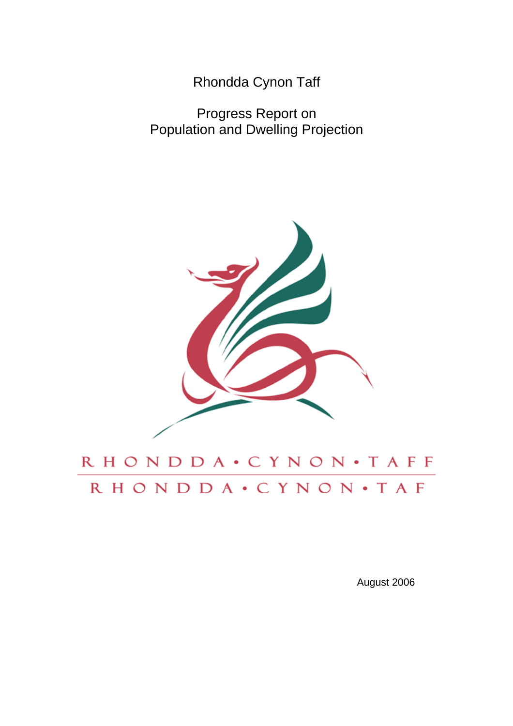Rhondda Cynon Taff

Progress Report on Population and Dwelling Projection



# RHONDDA · CYNON · TAFF RHONDDA · CYNON · TAF

August 2006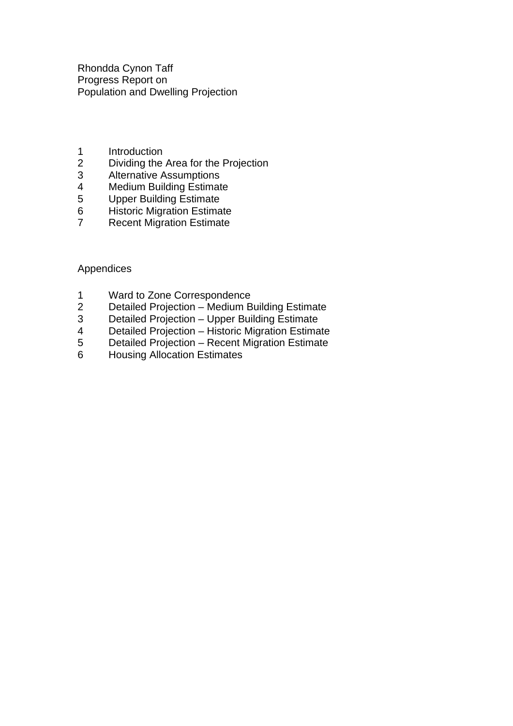Rhondda Cynon Taff Progress Report on Population and Dwelling Projection

- 1 Introduction
- 2 Dividing the Area for the Projection<br>3 Alternative Assumptions
- 3 Alternative Assumptions<br>4 Medium Building Estimat
- 4 Medium Building Estimate<br>5 Upper Building Estimate
- 
- 5 Upper Building Estimate<br>6 Historic Migration Estima
- 6 Historic Migration Estimate<br>7 Recent Migration Estimate **Recent Migration Estimate**

Appendices

- 1 Ward to Zone Correspondence<br>2 Detailed Projection Medium B
- 2 Detailed Projection Medium Building Estimate<br>3 Detailed Projection Upper Building Estimate
- 3 Detailed Projection Upper Building Estimate
- 4 Detailed Projection Historic Migration Estimate
- 5 Detailed Projection Recent Migration Estimate
- 6 Housing Allocation Estimates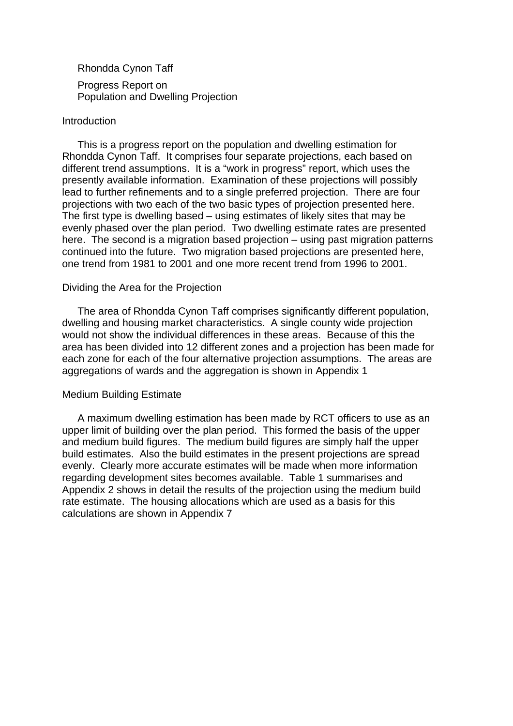Rhondda Cynon Taff Progress Report on Population and Dwelling Projection

#### Introduction

 This is a progress report on the population and dwelling estimation for Rhondda Cynon Taff. It comprises four separate projections, each based on different trend assumptions. It is a "work in progress" report, which uses the presently available information. Examination of these projections will possibly lead to further refinements and to a single preferred projection. There are four projections with two each of the two basic types of projection presented here. The first type is dwelling based – using estimates of likely sites that may be evenly phased over the plan period. Two dwelling estimate rates are presented here. The second is a migration based projection – using past migration patterns continued into the future. Two migration based projections are presented here, one trend from 1981 to 2001 and one more recent trend from 1996 to 2001.

#### Dividing the Area for the Projection

 The area of Rhondda Cynon Taff comprises significantly different population, dwelling and housing market characteristics. A single county wide projection would not show the individual differences in these areas. Because of this the area has been divided into 12 different zones and a projection has been made for each zone for each of the four alternative projection assumptions. The areas are aggregations of wards and the aggregation is shown in Appendix 1

#### Medium Building Estimate

 A maximum dwelling estimation has been made by RCT officers to use as an upper limit of building over the plan period. This formed the basis of the upper and medium build figures. The medium build figures are simply half the upper build estimates. Also the build estimates in the present projections are spread evenly. Clearly more accurate estimates will be made when more information regarding development sites becomes available. Table 1 summarises and Appendix 2 shows in detail the results of the projection using the medium build rate estimate. The housing allocations which are used as a basis for this calculations are shown in Appendix 7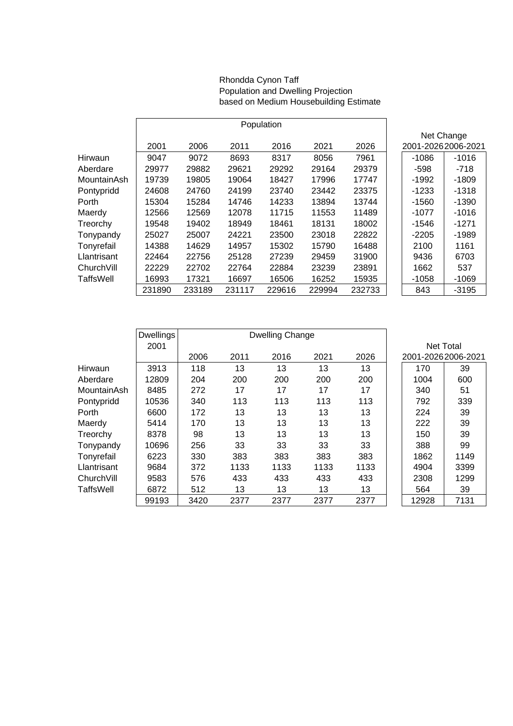#### Rhondda Cynon Taff Population and Dwelling Projection based on Medium Housebuilding Estimate

|             |        |        |        | Population |        |        |                    |         |
|-------------|--------|--------|--------|------------|--------|--------|--------------------|---------|
|             |        |        |        |            |        |        | Net Change         |         |
|             | 2001   | 2006   | 2011   | 2016       | 2021   | 2026   | 2001-20262006-2021 |         |
| Hirwaun     | 9047   | 9072   | 8693   | 8317       | 8056   | 7961   | $-1086$            | $-1016$ |
| Aberdare    | 29977  | 29882  | 29621  | 29292      | 29164  | 29379  | -598               | -718    |
| MountainAsh | 19739  | 19805  | 19064  | 18427      | 17996  | 17747  | $-1992$            | $-1809$ |
| Pontypridd  | 24608  | 24760  | 24199  | 23740      | 23442  | 23375  | $-1233$            | $-1318$ |
| Porth       | 15304  | 15284  | 14746  | 14233      | 13894  | 13744  | $-1560$            | $-1390$ |
| Maerdy      | 12566  | 12569  | 12078  | 11715      | 11553  | 11489  | $-1077$            | $-1016$ |
| Treorchy    | 19548  | 19402  | 18949  | 18461      | 18131  | 18002  | $-1546$            | $-1271$ |
| Tonypandy   | 25027  | 25007  | 24221  | 23500      | 23018  | 22822  | $-2205$            | $-1989$ |
| Tonyrefail  | 14388  | 14629  | 14957  | 15302      | 15790  | 16488  | 2100               | 1161    |
| Llantrisant | 22464  | 22756  | 25128  | 27239      | 29459  | 31900  | 9436               | 6703    |
| ChurchVill  | 22229  | 22702  | 22764  | 22884      | 23239  | 23891  | 1662               | 537     |
| TaffsWell   | 16993  | 17321  | 16697  | 16506      | 16252  | 15935  | $-1058$            | $-1069$ |
|             | 231890 | 233189 | 231117 | 229616     | 229994 | 232733 | 843                | $-3195$ |

|             | <b>Dwellings</b> |      | Dwelling Change |      |      |      |                    |      |
|-------------|------------------|------|-----------------|------|------|------|--------------------|------|
|             | 2001             |      |                 |      |      |      | Net Total          |      |
|             |                  | 2006 | 2011            | 2016 | 2021 | 2026 | 2001-20262006-2021 |      |
| Hirwaun     | 3913             | 118  | 13              | 13   | 13   | 13   | 170                | 39   |
| Aberdare    | 12809            | 204  | 200             | 200  | 200  | 200  | 1004               | 600  |
| MountainAsh | 8485             | 272  | 17              | 17   | 17   | 17   | 340                | 51   |
| Pontypridd  | 10536            | 340  | 113             | 113  | 113  | 113  | 792                | 339  |
| Porth       | 6600             | 172  | 13              | 13   | 13   | 13   | 224                | 39   |
| Maerdy      | 5414             | 170  | 13              | 13   | 13   | 13   | 222                | 39   |
| Treorchy    | 8378             | 98   | 13              | 13   | 13   | 13   | 150                | 39   |
| Tonypandy   | 10696            | 256  | 33              | 33   | 33   | 33   | 388                | 99   |
| Tonyrefail  | 6223             | 330  | 383             | 383  | 383  | 383  | 1862               | 1149 |
| Llantrisant | 9684             | 372  | 1133            | 1133 | 1133 | 1133 | 4904               | 3399 |
| ChurchVill  | 9583             | 576  | 433             | 433  | 433  | 433  | 2308               | 1299 |
| TaffsWell   | 6872             | 512  | 13              | 13   | 13   | 13   | 564                | 39   |
|             | 99193            | 3420 | 2377            | 2377 | 2377 | 2377 | 12928              | 7131 |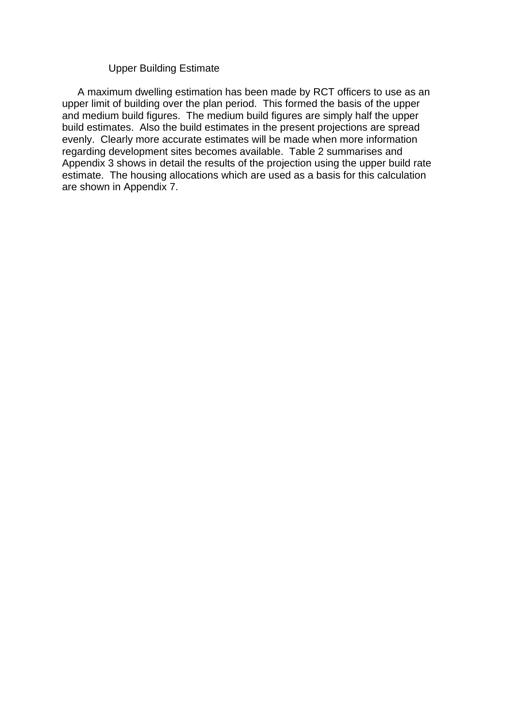#### Upper Building Estimate

 A maximum dwelling estimation has been made by RCT officers to use as an upper limit of building over the plan period. This formed the basis of the upper and medium build figures. The medium build figures are simply half the upper build estimates. Also the build estimates in the present projections are spread evenly. Clearly more accurate estimates will be made when more information regarding development sites becomes available. Table 2 summarises and Appendix 3 shows in detail the results of the projection using the upper build rate estimate. The housing allocations which are used as a basis for this calculation are shown in Appendix 7.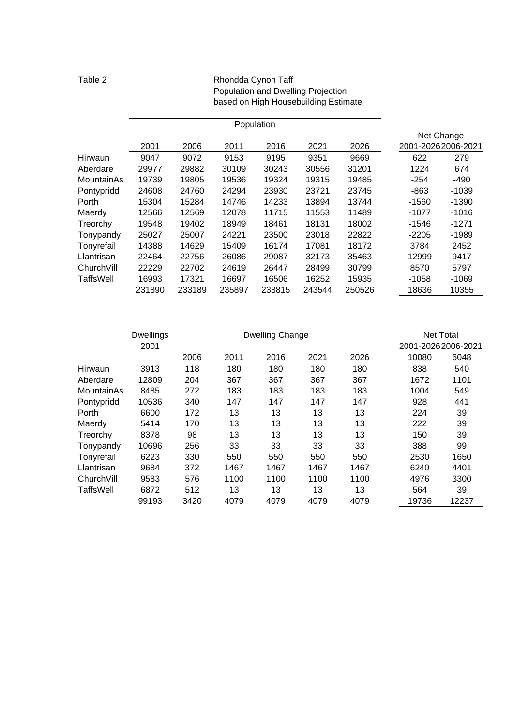#### Table 2 Rhondda Cynon Taff Population and Dwelling Projection based on High Housebuilding Estimate

|                  |        |        |        | Population |        |        |                    |         |
|------------------|--------|--------|--------|------------|--------|--------|--------------------|---------|
|                  |        |        |        |            |        |        | Net Change         |         |
|                  | 2001   | 2006   | 2011   | 2016       | 2021   | 2026   | 2001-20262006-2021 |         |
| Hirwaun          | 9047   | 9072   | 9153   | 9195       | 9351   | 9669   | 622                | 279     |
| Aberdare         | 29977  | 29882  | 30109  | 30243      | 30556  | 31201  | 1224               | 674     |
| MountainAs       | 19739  | 19805  | 19536  | 19324      | 19315  | 19485  | $-254$             | $-490$  |
| Pontypridd       | 24608  | 24760  | 24294  | 23930      | 23721  | 23745  | -863               | $-1039$ |
| Porth            | 15304  | 15284  | 14746  | 14233      | 13894  | 13744  | $-1560$            | $-1390$ |
| Maerdy           | 12566  | 12569  | 12078  | 11715      | 11553  | 11489  | $-1077$            | $-1016$ |
| Treorchy         | 19548  | 19402  | 18949  | 18461      | 18131  | 18002  | $-1546$            | $-1271$ |
| Tonypandy        | 25027  | 25007  | 24221  | 23500      | 23018  | 22822  | $-2205$            | $-1989$ |
| Tonyrefail       | 14388  | 14629  | 15409  | 16174      | 17081  | 18172  | 3784               | 2452    |
| Llantrisan       | 22464  | 22756  | 26086  | 29087      | 32173  | 35463  | 12999              | 9417    |
| ChurchVill       | 22229  | 22702  | 24619  | 26447      | 28499  | 30799  | 8570               | 5797    |
| <b>TaffsWell</b> | 16993  | 17321  | 16697  | 16506      | 16252  | 15935  | $-1058$            | $-1069$ |
|                  | 231890 | 233189 | 235897 | 238815     | 243544 | 250526 | 18636              | 10355   |

|            | <b>Dwellings</b> |      |      | <b>Dwelling Change</b> |      |      | Net Total          |       |
|------------|------------------|------|------|------------------------|------|------|--------------------|-------|
|            | 2001             |      |      |                        |      |      | 2001-20262006-2021 |       |
|            |                  | 2006 | 2011 | 2016                   | 2021 | 2026 | 10080              | 6048  |
| Hirwaun    | 3913             | 118  | 180  | 180                    | 180  | 180  | 838                | 540   |
| Aberdare   | 12809            | 204  | 367  | 367                    | 367  | 367  | 1672               | 1101  |
| MountainAs | 8485             | 272  | 183  | 183                    | 183  | 183  | 1004               | 549   |
| Pontypridd | 10536            | 340  | 147  | 147                    | 147  | 147  | 928                | 441   |
| Porth      | 6600             | 172  | 13   | 13                     | 13   | 13   | 224                | 39    |
| Maerdy     | 5414             | 170  | 13   | 13                     | 13   | 13   | 222                | 39    |
| Treorchy   | 8378             | 98   | 13   | 13                     | 13   | 13   | 150                | 39    |
| Tonypandy  | 10696            | 256  | 33   | 33                     | 33   | 33   | 388                | 99    |
| Tonyrefail | 6223             | 330  | 550  | 550                    | 550  | 550  | 2530               | 1650  |
| Llantrisan | 9684             | 372  | 1467 | 1467                   | 1467 | 1467 | 6240               | 4401  |
| ChurchVill | 9583             | 576  | 1100 | 1100                   | 1100 | 1100 | 4976               | 3300  |
| TaffsWell  | 6872             | 512  | 13   | 13                     | 13   | 13   | 564                | 39    |
|            | 99193            | 3420 | 4079 | 4079                   | 4079 | 4079 | 19736              | 12237 |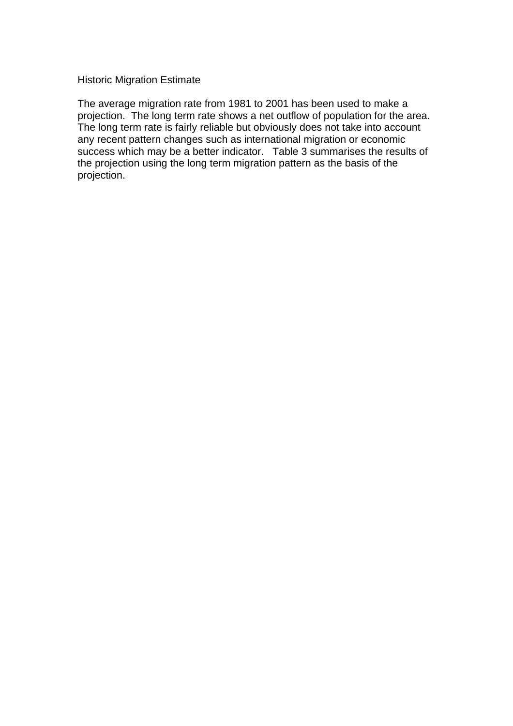#### Historic Migration Estimate

The average migration rate from 1981 to 2001 has been used to make a projection. The long term rate shows a net outflow of population for the area. The long term rate is fairly reliable but obviously does not take into account any recent pattern changes such as international migration or economic success which may be a better indicator. Table 3 summarises the results of the projection using the long term migration pattern as the basis of the projection.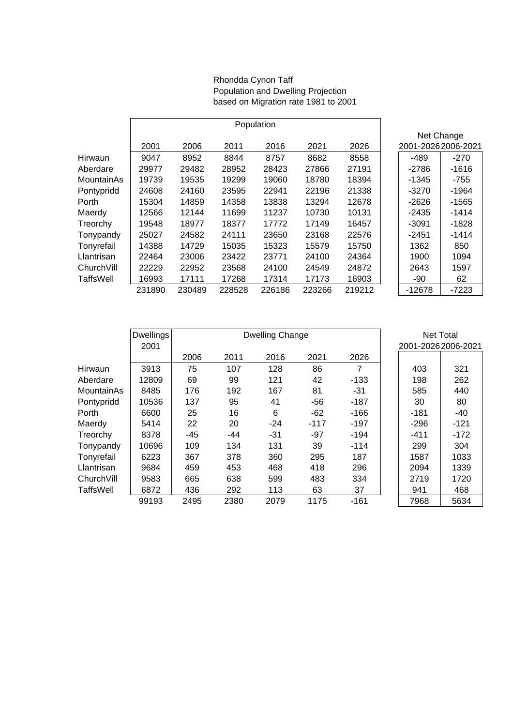#### Rhondda Cynon Taff Population and Dwelling Projection based on Migration rate 1981 to 2001

|            |        |        |        | Population |        |        |                    |            |
|------------|--------|--------|--------|------------|--------|--------|--------------------|------------|
|            |        |        |        |            |        |        |                    | Net Change |
|            | 2001   | 2006   | 2011   | 2016       | 2021   | 2026   | 2001-20262006-2021 |            |
| Hirwaun    | 9047   | 8952   | 8844   | 8757       | 8682   | 8558   | $-489$             | $-270$     |
| Aberdare   | 29977  | 29482  | 28952  | 28423      | 27866  | 27191  | $-2786$            | $-1616$    |
| MountainAs | 19739  | 19535  | 19299  | 19060      | 18780  | 18394  | -1345              | -755       |
| Pontypridd | 24608  | 24160  | 23595  | 22941      | 22196  | 21338  | -3270              | $-1964$    |
| Porth      | 15304  | 14859  | 14358  | 13838      | 13294  | 12678  | $-2626$            | $-1565$    |
| Maerdy     | 12566  | 12144  | 11699  | 11237      | 10730  | 10131  | $-2435$            | $-1414$    |
| Treorchy   | 19548  | 18977  | 18377  | 17772      | 17149  | 16457  | $-3091$            | $-1828$    |
| Tonypandy  | 25027  | 24582  | 24111  | 23650      | 23168  | 22576  | $-2451$            | $-1414$    |
| Tonyrefail | 14388  | 14729  | 15035  | 15323      | 15579  | 15750  | 1362               | 850        |
| Llantrisan | 22464  | 23006  | 23422  | 23771      | 24100  | 24364  | 1900               | 1094       |
| ChurchVill | 22229  | 22952  | 23568  | 24100      | 24549  | 24872  | 2643               | 1597       |
| TaffsWell  | 16993  | 17111  | 17268  | 17314      | 17173  | 16903  | -90                | 62         |
|            | 231890 | 230489 | 228528 | 226186     | 223266 | 219212 | $-12678$           | $-7223$    |

|            | <b>Dwellings</b> |       |       | Dwelling Change |        |        |                    | Net Total |
|------------|------------------|-------|-------|-----------------|--------|--------|--------------------|-----------|
|            | 2001             |       |       |                 |        |        | 2001-20262006-2021 |           |
|            |                  | 2006  | 2011  | 2016            | 2021   | 2026   |                    |           |
| Hirwaun    | 3913             | 75    | 107   | 128             | 86     | 7      | 403                | 321       |
| Aberdare   | 12809            | 69    | 99    | 121             | 42     | $-133$ | 198                | 262       |
| MountainAs | 8485             | 176   | 192   | 167             | 81     | -31    | 585                | 440       |
| Pontypridd | 10536            | 137   | 95    | 41              | $-56$  | $-187$ | 30                 | 80        |
| Porth      | 6600             | 25    | 16    | 6               | $-62$  | $-166$ | $-181$             | -40       |
| Maerdy     | 5414             | 22    | 20    | $-24$           | $-117$ | $-197$ | $-296$             | $-121$    |
| Treorchy   | 8378             | $-45$ | $-44$ | $-31$           | $-97$  | $-194$ | $-411$             | $-172$    |
| Tonypandy  | 10696            | 109   | 134   | 131             | 39     | $-114$ | 299                | 304       |
| Tonyrefail | 6223             | 367   | 378   | 360             | 295    | 187    | 1587               | 1033      |
| Llantrisan | 9684             | 459   | 453   | 468             | 418    | 296    | 2094               | 1339      |
| ChurchVill | 9583             | 665   | 638   | 599             | 483    | 334    | 2719               | 1720      |
| TaffsWell  | 6872             | 436   | 292   | 113             | 63     | 37     | 941                | 468       |
|            | 99193            | 2495  | 2380  | 2079            | 1175   | $-161$ | 7968               | 5634      |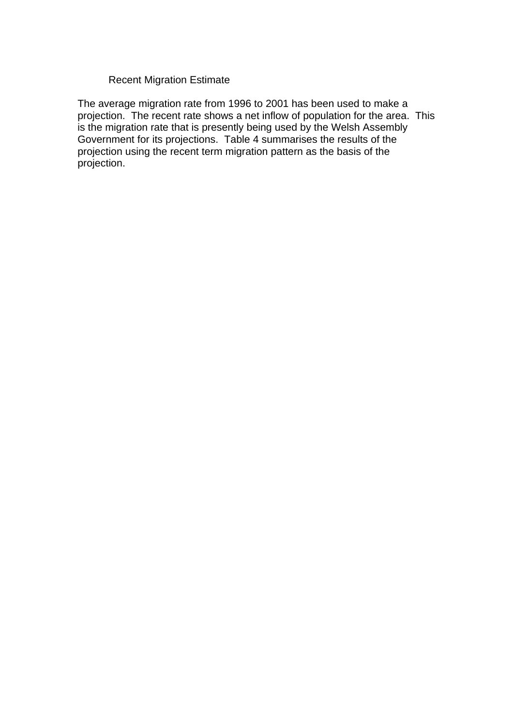#### Recent Migration Estimate

The average migration rate from 1996 to 2001 has been used to make a projection. The recent rate shows a net inflow of population for the area. This is the migration rate that is presently being used by the Welsh Assembly Government for its projections. Table 4 summarises the results of the projection using the recent term migration pattern as the basis of the projection.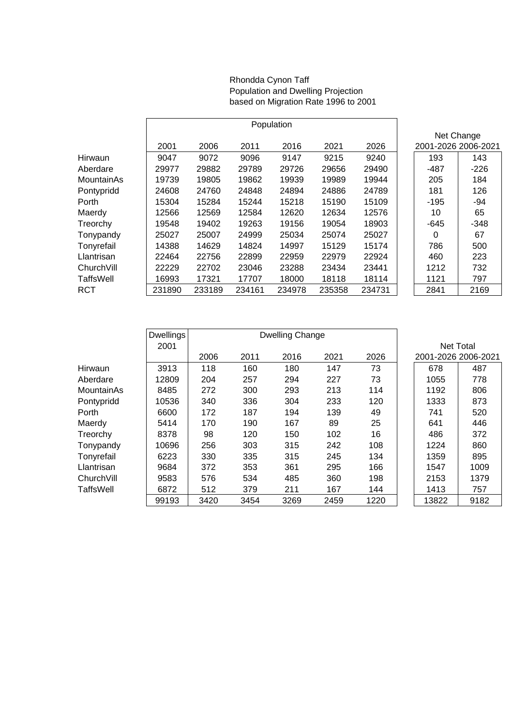#### Rhondda Cynon Taff Population and Dwelling Projection based on Migration Rate 1996 to 2001

|            |        |        |        | Population |        |        |                     |        |
|------------|--------|--------|--------|------------|--------|--------|---------------------|--------|
|            |        |        |        |            |        |        | Net Change          |        |
|            | 2001   | 2006   | 2011   | 2016       | 2021   | 2026   | 2001-2026 2006-2021 |        |
| Hirwaun    | 9047   | 9072   | 9096   | 9147       | 9215   | 9240   | 193                 | 143    |
| Aberdare   | 29977  | 29882  | 29789  | 29726      | 29656  | 29490  | $-487$              | $-226$ |
| MountainAs | 19739  | 19805  | 19862  | 19939      | 19989  | 19944  | 205                 | 184    |
| Pontypridd | 24608  | 24760  | 24848  | 24894      | 24886  | 24789  | 181                 | 126    |
| Porth      | 15304  | 15284  | 15244  | 15218      | 15190  | 15109  | $-195$              | -94    |
| Maerdy     | 12566  | 12569  | 12584  | 12620      | 12634  | 12576  | 10                  | 65     |
| Treorchy   | 19548  | 19402  | 19263  | 19156      | 19054  | 18903  | $-645$              | $-348$ |
| Tonypandy  | 25027  | 25007  | 24999  | 25034      | 25074  | 25027  | 0                   | 67     |
| Tonyrefail | 14388  | 14629  | 14824  | 14997      | 15129  | 15174  | 786                 | 500    |
| Llantrisan | 22464  | 22756  | 22899  | 22959      | 22979  | 22924  | 460                 | 223    |
| ChurchVill | 22229  | 22702  | 23046  | 23288      | 23434  | 23441  | 1212                | 732    |
| TaffsWell  | 16993  | 17321  | 17707  | 18000      | 18118  | 18114  | 1121                | 797    |
| RCT        | 231890 | 233189 | 234161 | 234978     | 235358 | 234731 | 2841                | 2169   |

|            | <b>Dwellings</b> |      | Dwelling Change |      |      |      |                  |                     |
|------------|------------------|------|-----------------|------|------|------|------------------|---------------------|
|            | 2001             |      |                 |      |      |      | <b>Net Total</b> |                     |
|            |                  | 2006 | 2011            | 2016 | 2021 | 2026 |                  | 2001-2026 2006-2021 |
| Hirwaun    | 3913             | 118  | 160             | 180  | 147  | 73   | 678              | 487                 |
| Aberdare   | 12809            | 204  | 257             | 294  | 227  | 73   | 1055             | 778                 |
| MountainAs | 8485             | 272  | 300             | 293  | 213  | 114  | 1192             | 806                 |
| Pontypridd | 10536            | 340  | 336             | 304  | 233  | 120  | 1333             | 873                 |
| Porth      | 6600             | 172  | 187             | 194  | 139  | 49   | 741              | 520                 |
| Maerdy     | 5414             | 170  | 190             | 167  | 89   | 25   | 641              | 446                 |
| Treorchy   | 8378             | 98   | 120             | 150  | 102  | 16   | 486              | 372                 |
| Tonypandy  | 10696            | 256  | 303             | 315  | 242  | 108  | 1224             | 860                 |
| Tonyrefail | 6223             | 330  | 335             | 315  | 245  | 134  | 1359             | 895                 |
| Llantrisan | 9684             | 372  | 353             | 361  | 295  | 166  | 1547             | 1009                |
| ChurchVill | 9583             | 576  | 534             | 485  | 360  | 198  | 2153             | 1379                |
| TaffsWell  | 6872             | 512  | 379             | 211  | 167  | 144  | 1413             | 757                 |
|            | 99193            | 3420 | 3454            | 3269 | 2459 | 1220 | 13822            | 9182                |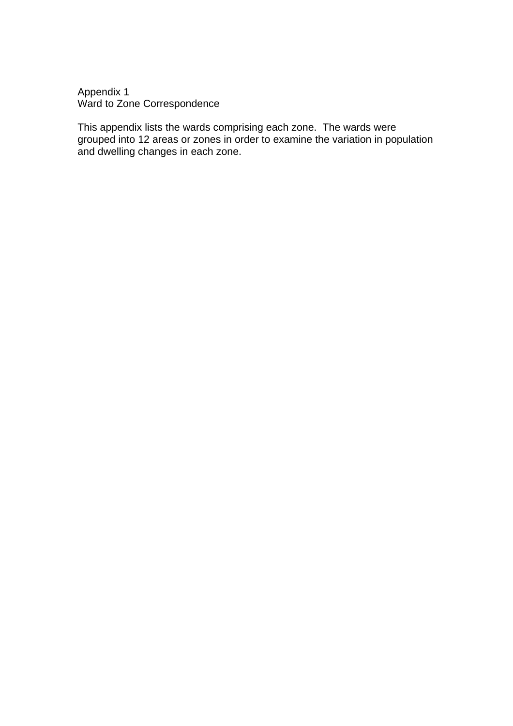Appendix 1 Ward to Zone Correspondence

This appendix lists the wards comprising each zone. The wards were grouped into 12 areas or zones in order to examine the variation in population and dwelling changes in each zone.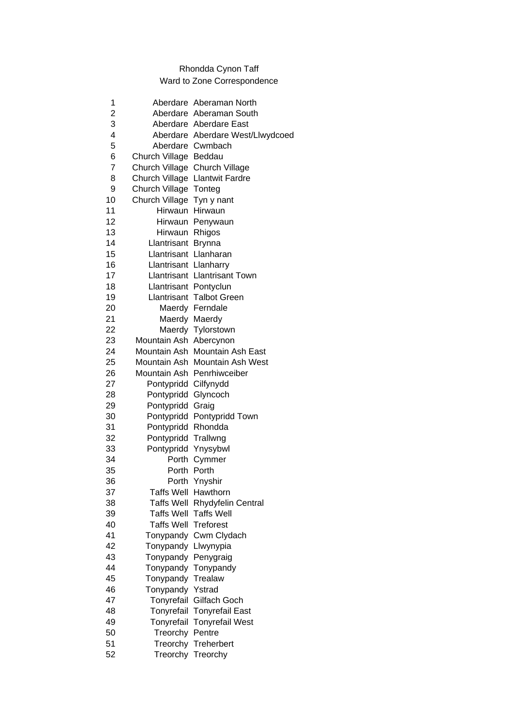### Rhondda Cynon Taff Ward to Zone Correspondence

| 1              |                               | Aberdare Aberaman North          |
|----------------|-------------------------------|----------------------------------|
| $\overline{c}$ |                               | Aberdare Aberaman South          |
| 3              |                               | Aberdare Aberdare East           |
| 4              |                               | Aberdare Aberdare West/Llwydcoed |
| 5              |                               | Aberdare Cwmbach                 |
| 6              | Church Village Beddau         |                                  |
| $\overline{7}$ | Church Village Church Village |                                  |
| 8              |                               | Church Village Llantwit Fardre   |
| 9              | Church Village Tonteg         |                                  |
| 10             | Church Village Tyn y nant     |                                  |
| 11             | Hirwaun Hirwaun               |                                  |
| 12             |                               | Hirwaun Penywaun                 |
| 13             | Hirwaun Rhigos                |                                  |
| 14             | Llantrisant Brynna            |                                  |
| 15             | Llantrisant Llanharan         |                                  |
| 16             | Llantrisant Llanharry         |                                  |
| 17             |                               | Llantrisant Llantrisant Town     |
| 18             | Llantrisant Pontyclun         |                                  |
| 19             |                               | <b>Llantrisant Talbot Green</b>  |
| 20             |                               | Maerdy Ferndale                  |
| 21             |                               | Maerdy Maerdy                    |
| 22             |                               | Maerdy Tylorstown                |
| 23             | Mountain Ash Abercynon        |                                  |
| 24             |                               | Mountain Ash Mountain Ash East   |
| 25             |                               | Mountain Ash Mountain Ash West   |
| 26             |                               | Mountain Ash Penrhiwceiber       |
| 27             | Pontypridd Cilfynydd          |                                  |
| 28             | Pontypridd                    | Glyncoch                         |
| 29             | Pontypridd                    | Graig                            |
| 30             |                               | Pontypridd Pontypridd Town       |
| 31             | Pontypridd Rhondda            |                                  |
| 32             | Pontypridd Trallwng           |                                  |
| 33             | Pontypridd Ynysybwl           |                                  |
| 34             | Porth                         | Cymmer                           |
| 35             |                               | Porth Porth                      |
| 36             |                               | Porth Ynyshir                    |
| 37             | Taffs Well Hawthorn           |                                  |
| 38             |                               | Taffs Well Rhydyfelin Central    |
| 39             |                               | <b>Taffs Well Taffs Well</b>     |
| 40             | <b>Taffs Well Treforest</b>   |                                  |
| 41             |                               | Tonypandy Cwm Clydach            |
| 42             | Tonypandy                     | Llwynypia                        |
| 43             | Tonypandy                     | Penygraig                        |
| 44             | Tonypandy                     | Tonypandy                        |
| 45             | Tonypandy                     | Trealaw                          |
| 46             | Tonypandy                     | Ystrad                           |
| 47             | Tonyrefail                    | Gilfach Goch                     |
| 48             |                               | Tonyrefail Tonyrefail East       |
| 49             |                               | Tonyrefail Tonyrefail West       |
| 50             | Treorchy Pentre               |                                  |
| 51             |                               | Treorchy Treherbert              |
| 52             |                               | Treorchy Treorchy                |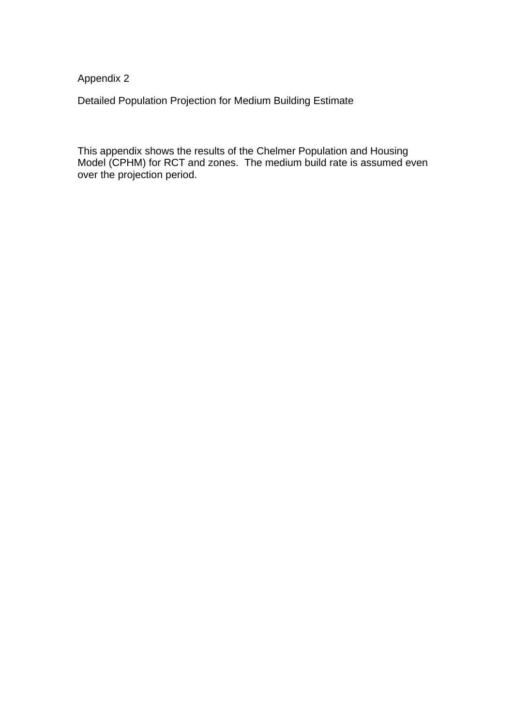Appendix 2

Detailed Population Projection for Medium Building Estimate

This appendix shows the results of the Chelmer Population and Housing Model (CPHM) for RCT and zones. The medium build rate is assumed even over the projection period.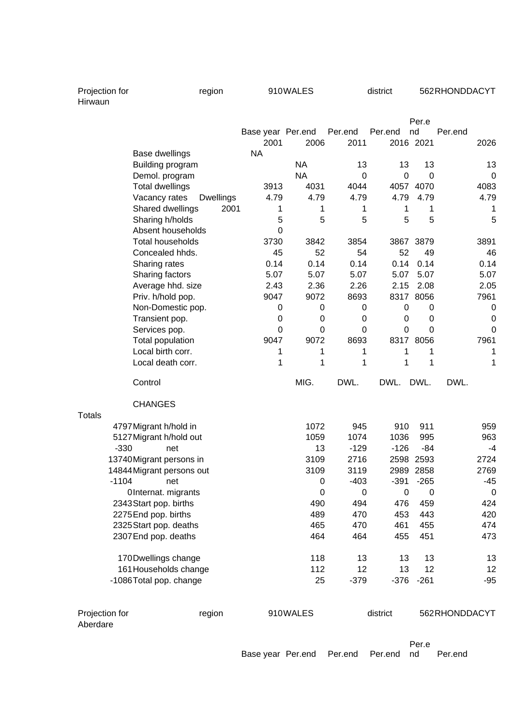| Projection for |  |
|----------------|--|
| Hirwaun        |  |

|               |                                                  | Base year Per.end |             | Per.end          | Per.end      | Per.e<br>nd  | Per.end     |
|---------------|--------------------------------------------------|-------------------|-------------|------------------|--------------|--------------|-------------|
|               |                                                  | 2001              | 2006        | 2011             |              | 2016 2021    | 2026        |
|               | Base dwellings                                   | <b>NA</b>         |             |                  |              |              |             |
|               | Building program                                 |                   | <b>NA</b>   | 13               | 13           | 13           | 13          |
|               | Demol. program                                   |                   | <b>NA</b>   | $\mathbf 0$      | $\mathbf 0$  | $\mathbf 0$  | $\mathbf 0$ |
|               | <b>Total dwellings</b>                           | 3913              | 4031        | 4044             |              | 4057 4070    | 4083        |
|               | Vacancy rates<br><b>Dwellings</b>                | 4.79              | 4.79        | 4.79             | 4.79         | 4.79         | 4.79        |
|               | Shared dwellings<br>2001                         | 1                 | 1           | 1                | 1            | 1            | 1           |
|               | Sharing h/holds                                  | 5                 | 5           | 5                | 5            | 5            | 5           |
|               | Absent households                                | 0                 |             |                  |              |              |             |
|               | <b>Total households</b>                          | 3730              | 3842        | 3854             |              | 3867 3879    | 3891        |
|               | Concealed hhds.                                  | 45                | 52          | 54               | 52           | 49           | 46          |
|               | Sharing rates                                    | 0.14              | 0.14        | 0.14             | 0.14         | 0.14         | 0.14        |
|               | Sharing factors                                  | 5.07              | 5.07        | 5.07             | 5.07         | 5.07         | 5.07        |
|               | Average hhd. size                                | 2.43              | 2.36        | 2.26             | 2.15         | 2.08         | 2.05        |
|               | Priv. h/hold pop.                                | 9047              | 9072        | 8693             |              | 8317 8056    | 7961        |
|               | Non-Domestic pop.                                | 0                 | $\mathbf 0$ | 0                | $\mathbf 0$  | 0            | $\mathbf 0$ |
|               | Transient pop.                                   | $\mathbf 0$       | $\mathbf 0$ | 0                | 0            | 0            | $\mathbf 0$ |
|               | Services pop.                                    | 0                 | $\Omega$    | $\Omega$         | 0            | $\Omega$     | 0           |
|               | Total population                                 | 9047              | 9072        | 8693             |              | 8317 8056    | 7961        |
|               | Local birth corr.                                | 1                 | 1           | 1                | 1            | 1            | 1           |
|               | Local death corr.                                | 1                 | 1           | 1                | 1            | 1            | 1           |
|               | Control                                          |                   | MIG.        | DWL.             | DWL.         | DWL.         | DWL.        |
|               | <b>CHANGES</b>                                   |                   |             |                  |              |              |             |
| <b>Totals</b> |                                                  |                   |             |                  |              |              |             |
|               | 4797 Migrant h/hold in                           |                   | 1072        | 945              | 910          | 911          | 959         |
|               | 5127 Migrant h/hold out<br>$-330$                |                   | 1059        | 1074             | 1036         | 995<br>$-84$ | 963<br>$-4$ |
|               | net                                              |                   | 13<br>3109  | $-129$           | $-126$       |              |             |
|               | 13740 Migrant persons in                         |                   |             |                  |              |              |             |
|               |                                                  |                   |             | 2716             |              | 2598 2593    | 2724        |
|               | 14844 Migrant persons out                        |                   | 3109        | 3119             |              | 2989 2858    | 2769        |
|               | $-1104$<br>net                                   |                   | 0           | $-403$           | $-391$       | $-265$       | $-45$       |
|               | OInternat. migrants                              |                   | 0           | $\boldsymbol{0}$ | $\mathbf 0$  | 0            | $\mathbf 0$ |
|               | 2343 Start pop. births                           |                   | 490         | 494              | 476          | 459          | 424         |
|               | 2275 End pop. births                             |                   | 489         | 470              | 453          | 443          | 420         |
|               | 2325 Start pop. deaths<br>2307 End pop. deaths   |                   | 465<br>464  | 470<br>464       | 461<br>455   | 455<br>451   | 474<br>473  |
|               |                                                  |                   |             |                  |              |              |             |
|               | 170 Dwellings change                             |                   | 118         | 13               | 13           | 13           | 13          |
|               | 161 Households change<br>-1086 Total pop. change |                   | 112<br>25   | 12<br>$-379$     | 13<br>$-376$ | 12<br>$-261$ | 12<br>$-95$ |
|               |                                                  |                   |             |                  |              |              |             |

region 910WALES district 562RHONDDACYT

Base year Per.end Per.end Per.end nd Per.end

Per.e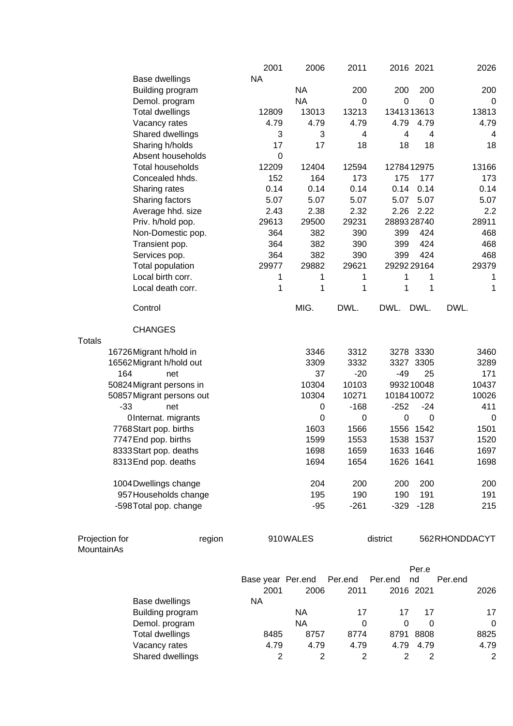|                              |                           | 2001              | 2006        | 2011           |                | 2016 2021      | 2026           |
|------------------------------|---------------------------|-------------------|-------------|----------------|----------------|----------------|----------------|
|                              | Base dwellings            | <b>NA</b>         |             |                |                |                |                |
|                              | Building program          |                   | <b>NA</b>   | 200            | 200            | 200            | 200            |
|                              | Demol. program            |                   | <b>NA</b>   | 0              | $\mathbf 0$    | $\Omega$       | 0              |
|                              | <b>Total dwellings</b>    | 12809             | 13013       | 13213          | 1341313613     |                | 13813          |
|                              | Vacancy rates             | 4.79              | 4.79        | 4.79           | 4.79           | 4.79           | 4.79           |
|                              | Shared dwellings          | 3                 | 3           | 4              | $\overline{4}$ | $\overline{4}$ | 4              |
|                              | Sharing h/holds           | 17                | 17          | 18             | 18             | 18             | 18             |
|                              | Absent households         | 0                 |             |                |                |                |                |
|                              | Total households          | 12209             | 12404       | 12594          | 1278412975     |                | 13166          |
|                              | Concealed hhds.           | 152               | 164         | 173            | 175            | 177            | 173            |
|                              | Sharing rates             | 0.14              | 0.14        | 0.14           | 0.14           | 0.14           | 0.14           |
|                              | Sharing factors           | 5.07              | 5.07        | 5.07           | 5.07           | 5.07           | 5.07           |
|                              | Average hhd. size         | 2.43              | 2.38        | 2.32           | 2.26           | 2.22           | 2.2            |
|                              | Priv. h/hold pop.         | 29613             | 29500       | 29231          | 2889328740     |                | 28911          |
|                              | Non-Domestic pop.         | 364               | 382         | 390            | 399            | 424            | 468            |
|                              | Transient pop.            | 364               | 382         | 390            | 399            | 424            | 468            |
|                              | Services pop.             | 364               | 382         | 390            | 399            | 424            | 468            |
|                              | Total population          | 29977             | 29882       | 29621          | 2929229164     |                | 29379          |
|                              | Local birth corr.         | 1                 | 1           | 1              | 1              | 1              | 1              |
|                              | Local death corr.         | 1                 | 1           | 1              | 1              | 1              | 1              |
|                              |                           |                   |             |                |                |                |                |
|                              | Control                   |                   | MIG.        | DWL.           | DWL.           | DWL.           | DWL.           |
|                              | <b>CHANGES</b>            |                   |             |                |                |                |                |
| <b>Totals</b>                |                           |                   |             |                |                |                |                |
|                              | 16726 Migrant h/hold in   |                   | 3346        | 3312           |                | 3278 3330      | 3460           |
|                              | 16562 Migrant h/hold out  |                   | 3309        | 3332           |                | 3327 3305      | 3289           |
|                              | 164<br>net                |                   | 37          | $-20$          | $-49$          | 25             | 171            |
|                              | 50824 Migrant persons in  |                   | 10304       | 10103          |                | 993210048      | 10437          |
|                              | 50857 Migrant persons out |                   | 10304       | 10271          | 1018410072     |                | 10026          |
|                              | $-33$<br>net              |                   | $\mathbf 0$ | $-168$         | $-252$         | $-24$          | 411            |
|                              | OInternat. migrants       |                   | 0           | 0              | $\mathbf 0$    | 0              | 0              |
|                              | 7768 Start pop. births    |                   | 1603        | 1566           |                | 1556 1542      | 1501           |
|                              | 7747 End pop. births      |                   | 1599        | 1553           |                | 1538 1537      | 1520           |
|                              | 8333 Start pop. deaths    |                   | 1698        | 1659           |                | 1633 1646      | 1697           |
|                              | 8313End pop. deaths       |                   | 1694        | 1654           |                | 1626 1641      | 1698           |
|                              | 1004 Dwellings change     |                   | 204         | 200            | 200            | 200            | 200            |
|                              | 957 Households change     |                   | 195         | 190            | 190            | 191            | 191            |
|                              | -598 Total pop. change    |                   | $-95$       | $-261$         | $-329$         | $-128$         | 215            |
|                              |                           |                   |             |                |                |                |                |
| Projection for<br>MountainAs | region                    |                   | 910WALES    |                | district       |                | 562RHONDDACYT  |
|                              |                           |                   |             |                |                |                |                |
|                              |                           |                   |             |                |                | Per.e          |                |
|                              |                           | Base year Per.end |             | Per.end        | Per.end        | nd             | Per.end        |
|                              |                           | 2001              | 2006        | 2011           |                | 2016 2021      | 2026           |
|                              | Base dwellings            | <b>NA</b>         |             |                |                |                |                |
|                              | Building program          |                   | <b>NA</b>   | 17             | 17             | 17             | 17             |
|                              | Demol. program            |                   | <b>NA</b>   | 0              | $\mathbf 0$    | 0              | 0              |
|                              | <b>Total dwellings</b>    | 8485              | 8757        | 8774           |                | 8791 8808      | 8825           |
|                              | Vacancy rates             | 4.79              | 4.79        | 4.79           | 4.79           | 4.79           | 4.79           |
|                              | Shared dwellings          | $\overline{c}$    | 2           | $\overline{2}$ | $\overline{2}$ | $\overline{c}$ | $\overline{c}$ |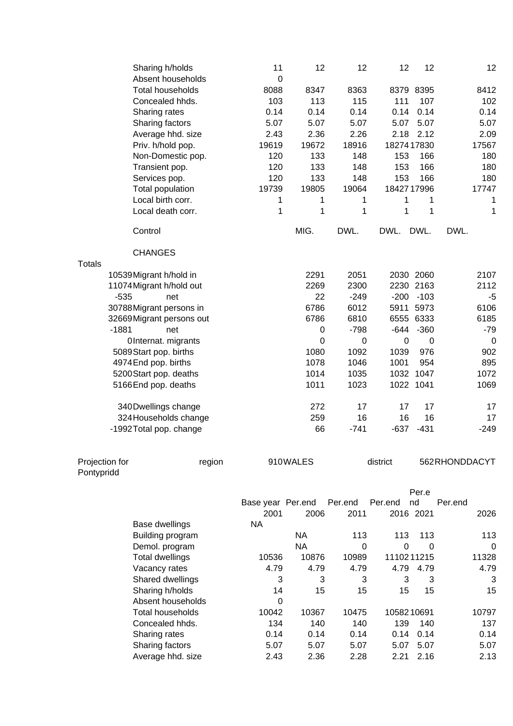|                | Sharing h/holds<br>Absent households  | 11<br>$\mathbf 0$ | 12          | 12          | 12          | 12             | 12            |
|----------------|---------------------------------------|-------------------|-------------|-------------|-------------|----------------|---------------|
|                | <b>Total households</b>               | 8088              | 8347        | 8363        |             | 8379 8395      | 8412          |
|                | Concealed hhds.                       | 103               | 113         | 115         | 111         | 107            | 102           |
|                | Sharing rates                         | 0.14              | 0.14        | 0.14        | 0.14        | 0.14           | 0.14          |
|                | Sharing factors                       | 5.07              | 5.07        | 5.07        | 5.07        | 5.07           | 5.07          |
|                | Average hhd. size                     | 2.43              | 2.36        | 2.26        | 2.18        | 2.12           | 2.09          |
|                | Priv. h/hold pop.                     | 19619             | 19672       | 18916       | 18274 17830 |                | 17567         |
|                | Non-Domestic pop.                     | 120               | 133         | 148         | 153         | 166            | 180           |
|                | Transient pop.                        | 120               | 133         | 148         | 153         | 166            | 180           |
|                |                                       | 120               | 133         | 148         | 153         | 166            | 180           |
|                | Services pop.                         | 19739             | 19805       | 19064       | 1842717996  |                | 17747         |
|                | Total population<br>Local birth corr. |                   |             |             |             |                |               |
|                |                                       | 1                 | 1           | 1           | 1           | 1              | 1             |
|                | Local death corr.                     | 1                 | 1           | 1           | 1           | 1              | 1             |
|                | Control                               |                   | MIG.        | DWL.        | DWL.        | DWL.           | DWL.          |
|                | <b>CHANGES</b>                        |                   |             |             |             |                |               |
| <b>Totals</b>  |                                       |                   |             |             |             |                |               |
|                | 10539 Migrant h/hold in               |                   | 2291        | 2051        |             | 2030 2060      | 2107          |
|                | 11074 Migrant h/hold out              |                   | 2269        | 2300        |             | 2230 2163      | 2112          |
|                | $-535$<br>net                         |                   | 22          | $-249$      | $-200$      | $-103$         | -5            |
|                | 30788 Migrant persons in              |                   | 6786        | 6012        | 5911        | 5973           | 6106          |
|                | 32669 Migrant persons out             |                   | 6786        | 6810        |             | 6555 6333      | 6185          |
|                | $-1881$<br>net                        |                   | $\mathbf 0$ | $-798$      | $-644$      | $-360$         | $-79$         |
|                | OInternat. migrants                   |                   | $\mathbf 0$ | 0           | $\mathbf 0$ | $\overline{0}$ | 0             |
|                | 5089 Start pop. births                |                   | 1080        | 1092        | 1039        | 976            | 902           |
|                | 4974 End pop. births                  |                   | 1078        | 1046        | 1001        | 954            | 895           |
|                | 5200 Start pop. deaths                |                   | 1014        | 1035        |             | 1032 1047      | 1072          |
|                | 5166 End pop. deaths                  |                   | 1011        | 1023        |             | 1022 1041      | 1069          |
|                | 340 Dwellings change                  |                   | 272         | 17          | 17          | 17             | 17            |
|                | 324 Households change                 |                   | 259         | 16          | 16          | 16             | 17            |
|                | -1992 Total pop. change               |                   | 66          | $-741$      | $-637$      | $-431$         | $-249$        |
|                |                                       |                   |             |             |             |                |               |
| Projection for | region                                |                   | 910WALES    |             | district    |                | 562RHONDDACYT |
| Pontypridd     |                                       |                   |             |             |             |                |               |
|                |                                       |                   |             |             |             | Per.e          |               |
|                |                                       | Base year Per.end |             | Per.end     | Per.end     | nd             | Per.end       |
|                |                                       | 2001              | 2006        | 2011        |             | 2016 2021      | 2026          |
|                | Base dwellings                        | <b>NA</b>         |             |             |             |                |               |
|                | Building program                      |                   | <b>NA</b>   | 113         | 113         | 113            | 113           |
|                | Demol. program                        |                   | <b>NA</b>   | $\mathbf 0$ | 0           | $\mathbf 0$    | $\Omega$      |
|                | <b>Total dwellings</b>                | 10536             | 10876       | 10989       | 1110211215  |                | 11328         |
|                | Vacancy rates                         | 4.79              | 4.79        | 4.79        | 4.79        | 4.79           | 4.79          |
|                | Shared dwellings                      | 3                 | 3           | 3           | 3           | 3              | 3             |
|                | Sharing h/holds                       | 14                | 15          | 15          | 15          | 15             | 15            |
|                | Absent households                     | 0                 |             |             |             |                |               |
|                | <b>Total households</b>               | 10042             | 10367       | 10475       | 1058210691  |                | 10797         |
|                | Concealed hhds.                       | 134               | 140         | 140         | 139         | 140            | 137           |
|                | Sharing rates                         | 0.14              | 0.14        | 0.14        | 0.14        | 0.14           | 0.14          |
|                | Sharing factors                       | 5.07              | 5.07        | 5.07        | 5.07        | 5.07           | 5.07          |
|                | Average hhd. size                     | 2.43              | 2.36        | 2.28        |             | 2.21 2.16      | 2.13          |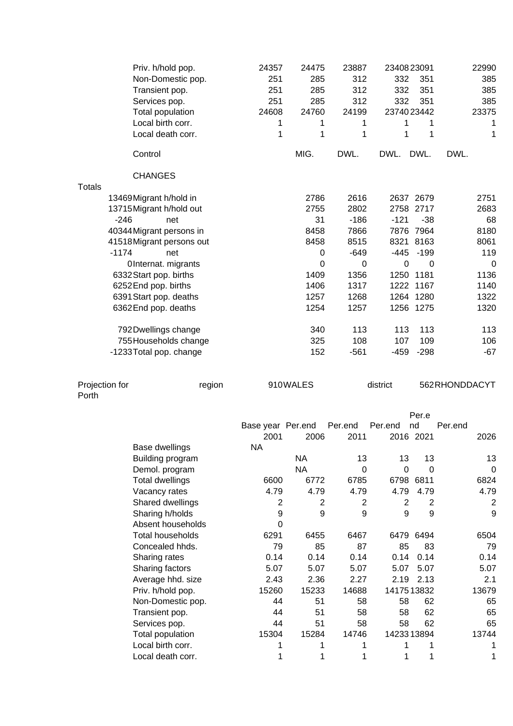|                         | Priv. h/hold pop.<br>Non-Domestic pop.<br>Transient pop.<br>Services pop.<br>Total population<br>Local birth corr.<br>Local death corr. | 24357<br>251<br>251<br>251<br>24608<br>1<br>1 | 24475<br>285<br>285<br>285<br>24760<br>1<br>1 | 23887<br>312<br>312<br>312<br>24199<br>1<br>1 | 2340823091<br>332<br>332<br>332<br>2374023442<br>1<br>1 | 351<br>351<br>351<br>1<br>1     | 22990<br>385<br>385<br>385<br>23375<br>1<br>1 |
|-------------------------|-----------------------------------------------------------------------------------------------------------------------------------------|-----------------------------------------------|-----------------------------------------------|-----------------------------------------------|---------------------------------------------------------|---------------------------------|-----------------------------------------------|
|                         | Control                                                                                                                                 |                                               | MIG.                                          | DWL.                                          | DWL.                                                    | DWL.                            | DWL.                                          |
|                         | <b>CHANGES</b>                                                                                                                          |                                               |                                               |                                               |                                                         |                                 |                                               |
| <b>Totals</b>           |                                                                                                                                         |                                               |                                               |                                               |                                                         |                                 |                                               |
| $-246$                  | 13469 Migrant h/hold in<br>13715 Migrant h/hold out<br>net                                                                              |                                               | 2786<br>2755<br>31                            | 2616<br>2802<br>$-186$                        | $-121$                                                  | 2637 2679<br>2758 2717<br>$-38$ | 2751<br>2683<br>68                            |
|                         | 40344 Migrant persons in                                                                                                                |                                               | 8458                                          | 7866                                          |                                                         | 7876 7964                       | 8180                                          |
|                         | 41518 Migrant persons out                                                                                                               |                                               | 8458                                          | 8515                                          |                                                         | 8321 8163                       | 8061                                          |
| $-1174$                 | net                                                                                                                                     |                                               | 0                                             | $-649$                                        | -445                                                    | $-199$                          | 119                                           |
|                         | OInternat. migrants                                                                                                                     |                                               | 0                                             | $\pmb{0}$                                     | $\mathbf 0$                                             | 0                               | $\mathbf 0$                                   |
|                         | 6332 Start pop. births                                                                                                                  |                                               | 1409                                          | 1356                                          | 1250                                                    | 1181                            | 1136                                          |
|                         | 6252 End pop. births                                                                                                                    |                                               | 1406                                          | 1317                                          |                                                         | 1222 1167                       | 1140                                          |
|                         | 6391 Start pop. deaths<br>6362 End pop. deaths                                                                                          |                                               | 1257<br>1254                                  | 1268<br>1257                                  |                                                         | 1264 1280<br>1256 1275          | 1322<br>1320                                  |
|                         |                                                                                                                                         |                                               |                                               |                                               |                                                         |                                 |                                               |
|                         | 792 Dwellings change                                                                                                                    |                                               | 340                                           | 113                                           | 113                                                     | 113                             | 113                                           |
|                         | 755 Households change                                                                                                                   |                                               | 325                                           | 108                                           | 107                                                     | 109                             | 106                                           |
|                         | -1233 Total pop. change                                                                                                                 |                                               | 152                                           | $-561$                                        | $-459$                                                  | $-298$                          | $-67$                                         |
|                         |                                                                                                                                         |                                               |                                               |                                               |                                                         |                                 |                                               |
| Projection for<br>Porth | region                                                                                                                                  |                                               | 910WALES                                      |                                               | district                                                |                                 | 562RHONDDACYT                                 |
|                         |                                                                                                                                         | Base year Per.end                             |                                               | Per.end                                       | Per.end                                                 | Per.e<br>nd                     | Per.end                                       |
|                         |                                                                                                                                         | 2001                                          | 2006                                          | 2011                                          |                                                         | 2016 2021                       | 2026                                          |
|                         | Base dwellings                                                                                                                          | <b>NA</b>                                     |                                               |                                               |                                                         |                                 |                                               |
|                         | Building program                                                                                                                        |                                               | <b>NA</b>                                     | 13                                            | 13                                                      | 13                              | 13                                            |
|                         | Demol. program                                                                                                                          |                                               | <b>NA</b>                                     | $\mathbf 0$                                   | $\pmb{0}$                                               | 0                               | $\mathbf 0$                                   |
|                         | <b>Total dwellings</b>                                                                                                                  | 6600                                          | 6772                                          | 6785                                          | 6798                                                    | 6811                            | 6824                                          |
|                         | Vacancy rates                                                                                                                           | 4.79                                          | 4.79                                          | 4.79                                          | 4.79                                                    | 4.79                            | 4.79                                          |
|                         | Shared dwellings                                                                                                                        | $\overline{c}$<br>9                           | $\overline{c}$<br>9                           | $\overline{\mathbf{c}}$<br>9                  | $\mathbf{2}$<br>9                                       | $\overline{2}$<br>9             | $\overline{c}$<br>9                           |
|                         | Sharing h/holds<br>Absent households                                                                                                    | $\mathbf 0$                                   |                                               |                                               |                                                         |                                 |                                               |
|                         | <b>Total households</b>                                                                                                                 | 6291                                          | 6455                                          | 6467                                          |                                                         | 6479 6494                       | 6504                                          |
|                         | Concealed hhds.                                                                                                                         | 79                                            | 85                                            | 87                                            | 85                                                      | 83                              | 79                                            |
|                         | Sharing rates                                                                                                                           | 0.14                                          | 0.14                                          | 0.14                                          | 0.14                                                    | 0.14                            | 0.14                                          |
|                         | Sharing factors                                                                                                                         | 5.07                                          | 5.07                                          | 5.07                                          | 5.07                                                    | 5.07                            | 5.07                                          |
|                         | Average hhd. size                                                                                                                       | 2.43                                          | 2.36                                          | 2.27                                          | 2.19                                                    | 2.13                            | 2.1                                           |
|                         | Priv. h/hold pop.                                                                                                                       | 15260                                         | 15233                                         | 14688                                         | 1417513832                                              |                                 | 13679                                         |
|                         | Non-Domestic pop.                                                                                                                       | 44                                            | 51                                            | 58                                            | 58                                                      | 62                              | 65                                            |
|                         | Transient pop.                                                                                                                          | 44                                            | 51                                            | 58                                            | 58                                                      | 62                              | 65                                            |
|                         | Services pop.                                                                                                                           | 44<br>15304                                   | 51<br>15284                                   | 58<br>14746                                   | 58<br>1423313894                                        | 62                              | 65<br>13744                                   |
|                         | Total population<br>Local birth corr.                                                                                                   | 1                                             | 1                                             | 1                                             | 1                                                       | 1                               | 1                                             |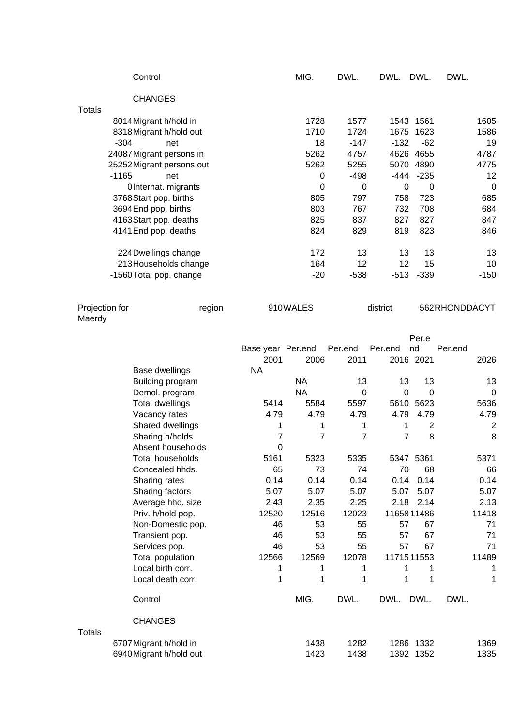|                                    | Control                                                                                                                                                                                                                                                                                                                         |                               | MIG.                                                                                                    | DWL.                                                                                                            | DWL.                                                                                    | DWL.                                                                                                                            | DWL.                                                                                                      |
|------------------------------------|---------------------------------------------------------------------------------------------------------------------------------------------------------------------------------------------------------------------------------------------------------------------------------------------------------------------------------|-------------------------------|---------------------------------------------------------------------------------------------------------|-----------------------------------------------------------------------------------------------------------------|-----------------------------------------------------------------------------------------|---------------------------------------------------------------------------------------------------------------------------------|-----------------------------------------------------------------------------------------------------------|
|                                    | <b>CHANGES</b>                                                                                                                                                                                                                                                                                                                  |                               |                                                                                                         |                                                                                                                 |                                                                                         |                                                                                                                                 |                                                                                                           |
| <b>Totals</b><br>$-304$<br>$-1165$ | 8014 Migrant h/hold in<br>8318 Migrant h/hold out<br>net<br>24087 Migrant persons in<br>25252 Migrant persons out<br>net<br>OInternat. migrants<br>3768 Start pop. births<br>3694 End pop. births<br>4163 Start pop. deaths<br>4141 End pop. deaths<br>224 Dwellings change<br>213 Households change<br>-1560 Total pop. change |                               | 1728<br>1710<br>18<br>5262<br>5262<br>$\pmb{0}$<br>0<br>805<br>803<br>825<br>824<br>172<br>164<br>$-20$ | 1577<br>1724<br>$-147$<br>4757<br>5255<br>$-498$<br>$\pmb{0}$<br>797<br>767<br>837<br>829<br>13<br>12<br>$-538$ | 1675<br>$-132$<br>-444<br>$\mathbf 0$<br>758<br>732<br>827<br>819<br>13<br>12<br>$-513$ | 1543 1561<br>1623<br>$-62$<br>4626 4655<br>5070 4890<br>$-235$<br>$\mathbf 0$<br>723<br>708<br>827<br>823<br>13<br>15<br>$-339$ | 1605<br>1586<br>19<br>4787<br>4775<br>12<br>$\mathbf 0$<br>685<br>684<br>847<br>846<br>13<br>10<br>$-150$ |
| Projection for<br>Maerdy           | region                                                                                                                                                                                                                                                                                                                          |                               | 910WALES                                                                                                |                                                                                                                 | district                                                                                |                                                                                                                                 | 562RHONDDACYT                                                                                             |
|                                    |                                                                                                                                                                                                                                                                                                                                 | Base year Per.end             |                                                                                                         | Per.end                                                                                                         | Per.end                                                                                 | Per.e<br>nd                                                                                                                     | Per.end                                                                                                   |
|                                    |                                                                                                                                                                                                                                                                                                                                 | 2001                          | 2006                                                                                                    | 2011                                                                                                            |                                                                                         | 2016 2021                                                                                                                       | 2026                                                                                                      |
|                                    | Base dwellings                                                                                                                                                                                                                                                                                                                  | <b>NA</b>                     |                                                                                                         |                                                                                                                 |                                                                                         |                                                                                                                                 |                                                                                                           |
|                                    | Building program<br>Demol. program                                                                                                                                                                                                                                                                                              |                               | <b>NA</b><br><b>NA</b>                                                                                  | 13<br>0                                                                                                         | 13<br>$\mathbf 0$                                                                       | 13<br>$\Omega$                                                                                                                  | 13<br>$\mathbf 0$                                                                                         |
|                                    | <b>Total dwellings</b>                                                                                                                                                                                                                                                                                                          | 5414                          | 5584                                                                                                    | 5597                                                                                                            |                                                                                         | 5610 5623                                                                                                                       | 5636                                                                                                      |
|                                    | Vacancy rates                                                                                                                                                                                                                                                                                                                   | 4.79                          | 4.79                                                                                                    | 4.79                                                                                                            | 4.79                                                                                    | 4.79                                                                                                                            | 4.79                                                                                                      |
|                                    | Shared dwellings                                                                                                                                                                                                                                                                                                                | 1                             | 1                                                                                                       | 1                                                                                                               | 1                                                                                       | $\overline{2}$                                                                                                                  | $\overline{2}$                                                                                            |
|                                    | Sharing h/holds<br>Absent households                                                                                                                                                                                                                                                                                            | $\overline{7}$<br>$\mathbf 0$ | $\overline{7}$                                                                                          | $\overline{7}$                                                                                                  | $\overline{7}$                                                                          | 8                                                                                                                               | 8                                                                                                         |
|                                    | Total households                                                                                                                                                                                                                                                                                                                | 5161                          | 5323                                                                                                    | 5335                                                                                                            |                                                                                         | 5347 5361                                                                                                                       | 5371                                                                                                      |
|                                    | Concealed hhds.                                                                                                                                                                                                                                                                                                                 | 65                            | 73                                                                                                      | 74                                                                                                              | 70                                                                                      | 68                                                                                                                              | 66                                                                                                        |
|                                    | Sharing rates                                                                                                                                                                                                                                                                                                                   | 0.14                          | 0.14                                                                                                    | 0.14                                                                                                            | 0.14                                                                                    | 0.14                                                                                                                            | 0.14                                                                                                      |
|                                    | Sharing factors                                                                                                                                                                                                                                                                                                                 | 5.07                          | 5.07                                                                                                    | 5.07                                                                                                            | 5.07                                                                                    | 5.07                                                                                                                            | 5.07                                                                                                      |
|                                    | Average hhd. size                                                                                                                                                                                                                                                                                                               | 2.43                          | 2.35                                                                                                    | 2.25                                                                                                            | 2.18<br>11658 11486                                                                     | 2.14                                                                                                                            | 2.13                                                                                                      |
|                                    | Priv. h/hold pop.<br>Non-Domestic pop.                                                                                                                                                                                                                                                                                          | 12520<br>46                   | 12516<br>53                                                                                             | 12023<br>55                                                                                                     | 57                                                                                      | 67                                                                                                                              | 11418<br>71                                                                                               |
|                                    | Transient pop.                                                                                                                                                                                                                                                                                                                  | 46                            | 53                                                                                                      | 55                                                                                                              | 57                                                                                      | 67                                                                                                                              | 71                                                                                                        |
|                                    | Services pop.                                                                                                                                                                                                                                                                                                                   | 46                            | 53                                                                                                      | 55                                                                                                              | 57                                                                                      | 67                                                                                                                              | 71                                                                                                        |
|                                    | Total population                                                                                                                                                                                                                                                                                                                | 12566                         | 12569                                                                                                   | 12078                                                                                                           | 1171511553                                                                              |                                                                                                                                 | 11489                                                                                                     |
|                                    | Local birth corr.                                                                                                                                                                                                                                                                                                               | 1                             | 1                                                                                                       | 1                                                                                                               | 1                                                                                       | 1                                                                                                                               | 1                                                                                                         |
|                                    | Local death corr.                                                                                                                                                                                                                                                                                                               | 1                             | 1                                                                                                       | 1                                                                                                               | 1                                                                                       | 1                                                                                                                               | 1                                                                                                         |
|                                    | Control                                                                                                                                                                                                                                                                                                                         |                               | MIG.                                                                                                    | DWL.                                                                                                            | DWL.                                                                                    | DWL.                                                                                                                            | DWL.                                                                                                      |
| <b>Totals</b>                      | <b>CHANGES</b>                                                                                                                                                                                                                                                                                                                  |                               |                                                                                                         |                                                                                                                 |                                                                                         |                                                                                                                                 |                                                                                                           |
|                                    | 6707 Migrant h/hold in                                                                                                                                                                                                                                                                                                          |                               | 1438                                                                                                    | 1282                                                                                                            |                                                                                         | 1286 1332                                                                                                                       | 1369                                                                                                      |
|                                    | 6940 Migrant h/hold out                                                                                                                                                                                                                                                                                                         |                               | 1423                                                                                                    | 1438                                                                                                            |                                                                                         | 1392 1352                                                                                                                       | 1335                                                                                                      |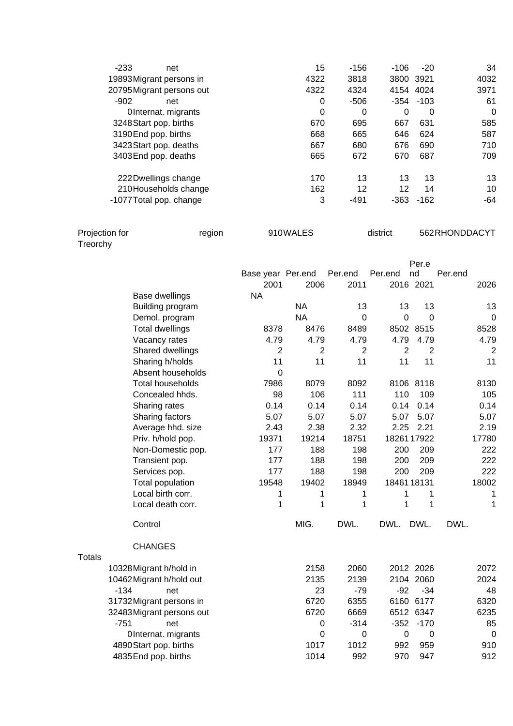| $-233$<br>net             | 15   | -156   | $-106$    | $-20$        | 34       |
|---------------------------|------|--------|-----------|--------------|----------|
| 19893 Migrant persons in  | 4322 | 3818   | 3800 3921 |              | 4032     |
| 20795 Migrant persons out | 4322 | 4324   |           | 4154 4024    | 3971     |
| $-902$<br>net             | 0    | $-506$ |           | $-354 - 103$ | 61       |
| OInternat. migrants       | 0    | 0      | 0         | 0            | $\Omega$ |
| 3248 Start pop. births    | 670  | 695    | 667       | 631          | 585      |
| 3190 End pop. births      | 668  | 665    | 646       | 624          | 587      |
| 3423 Start pop. deaths    | 667  | 680    | 676       | 690          | 710      |
| 3403 End pop. deaths      | 665  | 672    | 670       | 687          | 709      |
| 222 Dwellings change      | 170  | 13     | 13        | 13           | 13       |
| 210 Households change     | 162  | 12     | 12        | 14           | 10       |
| -1077 Total pop. change   | 3    | -491   | $-363$    | $-162$       | -64      |

| Projection for  | region | 910WALES | district | 562RHONDDACYT |
|-----------------|--------|----------|----------|---------------|
|                 |        |          |          |               |
| <b>Treorchy</b> |        |          |          |               |

|                           |                   |                |                |                  | Per.e          |                |
|---------------------------|-------------------|----------------|----------------|------------------|----------------|----------------|
|                           | Base year Per.end |                | Per.end        | Per.end          | nd             | Per.end        |
|                           | 2001              | 2006           | 2011           |                  | 2016 2021      | 2026           |
| Base dwellings            | <b>NA</b>         | <b>NA</b>      |                |                  |                |                |
| Building program          |                   |                | 13             | 13               | 13             | 13             |
| Demol. program            |                   | <b>NA</b>      | 0              | $\mathbf 0$      | $\overline{0}$ | 0              |
| <b>Total dwellings</b>    | 8378              | 8476           | 8489           |                  | 8502 8515      | 8528           |
| Vacancy rates             | 4.79              | 4.79           | 4.79           | 4.79             | 4.79           | 4.79           |
| Shared dwellings          | 2                 | $\overline{2}$ | $\overline{2}$ | $\overline{2}$   | $\overline{2}$ | $\overline{2}$ |
| Sharing h/holds           | 11                | 11             | 11             | 11               | 11             | 11             |
| Absent households         | $\overline{0}$    |                |                |                  |                |                |
| <b>Total households</b>   | 7986              | 8079           | 8092           |                  | 8106 8118      | 8130           |
| Concealed hhds.           | 98                | 106            | 111            | 110              | 109            | 105            |
| Sharing rates             | 0.14              | 0.14           | 0.14           | 0.14             | 0.14           | 0.14           |
| Sharing factors           | 5.07              | 5.07           | 5.07           | 5.07             | 5.07           | 5.07           |
| Average hhd. size         | 2.43              | 2.38           | 2.32           | 2.25             | 2.21           | 2.19           |
| Priv. h/hold pop.         | 19371             | 19214          | 18751          | 18261 17922      |                | 17780          |
| Non-Domestic pop.         | 177               | 188            | 198            | 200              | 209            | 222            |
| Transient pop.            | 177               | 188            | 198            | 200              | 209            | 222            |
| Services pop.             | 177               | 188            | 198            | 200              | 209            | 222            |
| Total population          | 19548             | 19402          | 18949          | 1846118131       |                | 18002          |
| Local birth corr.         | 1                 | 1              | 1              | 1                | 1              | 1              |
| Local death corr.         | 1                 | 1              | 1              | 1                | 1              | 1              |
| Control                   |                   | MIG.           | DWL.           | DWL.             | DWL.           | DWL.           |
| <b>CHANGES</b>            |                   |                |                |                  |                |                |
| 10328 Migrant h/hold in   |                   | 2158           | 2060           |                  | 2012 2026      | 2072           |
| 10462 Migrant h/hold out  |                   | 2135           | 2139           |                  | 2104 2060      | 2024           |
| $-134$<br>net             |                   | 23             | $-79$          | $-92$            | $-34$          | 48             |
| 31732 Migrant persons in  |                   | 6720           | 6355           |                  | 6160 6177      | 6320           |
| 32483 Migrant persons out |                   | 6720           | 6669           |                  | 6512 6347      | 6235           |
| $-751$<br>net             |                   | $\mathbf 0$    | $-314$         | $-352$           | $-170$         | 85             |
| OInternat. migrants       |                   | $\mathbf 0$    | $\mathbf 0$    | $\boldsymbol{0}$ | $\mathbf 0$    | $\mathbf 0$    |
| 4890 Start pop. births    |                   | 1017           | 1012           | 992              | 959            | 910            |
| 4835 End pop. births      |                   | 1014           | 992            | 970              | 947            | 912            |
|                           |                   |                |                |                  |                |                |

Totals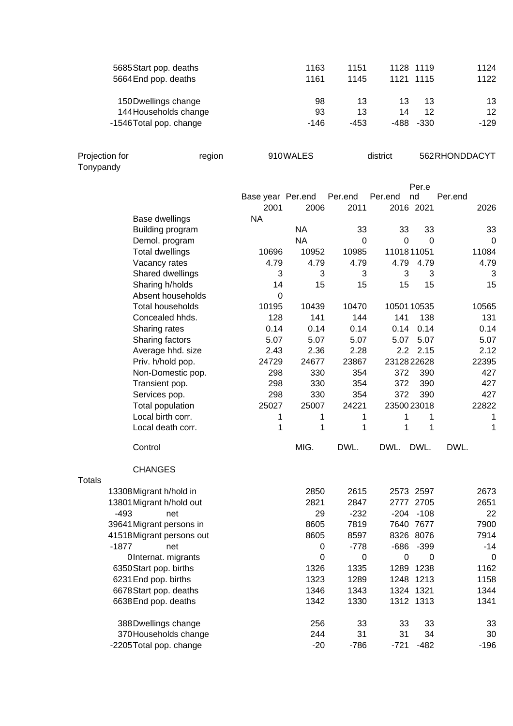| 98<br>13<br>13<br>13<br>13<br>150 Dwellings change<br>12<br>93<br>13<br>144 Households change<br>14<br>12 <sup>2</sup> |   |
|------------------------------------------------------------------------------------------------------------------------|---|
| $-146$<br>$-453$<br>$-488$<br>$-330$<br>$-129$<br>-1546 Total pop. change                                              |   |
| Projection for<br>910WALES<br>district<br>562RHONDDACYT<br>region<br>Tonypandy                                         |   |
| Per.e                                                                                                                  |   |
| Per.end<br>Per.end<br>nd<br>Per.end<br>Base year Per.end                                                               |   |
| 2001<br>2016 2021<br>2006<br>2011<br>2026                                                                              |   |
| <b>NA</b><br><b>Base dwellings</b>                                                                                     |   |
| <b>NA</b><br>Building program<br>33<br>33<br>33<br>33                                                                  |   |
| <b>NA</b><br>$\mathbf 0$<br>$\mathbf 0$<br>0<br>Demol. program                                                         | 0 |
| <b>Total dwellings</b><br>10696<br>10952<br>1101811051<br>10985<br>11084                                               |   |
| 4.79<br>4.79<br>4.79<br>4.79<br>Vacancy rates<br>4.79<br>4.79                                                          |   |
| Shared dwellings<br>3<br>3<br>3<br>3<br>3                                                                              | 3 |
| 15<br>Sharing h/holds<br>14<br>15<br>15<br>15<br>15                                                                    |   |
| Absent households<br>0                                                                                                 |   |
| <b>Total households</b><br>10439<br>1050110535<br>10565<br>10195<br>10470                                              |   |
| Concealed hhds.<br>128<br>141<br>144<br>138<br>131<br>141                                                              |   |
| 0.14<br>0.14<br>0.14<br>0.14<br>Sharing rates<br>0.14<br>0.14                                                          |   |
| Sharing factors<br>5.07<br>5.07<br>5.07<br>5.07<br>5.07<br>5.07                                                        |   |
| Average hhd. size<br>2.43<br>2.36<br>2.28<br>2.2<br>2.15<br>2.12                                                       |   |
| 24729<br>24677<br>2312822628<br>Priv. h/hold pop.<br>23867<br>22395                                                    |   |
| 330<br>354<br>372<br>390<br>427<br>Non-Domestic pop.<br>298                                                            |   |
| 354<br>390<br>427<br>Transient pop.<br>298<br>330<br>372                                                               |   |
| 330<br>354<br>372<br>390<br>427<br>Services pop.<br>298<br>25027                                                       |   |
| Total population<br>22822<br>25007<br>24221<br>2350023018<br>Local birth corr.<br>1<br>1<br>1<br>1<br>1                | 1 |
| 1<br>1<br>Local death corr.<br>1<br>1<br>1                                                                             | 1 |
| MIG.<br>DWL.<br>DWL.<br>DWL.<br>DWL.<br>Control                                                                        |   |
|                                                                                                                        |   |
| <b>CHANGES</b><br><b>Totals</b>                                                                                        |   |
| 2850<br>2615<br>2573 2597<br>2673<br>13308 Migrant h/hold in                                                           |   |
| 2821<br>13801 Migrant h/hold out<br>2847<br>2777 2705<br>2651                                                          |   |
| $-493$<br>29<br>$-232$<br>$-204 - 108$<br>22<br>net                                                                    |   |
| 7900<br>39641 Migrant persons in<br>8605<br>7819<br>7640 7677                                                          |   |
| 8605<br>7914<br>41518 Migrant persons out<br>8597<br>8326 8076                                                         |   |
| $-399$<br>$-1877$<br>$-778$<br>-686<br>-14<br>net<br>0                                                                 |   |
| 0<br>0<br>OInternat. migrants<br>0<br>0                                                                                | 0 |
| 1289 1238<br>1162<br>6350 Start pop. births<br>1326<br>1335                                                            |   |
| 6231 End pop. births<br>1323<br>1248 1213<br>1158<br>1289                                                              |   |
| 6678 Start pop. deaths<br>1346<br>1343<br>1324 1321<br>1344                                                            |   |
| 1330<br>1312 1313<br>6638 End pop. deaths<br>1342<br>1341                                                              |   |
| 256<br>33<br>33<br>33<br>388 Dwellings change<br>33                                                                    |   |
| 244<br>31<br>31<br>34<br>370 Households change<br>30                                                                   |   |
| $-20$<br>$-721$<br>$-482$<br>-2205 Total pop. change<br>$-786$<br>$-196$                                               |   |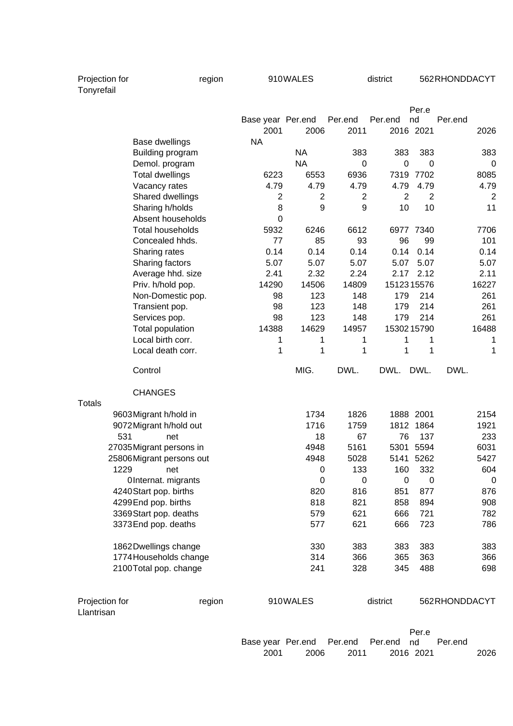Projection for The region Region and MONALES and Matrict 562RHONDDACYT

| Tonyrefail |  |
|------------|--|
|            |  |
|            |  |

|                |                                                |        |                   |                |                |                | Per.e          |               |                |
|----------------|------------------------------------------------|--------|-------------------|----------------|----------------|----------------|----------------|---------------|----------------|
|                |                                                |        | Base year Per.end |                | Per.end        | Per.end        | nd             | Per.end       |                |
|                |                                                |        | 2001              | 2006           | 2011           |                | 2016 2021      |               | 2026           |
|                | Base dwellings                                 |        | <b>NA</b>         |                |                |                |                |               |                |
|                | Building program                               |        |                   | <b>NA</b>      | 383            | 383            | 383            |               | 383            |
|                | Demol. program                                 |        |                   | <b>NA</b>      | 0              | 0              | 0              |               | $\mathbf 0$    |
|                | <b>Total dwellings</b>                         |        | 6223              | 6553           | 6936           | 7319           | 7702           |               | 8085           |
|                | Vacancy rates                                  |        | 4.79              | 4.79           | 4.79           | 4.79           | 4.79           |               | 4.79           |
|                | Shared dwellings                               |        | $\overline{2}$    | $\overline{2}$ | $\overline{2}$ | $\overline{2}$ | $\overline{2}$ |               | $\overline{2}$ |
|                | Sharing h/holds                                |        | 8                 | 9              | 9              | 10             | 10             |               | 11             |
|                | Absent households                              |        | $\mathbf 0$       |                |                |                |                |               |                |
|                | Total households                               |        | 5932              | 6246           | 6612           |                | 6977 7340      |               | 7706           |
|                | Concealed hhds.                                |        | 77                | 85             | 93             | 96             | 99             |               | 101            |
|                | Sharing rates                                  |        | 0.14              | 0.14           | 0.14           | 0.14           | 0.14           |               | 0.14           |
|                | Sharing factors                                |        | 5.07              | 5.07           | 5.07           | 5.07           | 5.07           |               | 5.07           |
|                | Average hhd. size                              |        | 2.41              | 2.32           | 2.24           | 2.17           | 2.12           |               | 2.11           |
|                | Priv. h/hold pop.                              |        | 14290             | 14506          | 14809          | 1512315576     |                |               | 16227          |
|                | Non-Domestic pop.                              |        | 98                | 123            | 148            | 179            | 214            |               | 261            |
|                | Transient pop.                                 |        | 98                | 123            | 148            | 179            | 214            |               | 261            |
|                | Services pop.                                  |        | 98                | 123            | 148            | 179            | 214            |               | 261            |
|                | Total population                               |        | 14388             | 14629          | 14957          | 1530215790     |                |               | 16488          |
|                | Local birth corr.                              |        |                   | 1              | 1              | 1              | 1              |               | 1              |
|                |                                                |        | 1                 |                |                | 1              |                |               |                |
|                | Local death corr.                              |        | 1                 | 1              | 1              |                | 1              |               | 1              |
|                | Control                                        |        |                   | MIG.           | DWL.           | DWL.           | DWL.           | DWL.          |                |
| <b>Totals</b>  | <b>CHANGES</b>                                 |        |                   |                |                |                |                |               |                |
|                |                                                |        |                   | 1734           | 1826           |                | 1888 2001      |               | 2154           |
|                | 9603 Migrant h/hold in                         |        |                   | 1716           | 1759           | 1812           | 1864           |               | 1921           |
|                | 9072 Migrant h/hold out<br>531                 | net    |                   | 18             | 67             | 76             | 137            |               | 233            |
|                |                                                |        |                   | 4948           | 5161           | 5301           | 5594           |               | 6031           |
|                | 27035 Migrant persons in                       |        |                   | 4948           | 5028           | 5141           | 5262           |               | 5427           |
|                | 25806 Migrant persons out<br>1229              | net    |                   | 0              | 133            | 160            | 332            |               | 604            |
|                |                                                |        |                   | $\mathbf 0$    | $\mathbf 0$    | 0              | 0              |               | $\mathbf 0$    |
|                | OInternat. migrants                            |        |                   |                |                |                |                |               | 876            |
|                | 4240 Start pop. births<br>4299 End pop. births |        |                   | 820<br>818     | 816<br>821     | 851<br>858     | 877            |               | 908            |
|                |                                                |        |                   |                |                |                | 894            |               |                |
|                | 3369 Start pop. deaths                         |        |                   | 579            | 621            | 666            | 721            |               | 782            |
|                | 3373End pop. deaths                            |        |                   | 577            | 621            | 666            | 723            |               | 786            |
|                | 1862 Dwellings change                          |        |                   | 330            | 383            | 383            | 383            |               | 383            |
|                | 1774 Households change                         |        |                   | 314            | 366            | 365            | 363            |               | 366            |
|                | 2100 Total pop. change                         |        |                   | 241            | 328            | 345            | 488            |               | 698            |
| Projection for |                                                | region |                   | 910WALES       |                | district       |                | 562RHONDDACYT |                |
| Llantrisan     |                                                |        |                   |                |                |                |                |               |                |
|                |                                                |        |                   |                |                |                | Per.e          |               |                |

|                                              |      |      |           | . |      |
|----------------------------------------------|------|------|-----------|---|------|
| Base year Per.end Per.end Per.end nd Per.end |      |      |           |   |      |
| 2001                                         | 2006 | 2011 | 2016 2021 |   | 2026 |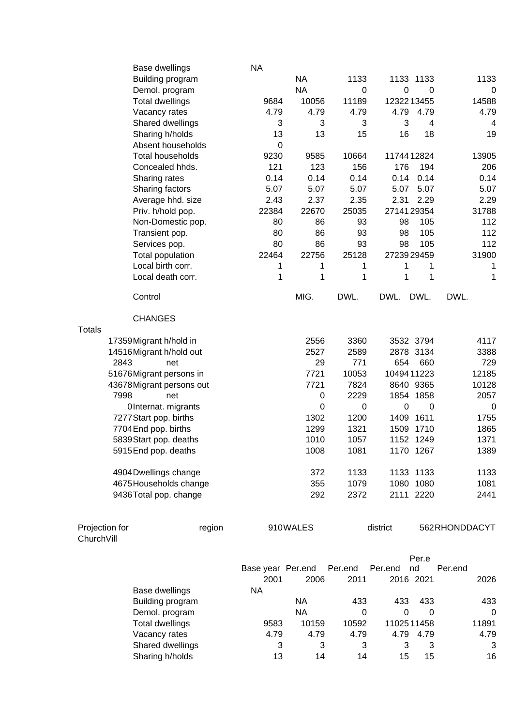| Base dwellings                         | <b>NA</b>         |             |             |               |             |               |
|----------------------------------------|-------------------|-------------|-------------|---------------|-------------|---------------|
| Building program                       |                   | <b>NA</b>   | 1133        | 1133 1133     |             | 1133          |
| Demol. program                         |                   | <b>NA</b>   | $\mathbf 0$ | 0             | 0           | 0             |
| <b>Total dwellings</b>                 | 9684              | 10056       | 11189       | 1232213455    |             | 14588         |
| Vacancy rates                          | 4.79              | 4.79        | 4.79        | 4.79          | 4.79        | 4.79          |
| Shared dwellings                       | 3                 | 3           | 3           | 3             | 4           | 4             |
| Sharing h/holds                        | 13                | 13          | 15          | 16            | 18          | 19            |
| Absent households                      | $\boldsymbol{0}$  |             |             |               |             |               |
| <b>Total households</b>                | 9230              | 9585        | 10664       | 1174412824    |             | 13905         |
| Concealed hhds.                        | 121               | 123         | 156         | 176           | 194         | 206           |
| Sharing rates                          | 0.14              | 0.14        | 0.14        | 0.14          | 0.14        | 0.14          |
| Sharing factors                        | 5.07              | 5.07        | 5.07        | 5.07          | 5.07        | 5.07          |
| Average hhd. size                      | 2.43              | 2.37        | 2.35        | 2.31          | 2.29        | 2.29          |
| Priv. h/hold pop.                      | 22384             | 22670       | 25035       | 2714129354    |             | 31788         |
| Non-Domestic pop.                      | 80                | 86          | 93          | 98            | 105         | 112           |
|                                        | 80                | 86          | 93          | 98            | 105         | 112           |
| Transient pop.                         | 80                | 86          | 93          | 98            | 105         | 112           |
| Services pop.                          |                   |             |             |               |             |               |
| Total population                       | 22464             | 22756       | 25128       | 2723929459    |             | 31900         |
| Local birth corr.                      | 1                 | 1           | 1           | 1             | 1           | 1             |
| Local death corr.                      | 1                 | 1           | 1           | 1             | 1           | 1             |
| Control                                |                   | MIG.        | DWL.        | DWL.          | DWL.        | DWL.          |
| <b>CHANGES</b>                         |                   |             |             |               |             |               |
| <b>Totals</b>                          |                   |             |             |               |             |               |
| 17359 Migrant h/hold in                |                   | 2556        | 3360        | 3532 3794     |             | 4117          |
| 14516 Migrant h/hold out               |                   | 2527        | 2589        | 2878 3134     |             | 3388          |
| 2843<br>net                            |                   | 29          | 771         | 654           | 660         | 729           |
| 51676 Migrant persons in               |                   | 7721        | 10053       | 1049411223    |             | 12185         |
| 43678 Migrant persons out              |                   | 7721        | 7824        | 8640 9365     |             | 10128         |
| 7998<br>net                            |                   | $\pmb{0}$   | 2229        | 1854 1858     |             | 2057          |
| OInternat. migrants                    |                   | $\mathbf 0$ | 0           | 0             | $\mathbf 0$ | 0             |
| 7277 Start pop. births                 |                   | 1302        | 1200        | 1409          | 1611        | 1755          |
| 7704 End pop. births                   |                   | 1299        | 1321        | 1509          | 1710        | 1865          |
| 5839 Start pop. deaths                 |                   | 1010        | 1057        | 1152 1249     |             | 1371          |
| 5915 End pop. deaths                   |                   | 1008        | 1081        | 1170 1267     |             | 1389          |
| 4904 Dwellings change                  |                   | 372         | 1133        | 1133 1133     |             | 1133          |
| 4675 Households change                 |                   | 355         | 1079        | 1080 1080     |             | 1081          |
| 9436 Total pop. change                 |                   | 292         | 2372        | 2111 2220     |             | 2441          |
|                                        |                   |             |             |               |             |               |
| Projection for<br>region<br>ChurchVill |                   | 910WALES    |             | district      |             | 562RHONDDACYT |
|                                        |                   |             |             |               | Per.e       |               |
|                                        | Base year Per.end |             | Per.end     | nd<br>Per.end |             | Per.end       |
|                                        | 2001              | 2006        | 2011        | 2016 2021     |             | 2026          |
| Base dwellings                         | <b>NA</b>         |             |             |               |             |               |
| Building program                       |                   | <b>NA</b>   | 433         | 433           | 433         | 433           |
| Demol. program                         |                   | <b>NA</b>   | $\Omega$    | 0             | $\Omega$    | 0             |
| <b>Total dwellings</b>                 | 9583              | 10159       | 10592       | 1102511458    |             | 11891         |
| Vacancy rates                          | 4.79              | 4.79        | 4.79        | 4.79          | 4.79        | 4.79          |
| Shared dwellings                       | 3                 | 3           | 3           | 3             | 3           | 3             |
| Sharing h/holds                        | 13                | 14          | 14          | 15            | 15          | 16            |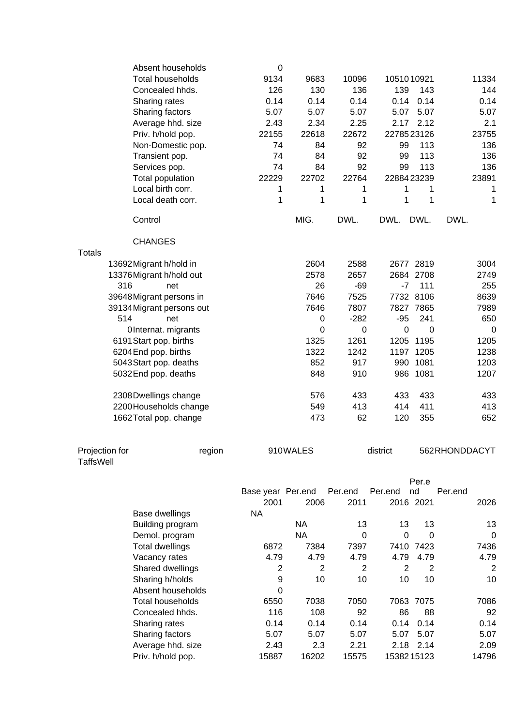|                                    | Absent households<br><b>Total households</b><br>Concealed hhds. | $\mathbf 0$<br>9134<br>126 | 9683<br>130 | 10096<br>136 | 1051010921<br>139 | 143            | 11334<br>144   |
|------------------------------------|-----------------------------------------------------------------|----------------------------|-------------|--------------|-------------------|----------------|----------------|
|                                    | Sharing rates                                                   | 0.14                       | 0.14        | 0.14         | 0.14              | 0.14           | 0.14           |
|                                    | Sharing factors                                                 | 5.07                       | 5.07        | 5.07         | 5.07              | 5.07           | 5.07           |
|                                    | Average hhd. size                                               | 2.43                       | 2.34        | 2.25         | 2.17              | 2.12           | 2.1            |
|                                    | Priv. h/hold pop.                                               | 22155                      | 22618       | 22672        | 2278523126        |                | 23755          |
|                                    | Non-Domestic pop.                                               | 74                         | 84          | 92           | 99                | 113            | 136            |
|                                    | Transient pop.                                                  | 74                         | 84          | 92           | 99                | 113            | 136            |
|                                    | Services pop.                                                   | 74                         | 84          | 92           | 99                | 113            | 136            |
|                                    | Total population                                                | 22229                      | 22702       | 22764        | 2288423239        |                | 23891          |
|                                    | Local birth corr.                                               | 1                          | 1           | 1            | 1                 | 1              | 1              |
|                                    | Local death corr.                                               | 1                          | 1           | 1            | 1                 | 1              | 1              |
|                                    | Control                                                         |                            | MIG.        | DWL.         | DWL.              | DWL.           | DWL.           |
|                                    | <b>CHANGES</b>                                                  |                            |             |              |                   |                |                |
| <b>Totals</b>                      |                                                                 |                            |             |              |                   |                |                |
|                                    | 13692 Migrant h/hold in                                         |                            | 2604        | 2588         |                   | 2677 2819      | 3004           |
|                                    | 13376 Migrant h/hold out                                        |                            | 2578        | 2657         |                   | 2684 2708      | 2749           |
| 316                                | net                                                             |                            | 26          | $-69$        | $-7$              | 111            | 255            |
|                                    | 39648 Migrant persons in                                        |                            | 7646        | 7525         |                   | 7732 8106      | 8639           |
|                                    | 39134 Migrant persons out                                       |                            | 7646        | 7807         |                   | 7827 7865      | 7989           |
| 514                                | net                                                             |                            | 0           | $-282$       | $-95$             | 241            | 650            |
|                                    | OInternat. migrants                                             |                            | 0           | 0            | $\boldsymbol{0}$  | $\mathbf 0$    | 0              |
|                                    | 6191 Start pop. births                                          |                            | 1325        | 1261         | 1205              | 1195           | 1205           |
|                                    | 6204 End pop. births                                            |                            | 1322        | 1242         | 1197              | 1205           | 1238           |
|                                    | 5043 Start pop. deaths                                          |                            | 852         | 917          | 990               | 1081           | 1203           |
|                                    | 5032 End pop. deaths                                            |                            | 848         | 910          |                   | 986 1081       | 1207           |
|                                    | 2308 Dwellings change                                           |                            | 576         | 433          | 433               | 433            | 433            |
|                                    | 2200 Households change                                          |                            | 549         | 413          | 414               | 411            | 413            |
|                                    | 1662 Total pop. change                                          |                            | 473         | 62           | 120               | 355            | 652            |
| Projection for<br><b>TaffsWell</b> | region                                                          |                            | 910WALES    |              | district          |                | 562RHONDDACYT  |
|                                    |                                                                 |                            |             |              |                   | Per.e          |                |
|                                    |                                                                 | Base year Per.end          |             | Per.end      | Per.end           | nd             | Per.end        |
|                                    |                                                                 | 2001                       | 2006        | 2011         |                   | 2016 2021      | 2026           |
|                                    | Base dwellings                                                  | <b>NA</b>                  |             |              |                   |                |                |
|                                    | Building program                                                |                            | <b>NA</b>   | 13           | 13                | 13             | 13             |
|                                    | Demol. program                                                  |                            | <b>NA</b>   | $\mathbf 0$  | $\mathbf 0$       | $\mathbf 0$    | 0              |
|                                    | <b>Total dwellings</b>                                          | 6872                       | 7384        | 7397         |                   | 7410 7423      | 7436           |
|                                    | Vacancy rates                                                   | 4.79                       | 4.79        | 4.79         | 4.79              | 4.79           | 4.79           |
|                                    | Shared dwellings                                                | 2                          | 2           | 2            | 2                 | $\overline{2}$ | $\overline{2}$ |
|                                    | Sharing h/holds                                                 | 9                          | 10          | 10           | 10                | 10             | 10             |
|                                    | Absent households                                               | 0                          |             |              |                   |                |                |
|                                    | <b>Total households</b>                                         | 6550                       | 7038        | 7050         |                   | 7063 7075      | 7086           |
|                                    | Concealed hhds.                                                 | 116                        | 108         | 92           | 86                | 88             | 92             |
|                                    | Sharing rates                                                   | 0.14                       | 0.14        | 0.14         | 0.14              | 0.14           | 0.14           |
|                                    | Sharing factors                                                 | 5.07                       | 5.07        | 5.07         | 5.07              | 5.07           | 5.07           |
|                                    | Average hhd. size                                               | 2.43                       | 2.3         | 2.21         |                   | 2.18 2.14      | 2.09           |
|                                    | Priv. h/hold pop.                                               | 15887                      | 16202       | 15575        | 1538215123        |                | 14796          |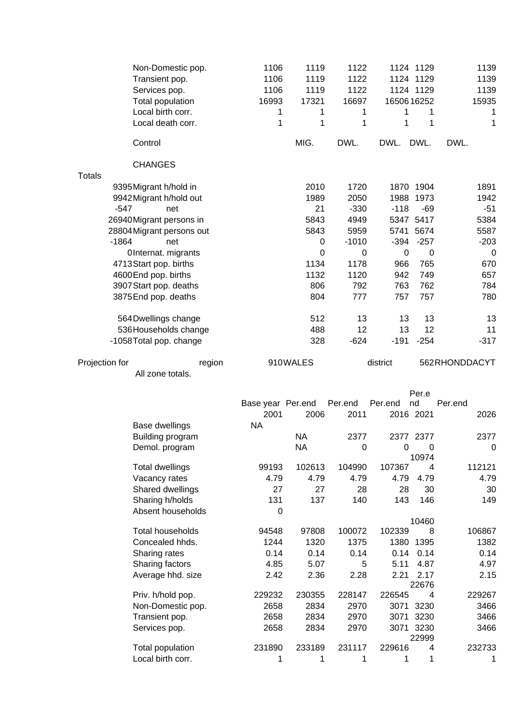|                | Non-Domestic pop.<br>Transient pop.<br>Services pop.<br>Total population<br>Local birth corr.<br>Local death corr. | 1106<br>1106<br>1106<br>16993<br>1<br>1 | 1119<br>1119<br>1119<br>17321<br>1<br>1 | 1122<br>1122<br>1122<br>16697<br>1<br>1 | 1650616252<br>1<br>1 | 1124 1129<br>1124 1129<br>1124 1129<br>1<br>1 | 1139<br>1139<br>1139<br>15935<br>1<br>1 |
|----------------|--------------------------------------------------------------------------------------------------------------------|-----------------------------------------|-----------------------------------------|-----------------------------------------|----------------------|-----------------------------------------------|-----------------------------------------|
|                | Control                                                                                                            |                                         | MIG.                                    | DWL.                                    | DWL. DWL.            |                                               | DWL.                                    |
|                | <b>CHANGES</b>                                                                                                     |                                         |                                         |                                         |                      |                                               |                                         |
| <b>Totals</b>  |                                                                                                                    |                                         |                                         |                                         |                      |                                               |                                         |
|                | 9395 Migrant h/hold in                                                                                             |                                         | 2010<br>1989                            | 1720                                    |                      | 1870 1904<br>1973                             | 1891                                    |
|                | 9942 Migrant h/hold out<br>$-547$<br>net                                                                           |                                         | 21                                      | 2050<br>$-330$                          | 1988<br>$-118$       | $-69$                                         | 1942<br>$-51$                           |
|                | 26940 Migrant persons in                                                                                           |                                         | 5843                                    | 4949                                    |                      | 5347 5417                                     | 5384                                    |
|                | 28804 Migrant persons out                                                                                          |                                         | 5843                                    | 5959                                    |                      | 5741 5674                                     | 5587                                    |
|                | $-1864$<br>net                                                                                                     |                                         | 0                                       | $-1010$                                 | $-394$               | $-257$                                        | $-203$                                  |
|                | OInternat. migrants                                                                                                |                                         | 0                                       | 0                                       | $\mathbf 0$          | $\mathbf 0$                                   | 0                                       |
|                | 4713 Start pop. births                                                                                             |                                         | 1134                                    | 1178                                    | 966                  | 765                                           | 670                                     |
|                | 4600 End pop. births                                                                                               |                                         | 1132                                    | 1120                                    | 942                  | 749                                           | 657                                     |
|                | 3907 Start pop. deaths                                                                                             |                                         | 806                                     | 792                                     | 763                  | 762                                           | 784                                     |
|                | 3875 End pop. deaths                                                                                               |                                         | 804                                     | 777                                     | 757                  | 757                                           | 780                                     |
|                | 564 Dwellings change                                                                                               |                                         | 512                                     | 13                                      | 13                   | 13                                            | 13                                      |
|                | 536 Households change                                                                                              |                                         | 488                                     | 12                                      | 13                   | 12                                            | 11                                      |
|                | -1058 Total pop. change                                                                                            |                                         | 328                                     | $-624$                                  | $-191$               | $-254$                                        | $-317$                                  |
| Projection for | region                                                                                                             |                                         | 910WALES                                |                                         | district             |                                               | 562RHONDDACYT                           |
|                | All zone totals.                                                                                                   |                                         |                                         |                                         |                      |                                               |                                         |
|                |                                                                                                                    |                                         |                                         |                                         |                      | Per.e                                         |                                         |
|                |                                                                                                                    | Base year Per.end                       |                                         | Per.end                                 | Per.end              | nd                                            | Per.end                                 |
|                |                                                                                                                    | 2001                                    | 2006                                    | 2011                                    | 2016 2021            |                                               | 2026                                    |
|                | Base dwellings                                                                                                     | <b>NA</b>                               |                                         |                                         |                      |                                               |                                         |
|                | Building program<br>Demol. program                                                                                 |                                         | <b>NA</b><br><b>NA</b>                  | 2377<br>$\mathbf 0$                     |                      | 2377 2377<br>$0\qquad 0$                      | 2377<br>$\mathbf 0$                     |
|                |                                                                                                                    |                                         | 102613                                  | 104990                                  | 107367               | 10974<br>$\overline{4}$                       | 112121                                  |
|                | <b>Total dwellings</b><br>Vacancy rates                                                                            | 99193<br>4.79                           | 4.79                                    | 4.79                                    | 4.79                 | 4.79                                          | 4.79                                    |
|                | Shared dwellings                                                                                                   | 27                                      | 27                                      | 28                                      | 28                   | 30                                            | 30                                      |
|                | Sharing h/holds                                                                                                    | 131                                     | 137                                     | 140                                     | 143                  | 146                                           | 149                                     |
|                | Absent households                                                                                                  | $\boldsymbol{0}$                        |                                         |                                         |                      |                                               |                                         |
|                |                                                                                                                    |                                         |                                         |                                         |                      | 10460                                         |                                         |
|                | Total households                                                                                                   | 94548                                   | 97808                                   | 100072                                  | 102339               | 8                                             | 106867                                  |
|                | Concealed hhds.                                                                                                    | 1244                                    | 1320                                    | 1375                                    | 1380                 | 1395                                          | 1382                                    |
|                | Sharing rates                                                                                                      | 0.14                                    | 0.14                                    | 0.14<br>5                               | 0.14                 | 0.14                                          | 0.14                                    |
|                | Sharing factors<br>Average hhd. size                                                                               | 4.85<br>2.42                            | 5.07<br>2.36                            | 2.28                                    | 5.11<br>2.21         | 4.87<br>2.17                                  | 4.97<br>2.15                            |
|                |                                                                                                                    | 229232                                  | 230355                                  | 228147                                  | 226545               | 22676<br>4                                    | 229267                                  |
|                | Priv. h/hold pop.<br>Non-Domestic pop.                                                                             | 2658                                    | 2834                                    | 2970                                    |                      | 3071 3230                                     | 3466                                    |
|                | Transient pop.                                                                                                     | 2658                                    | 2834                                    | 2970                                    |                      | 3071 3230                                     | 3466                                    |
|                | Services pop.                                                                                                      | 2658                                    | 2834                                    | 2970                                    |                      | 3071 3230                                     | 3466                                    |
|                | Total population                                                                                                   | 231890                                  | 233189                                  | 231117                                  | 229616               | 22999<br>4                                    | 232733                                  |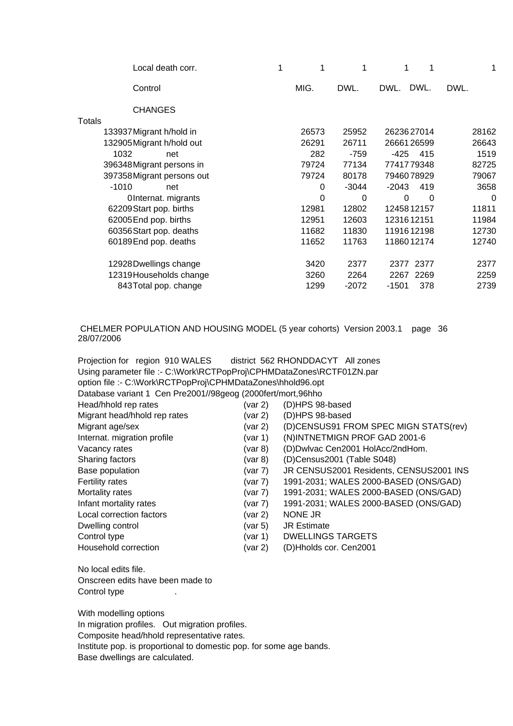|       |         | 1              | 1     |
|-------|---------|----------------|-------|
| MIG.  | DWL.    | DWL.<br>DWL.   | DWL.  |
|       |         |                |       |
|       |         |                |       |
| 26573 | 25952   | 2623627014     | 28162 |
| 26291 | 26711   | 2666126599     | 26643 |
| 282   | $-759$  | -425<br>415    | 1519  |
| 79724 | 77134   | 7741779348     | 82725 |
| 79724 | 80178   | 7946078929     | 79067 |
| 0     | $-3044$ | $-2043$<br>419 | 3658  |
| 0     | 0       | 0<br>0         | 0     |
| 12981 | 12802   | 1245812157     | 11811 |
| 12951 | 12603   | 1231612151     | 11984 |
| 11682 | 11830   | 1191612198     | 12730 |
| 11652 | 11763   | 1186012174     | 12740 |
| 3420  | 2377    | 2377 2377      | 2377  |
| 3260  | 2264    | 2267<br>2269   | 2259  |
| 1299  | $-2072$ | $-1501$<br>378 | 2739  |
|       |         |                |       |

#### CHELMER POPULATION AND HOUSING MODEL (5 year cohorts) Version 2003.1 page 36 28/07/2006

| Projection for region 910 WALES district 562 RHONDDACYT All zones     |               |                                         |
|-----------------------------------------------------------------------|---------------|-----------------------------------------|
| Using parameter file :- C:\Work\RCTPopProj\CPHMDataZones\RCTF01ZN.par |               |                                         |
| option file :- C:\Work\RCTPopProj\CPHMDataZones\hhold96.opt           |               |                                         |
| Database variant 1 Cen Pre2001//98geog (2000fert/mort,96hho           |               |                                         |
| Head/hhold rep rates                                                  | (var 2)       | (D)HPS 98-based                         |
| Migrant head/hhold rep rates                                          | (var 2)       | (D)HPS 98-based                         |
| Migrant age/sex                                                       | (var 2)       | (D)CENSUS91 FROM SPEC MIGN STATS(rev)   |
| Internat. migration profile                                           | (var 1)       | (N)INTNETMIGN PROF GAD 2001-6           |
| Vacancy rates                                                         | (var 8)       | (D)Dwlvac Cen2001 HolAcc/2ndHom.        |
| Sharing factors                                                       | $($ var 8 $)$ | (D)Census2001 (Table S048)              |
| Base population                                                       | (var 7)       | JR CENSUS2001 Residents, CENSUS2001 INS |
| Fertility rates                                                       | (var 7)       | 1991-2031; WALES 2000-BASED (ONS/GAD)   |
| Mortality rates                                                       | (var 7)       | 1991-2031; WALES 2000-BASED (ONS/GAD)   |
| Infant mortality rates                                                | (var 7)       | 1991-2031; WALES 2000-BASED (ONS/GAD)   |
| Local correction factors                                              | (var 2)       | NONE JR                                 |
| Dwelling control                                                      | (var 5)       | <b>JR Estimate</b>                      |
| Control type                                                          | (var 1)       | <b>DWELLINGS TARGETS</b>                |
| Household correction                                                  | (var 2)       | (D)Hholds cor. Cen2001                  |
| No local edits file.                                                  |               |                                         |
| Anecraan adite haya haan mada to                                      |               |                                         |

Onscreen edits have been made to Control type the set of the set of the set of the set of the set of the set of the set of the set of the set of the set of the set of the set of the set of the set of the set of the set of the set of the set of the set of

With modelling options In migration profiles. Out migration profiles. Composite head/hhold representative rates. Institute pop. is proportional to domestic pop. for some age bands. Base dwellings are calculated.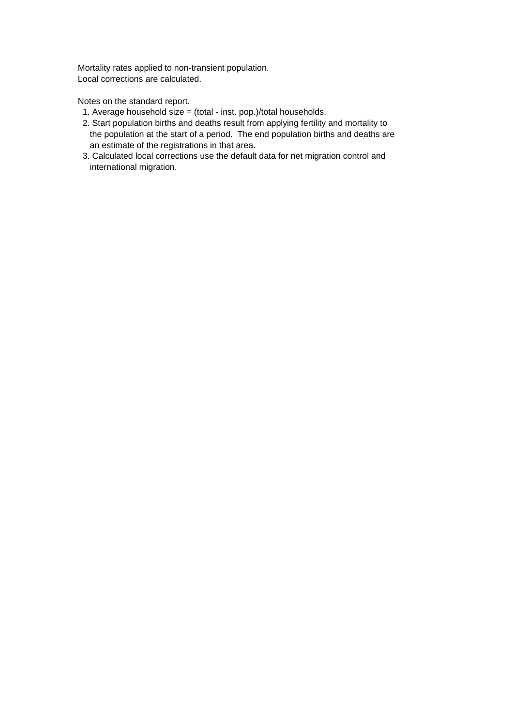Mortality rates applied to non-transient population. Local corrections are calculated.

Notes on the standard report.

- 1. Average household size = (total inst. pop.)/total households.
- 2. Start population births and deaths result from applying fertility and mortality to the population at the start of a period. The end population births and deaths are an estimate of the registrations in that area.
- 3. Calculated local corrections use the default data for net migration control and international migration.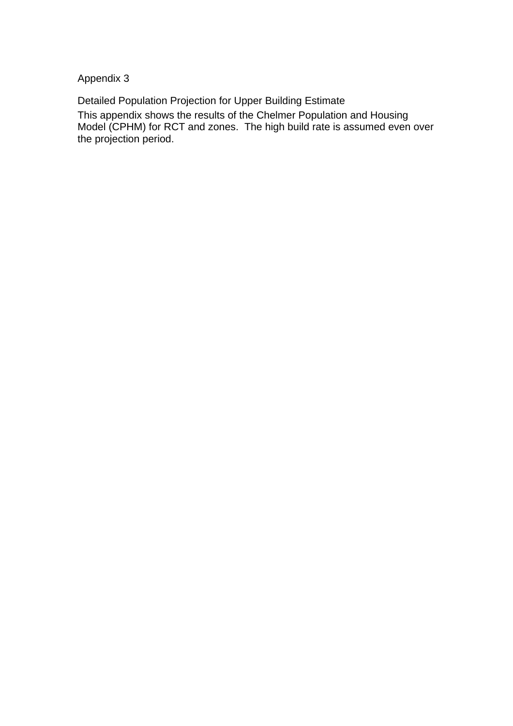Appendix 3

Detailed Population Projection for Upper Building Estimate This appendix shows the results of the Chelmer Population and Housing Model (CPHM) for RCT and zones. The high build rate is assumed even over the projection period.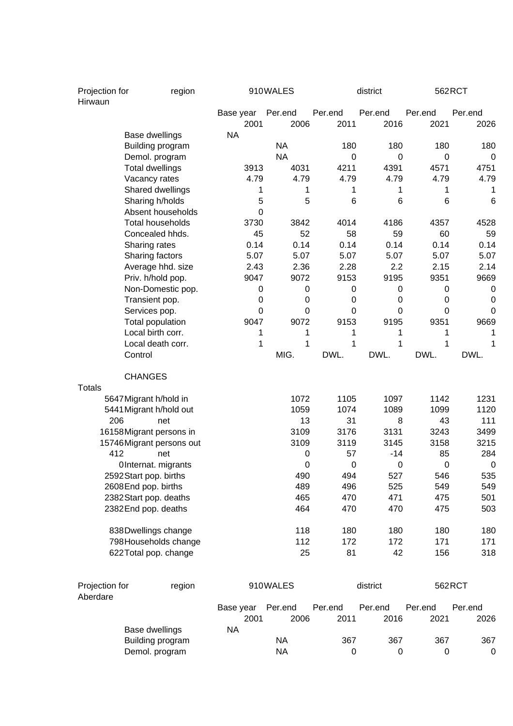| Projection for<br>Hirwaun  | region                             |           |             | 910WALES        |                 | district        |                  | 562RCT          |  |
|----------------------------|------------------------------------|-----------|-------------|-----------------|-----------------|-----------------|------------------|-----------------|--|
|                            |                                    | Base year | 2001        | Per.end<br>2006 | Per.end<br>2011 | Per.end<br>2016 | Per.end<br>2021  | Per.end<br>2026 |  |
|                            | Base dwellings                     | <b>NA</b> |             |                 |                 |                 |                  |                 |  |
|                            | Building program                   |           |             | <b>NA</b>       | 180             | 180             | 180              | 180             |  |
|                            | Demol. program                     |           |             | <b>NA</b>       | 0               | 0               | 0                | 0               |  |
|                            | <b>Total dwellings</b>             |           | 3913        | 4031            | 4211            | 4391            | 4571             | 4751            |  |
|                            | Vacancy rates                      |           | 4.79        | 4.79            | 4.79            | 4.79            | 4.79             | 4.79            |  |
|                            | Shared dwellings                   |           | 1           | 1               | 1               | 1               | 1                | 1               |  |
|                            | Sharing h/holds                    |           | 5           | 5               | 6               | 6               | 6                | $6\phantom{1}6$ |  |
|                            | Absent households                  |           | 0           |                 |                 |                 |                  |                 |  |
|                            | <b>Total households</b>            |           | 3730        | 3842            | 4014            | 4186            | 4357             | 4528            |  |
|                            | Concealed hhds.                    |           | 45          | 52              | 58              | 59              | 60               | 59              |  |
|                            | Sharing rates                      |           | 0.14        | 0.14            | 0.14            | 0.14            | 0.14             | 0.14            |  |
|                            | Sharing factors                    |           | 5.07        | 5.07            | 5.07            | 5.07            | 5.07             | 5.07            |  |
|                            | Average hhd. size                  |           | 2.43        | 2.36            | 2.28            | 2.2             | 2.15             | 2.14            |  |
|                            | Priv. h/hold pop.                  |           | 9047        | 9072            | 9153            | 9195            | 9351             | 9669            |  |
|                            | Non-Domestic pop.                  |           | 0           | 0               | 0               | $\pmb{0}$       | $\mathbf 0$      | 0               |  |
|                            | Transient pop.                     |           | 0           | 0               | $\mathbf 0$     | $\mathbf 0$     | 0                | 0               |  |
|                            | Services pop.                      |           | $\mathbf 0$ | $\mathbf 0$     | 0               | $\mathbf 0$     | 0                | 0               |  |
|                            | <b>Total population</b>            |           | 9047        | 9072            | 9153            | 9195            | 9351             | 9669            |  |
|                            | Local birth corr.                  |           | 1           | 1               | 1               | 1               | 1                | 1               |  |
|                            | Local death corr.                  |           | 1           | 1               | 1               | 1               | 1                |                 |  |
|                            | Control                            |           |             | MIG.            | DWL.            | DWL.            | DWL.             | DWL.            |  |
| <b>Totals</b>              | <b>CHANGES</b>                     |           |             |                 |                 |                 |                  |                 |  |
|                            | 5647 Migrant h/hold in             |           |             | 1072            | 1105            | 1097            | 1142             | 1231            |  |
|                            | 5441 Migrant h/hold out            |           |             | 1059            | 1074            | 1089            | 1099             | 1120            |  |
| 206                        | net                                |           |             | 13              | 31              | 8               | 43               | 111             |  |
|                            | 16158 Migrant persons in           |           |             | 3109            | 3176            | 3131            | 3243             | 3499            |  |
|                            | 15746 Migrant persons out          |           |             | 3109            | 3119            | 3145            | 3158             | 3215            |  |
| 412                        | net                                |           |             | 0               | 57              | -14             | 85               | 284             |  |
|                            | OInternat. migrants                |           |             | 0               | $\mathbf 0$     | $\mathbf 0$     | $\boldsymbol{0}$ | $\mathbf 0$     |  |
|                            | 2592 Start pop. births             |           |             | 490             | 494             | 527             | 546              | 535             |  |
|                            | 2608End pop. births                |           |             | 489             | 496             | 525             | 549              | 549             |  |
|                            | 2382 Start pop. deaths             |           |             | 465             | 470             | 471             | 475              | 501             |  |
|                            | 2382End pop. deaths                |           |             | 464             | 470             | 470             | 475              | 503             |  |
|                            | 838Dwellings change                |           |             | 118             | 180             | 180             | 180              | 180             |  |
|                            | 798 Households change              |           |             | 112             | 172             | 172             | 171              | 171             |  |
|                            | 622Total pop. change               |           |             | 25              | 81              | 42              | 156              | 318             |  |
|                            |                                    |           |             | 910WALES        |                 |                 |                  |                 |  |
| Projection for<br>Aberdare | region                             |           |             |                 |                 | district        |                  | 562RCT          |  |
|                            |                                    | Base year |             | Per.end         | Per.end         | Per.end         | Per.end          | Per.end         |  |
|                            |                                    |           | 2001        | 2006            | 2011            | 2016            | 2021             | 2026            |  |
|                            | Base dwellings<br>Building program | <b>NA</b> |             | <b>NA</b>       | 367             | 367             | 367              | 367             |  |
|                            | Demol. program                     |           |             | <b>NA</b>       | 0               | 0               | 0                | 0               |  |
|                            |                                    |           |             |                 |                 |                 |                  |                 |  |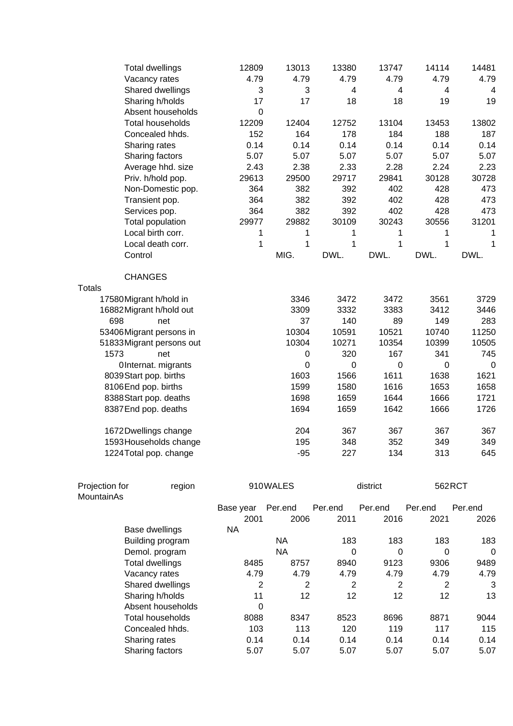| <b>Total dwellings</b>    | 12809        | 13013     | 13380          | 13747          | 14114          | 14481     |
|---------------------------|--------------|-----------|----------------|----------------|----------------|-----------|
| Vacancy rates             | 4.79         | 4.79      | 4.79           | 4.79           | 4.79           | 4.79      |
| Shared dwellings          | 3            | 3         | $\overline{4}$ | $\overline{4}$ | $\overline{4}$ | 4         |
| Sharing h/holds           | 17           | 17        | 18             | 18             | 19             | 19        |
| Absent households         | $\pmb{0}$    |           |                |                |                |           |
| <b>Total households</b>   | 12209        | 12404     | 12752          | 13104          | 13453          | 13802     |
| Concealed hhds.           | 152          | 164       | 178            | 184            | 188            | 187       |
| Sharing rates             | 0.14         | 0.14      | 0.14           | 0.14           | 0.14           | 0.14      |
| Sharing factors           | 5.07         | 5.07      | 5.07           | 5.07           | 5.07           | 5.07      |
| Average hhd. size         | 2.43         | 2.38      | 2.33           | 2.28           | 2.24           | 2.23      |
| Priv. h/hold pop.         | 29613        | 29500     | 29717          | 29841          | 30128          | 30728     |
| Non-Domestic pop.         | 364          | 382       | 392            | 402            | 428            | 473       |
| Transient pop.            | 364          | 382       | 392            | 402            | 428            | 473       |
| Services pop.             | 364          | 382       | 392            | 402            | 428            | 473       |
| Total population          | 29977        | 29882     | 30109          | 30243          | 30556          | 31201     |
| Local birth corr.         | 1            | 1         | 1              | 1              | 1              | 1         |
| Local death corr.         | $\mathbf{1}$ | 1         | 1              | 1              | 1              | 1         |
| Control                   |              | MIG.      | DWL.           | DWL.           | DWL.           | DWL.      |
| <b>CHANGES</b>            |              |           |                |                |                |           |
| <b>Totals</b>             |              |           |                |                |                |           |
| 17580 Migrant h/hold in   |              | 3346      | 3472           | 3472           | 3561           | 3729      |
| 16882 Migrant h/hold out  |              | 3309      | 3332           | 3383           | 3412           | 3446      |
| 698<br>net                |              | 37        | 140            | 89             | 149            | 283       |
| 53406Migrant persons in   |              | 10304     | 10591          | 10521          | 10740          | 11250     |
| 51833 Migrant persons out |              | 10304     | 10271          | 10354          | 10399          | 10505     |
| 1573<br>net               |              | $\pmb{0}$ | 320            | 167            | 341            | 745       |
| OInternat. migrants       |              | $\pmb{0}$ | $\mathbf 0$    | $\mathbf 0$    | $\mathbf 0$    | $\pmb{0}$ |
| 8039Start pop. births     |              | 1603      | 1566           | 1611           | 1638           | 1621      |
| 8106End pop. births       |              | 1599      | 1580           | 1616           | 1653           | 1658      |
| 8388Start pop. deaths     |              | 1698      | 1659           | 1644           | 1666           | 1721      |
| 8387 End pop. deaths      |              | 1694      | 1659           | 1642           | 1666           | 1726      |
| 1672Dwellings change      |              | 204       | 367            | 367            | 367            | 367       |
| 1593 Households change    |              | 195       | 348            | 352            | 349            | 349       |
| 1224 Total pop. change    |              | $-95$     | 227            | 134            | 313            | 645       |

| Projection for | region            | 910WALES  |         | district | 562RCT  |          |         |
|----------------|-------------------|-----------|---------|----------|---------|----------|---------|
| MountainAs     |                   |           |         |          |         |          |         |
|                |                   | Base year | Per.end | Per.end  | Per.end | Per.end  | Per.end |
|                |                   | 2001      | 2006    | 2011     | 2016    | 2021     | 2026    |
|                | Base dwellings    | NA        |         |          |         |          |         |
|                | Building program  |           | NA      | 183      | 183     | 183      | 183     |
|                | Demol. program    |           | ΝA      | 0        | 0       | $\Omega$ | 0       |
|                | Total dwellings   | 8485      | 8757    | 8940     | 9123    | 9306     | 9489    |
|                | Vacancy rates     | 4.79      | 4.79    | 4.79     | 4.79    | 4.79     | 4.79    |
|                | Shared dwellings  | 2         | 2       | 2        | 2       | 2        | 3       |
|                | Sharing h/holds   | 11        | 12      | 12       | 12      | 12       | 13      |
|                | Absent households | 0         |         |          |         |          |         |
|                | Total households  | 8088      | 8347    | 8523     | 8696    | 8871     | 9044    |
|                | Concealed hhds.   | 103       | 113     | 120      | 119     | 117      | 115     |
|                | Sharing rates     | 0.14      | 0.14    | 0.14     | 0.14    | 0.14     | 0.14    |
|                | Sharing factors   | 5.07      | 5.07    | 5.07     | 5.07    | 5.07     | 5.07    |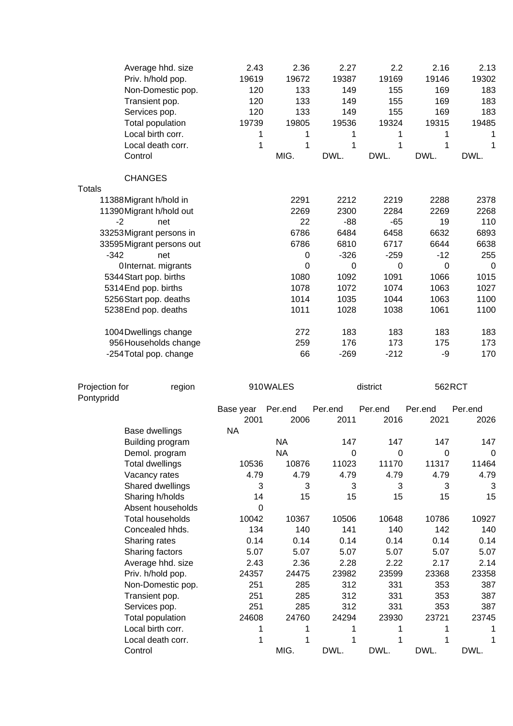| <b>CHANGES</b><br><b>Totals</b><br>2291<br>2212<br>2219<br>2288<br>2378<br>11388 Migrant h/hold in<br>2269<br>2300<br>2284<br>2268<br>11390 Migrant h/hold out<br>2269<br>22<br>$-88$<br>19<br>110<br>net<br>$-65$<br>-2<br>6786<br>6484<br>6632<br>6893<br>33253 Migrant persons in<br>6458<br>6786<br>6810<br>6717<br>6644<br>6638<br>33595 Migrant persons out<br>$-342$<br>$-326$<br>$-12$<br>net<br>0<br>$-259$<br>255<br>$\mathbf 0$<br>$\pmb{0}$<br>$\mathbf 0$<br>0<br>OInternat. migrants<br>0<br>1080<br>1066<br>5344 Start pop. births<br>1092<br>1091<br>1015<br>5314End pop. births<br>1078<br>1072<br>1074<br>1063<br>1027<br>5256 Start pop. deaths<br>1014<br>1035<br>1044<br>1063<br>1100<br>1011<br>1028<br>1038<br>1061<br>1100<br>5238 End pop. deaths<br>272<br>183<br>1004 Dwellings change<br>183<br>183<br>183<br>259<br>176<br>956 Households change<br>173<br>175<br>173<br>66<br>$-269$<br>$-212$<br>-9<br>-254 Total pop. change<br>170<br>562RCT<br>Projection for<br>910WALES<br>district<br>region<br>Pontypridd<br>Per.end<br>Per.end<br>Base year<br>Per.end<br>Per.end<br>Per.end<br>2011<br>2001<br>2006<br>2016<br>2021<br>2026<br><b>NA</b><br>Base dwellings<br><b>NA</b><br>147<br>147<br>147<br>147<br>Building program<br><b>NA</b><br>$\boldsymbol{0}$<br>Demol. program<br>0<br>0<br>10536<br>10876<br>11023<br>11170<br>11317<br><b>Total dwellings</b><br>4.79<br>Vacancy rates<br>4.79<br>4.79<br>4.79<br>4.79<br>Shared dwellings<br>3<br>3<br>3<br>3<br>3<br>3<br>Sharing h/holds<br>14<br>15<br>15<br>15<br>15<br>15<br>Absent households<br>$\Omega$<br>10927<br><b>Total households</b><br>10042<br>10367<br>10506<br>10648<br>10786<br>140<br>Concealed hhds.<br>134<br>141<br>140<br>142<br>140<br>0.14<br>0.14<br>0.14<br>0.14<br>0.14<br>Sharing rates<br>0.14<br>5.07<br>5.07<br>Sharing factors<br>5.07<br>5.07<br>5.07<br>5.07<br>2.43<br>Average hhd. size<br>2.36<br>2.28<br>2.22<br>2.17<br>2.14<br>23358<br>Priv. h/hold pop.<br>24357<br>24475<br>23982<br>23599<br>23368<br>251<br>285<br>312<br>331<br>353<br>387<br>Non-Domestic pop.<br>Transient pop.<br>251<br>285<br>312<br>331<br>353<br>387<br>Services pop.<br>251<br>285<br>312<br>331<br>353<br>387<br>24760<br>24294<br>23930<br>23721<br>Total population<br>24608<br>23745<br>Local birth corr.<br>1<br>1<br>1<br>Local death corr.<br>1<br>1<br>1<br>1<br>1<br>1<br>MIG.<br>DWL.<br>DWL.<br>DWL.<br>DWL.<br>Control | Control | Average hhd. size<br>Priv. h/hold pop.<br>Non-Domestic pop.<br>Transient pop.<br>Services pop.<br>Total population<br>Local birth corr.<br>Local death corr. | 2.43<br>19619<br>120<br>120<br>120<br>19739<br>1<br>1 | 2.36<br>19672<br>133<br>133<br>133<br>19805<br>1<br>1<br>MIG. | 2.27<br>19387<br>149<br>149<br>149<br>19536<br>1<br>1<br>DWL. | 2.2<br>19169<br>155<br>155<br>155<br>19324<br>1<br>1<br>DWL. | 2.16<br>19146<br>169<br>169<br>169<br>19315<br>1<br>1<br>DWL. | 2.13<br>19302<br>183<br>183<br>183<br>19485<br>1<br>1<br>DWL. |
|----------------------------------------------------------------------------------------------------------------------------------------------------------------------------------------------------------------------------------------------------------------------------------------------------------------------------------------------------------------------------------------------------------------------------------------------------------------------------------------------------------------------------------------------------------------------------------------------------------------------------------------------------------------------------------------------------------------------------------------------------------------------------------------------------------------------------------------------------------------------------------------------------------------------------------------------------------------------------------------------------------------------------------------------------------------------------------------------------------------------------------------------------------------------------------------------------------------------------------------------------------------------------------------------------------------------------------------------------------------------------------------------------------------------------------------------------------------------------------------------------------------------------------------------------------------------------------------------------------------------------------------------------------------------------------------------------------------------------------------------------------------------------------------------------------------------------------------------------------------------------------------------------------------------------------------------------------------------------------------------------------------------------------------------------------------------------------------------------------------------------------------------------------------------------------------------------------------------------------------------------------------------------------------------------------------------------------------------------------------------------------------------------------------------------------------------------|---------|--------------------------------------------------------------------------------------------------------------------------------------------------------------|-------------------------------------------------------|---------------------------------------------------------------|---------------------------------------------------------------|--------------------------------------------------------------|---------------------------------------------------------------|---------------------------------------------------------------|
|                                                                                                                                                                                                                                                                                                                                                                                                                                                                                                                                                                                                                                                                                                                                                                                                                                                                                                                                                                                                                                                                                                                                                                                                                                                                                                                                                                                                                                                                                                                                                                                                                                                                                                                                                                                                                                                                                                                                                                                                                                                                                                                                                                                                                                                                                                                                                                                                                                                    |         |                                                                                                                                                              |                                                       |                                                               |                                                               |                                                              |                                                               |                                                               |
|                                                                                                                                                                                                                                                                                                                                                                                                                                                                                                                                                                                                                                                                                                                                                                                                                                                                                                                                                                                                                                                                                                                                                                                                                                                                                                                                                                                                                                                                                                                                                                                                                                                                                                                                                                                                                                                                                                                                                                                                                                                                                                                                                                                                                                                                                                                                                                                                                                                    |         |                                                                                                                                                              |                                                       |                                                               |                                                               |                                                              |                                                               |                                                               |
|                                                                                                                                                                                                                                                                                                                                                                                                                                                                                                                                                                                                                                                                                                                                                                                                                                                                                                                                                                                                                                                                                                                                                                                                                                                                                                                                                                                                                                                                                                                                                                                                                                                                                                                                                                                                                                                                                                                                                                                                                                                                                                                                                                                                                                                                                                                                                                                                                                                    |         |                                                                                                                                                              |                                                       |                                                               |                                                               |                                                              |                                                               |                                                               |
|                                                                                                                                                                                                                                                                                                                                                                                                                                                                                                                                                                                                                                                                                                                                                                                                                                                                                                                                                                                                                                                                                                                                                                                                                                                                                                                                                                                                                                                                                                                                                                                                                                                                                                                                                                                                                                                                                                                                                                                                                                                                                                                                                                                                                                                                                                                                                                                                                                                    |         |                                                                                                                                                              |                                                       |                                                               |                                                               |                                                              |                                                               |                                                               |
|                                                                                                                                                                                                                                                                                                                                                                                                                                                                                                                                                                                                                                                                                                                                                                                                                                                                                                                                                                                                                                                                                                                                                                                                                                                                                                                                                                                                                                                                                                                                                                                                                                                                                                                                                                                                                                                                                                                                                                                                                                                                                                                                                                                                                                                                                                                                                                                                                                                    |         |                                                                                                                                                              |                                                       |                                                               |                                                               |                                                              |                                                               |                                                               |
|                                                                                                                                                                                                                                                                                                                                                                                                                                                                                                                                                                                                                                                                                                                                                                                                                                                                                                                                                                                                                                                                                                                                                                                                                                                                                                                                                                                                                                                                                                                                                                                                                                                                                                                                                                                                                                                                                                                                                                                                                                                                                                                                                                                                                                                                                                                                                                                                                                                    |         |                                                                                                                                                              |                                                       |                                                               |                                                               |                                                              |                                                               |                                                               |
|                                                                                                                                                                                                                                                                                                                                                                                                                                                                                                                                                                                                                                                                                                                                                                                                                                                                                                                                                                                                                                                                                                                                                                                                                                                                                                                                                                                                                                                                                                                                                                                                                                                                                                                                                                                                                                                                                                                                                                                                                                                                                                                                                                                                                                                                                                                                                                                                                                                    |         |                                                                                                                                                              |                                                       |                                                               |                                                               |                                                              |                                                               |                                                               |
|                                                                                                                                                                                                                                                                                                                                                                                                                                                                                                                                                                                                                                                                                                                                                                                                                                                                                                                                                                                                                                                                                                                                                                                                                                                                                                                                                                                                                                                                                                                                                                                                                                                                                                                                                                                                                                                                                                                                                                                                                                                                                                                                                                                                                                                                                                                                                                                                                                                    |         |                                                                                                                                                              |                                                       |                                                               |                                                               |                                                              |                                                               |                                                               |
|                                                                                                                                                                                                                                                                                                                                                                                                                                                                                                                                                                                                                                                                                                                                                                                                                                                                                                                                                                                                                                                                                                                                                                                                                                                                                                                                                                                                                                                                                                                                                                                                                                                                                                                                                                                                                                                                                                                                                                                                                                                                                                                                                                                                                                                                                                                                                                                                                                                    |         |                                                                                                                                                              |                                                       |                                                               |                                                               |                                                              |                                                               |                                                               |
|                                                                                                                                                                                                                                                                                                                                                                                                                                                                                                                                                                                                                                                                                                                                                                                                                                                                                                                                                                                                                                                                                                                                                                                                                                                                                                                                                                                                                                                                                                                                                                                                                                                                                                                                                                                                                                                                                                                                                                                                                                                                                                                                                                                                                                                                                                                                                                                                                                                    |         |                                                                                                                                                              |                                                       |                                                               |                                                               |                                                              |                                                               |                                                               |
|                                                                                                                                                                                                                                                                                                                                                                                                                                                                                                                                                                                                                                                                                                                                                                                                                                                                                                                                                                                                                                                                                                                                                                                                                                                                                                                                                                                                                                                                                                                                                                                                                                                                                                                                                                                                                                                                                                                                                                                                                                                                                                                                                                                                                                                                                                                                                                                                                                                    |         |                                                                                                                                                              |                                                       |                                                               |                                                               |                                                              |                                                               |                                                               |
|                                                                                                                                                                                                                                                                                                                                                                                                                                                                                                                                                                                                                                                                                                                                                                                                                                                                                                                                                                                                                                                                                                                                                                                                                                                                                                                                                                                                                                                                                                                                                                                                                                                                                                                                                                                                                                                                                                                                                                                                                                                                                                                                                                                                                                                                                                                                                                                                                                                    |         |                                                                                                                                                              |                                                       |                                                               |                                                               |                                                              |                                                               |                                                               |
|                                                                                                                                                                                                                                                                                                                                                                                                                                                                                                                                                                                                                                                                                                                                                                                                                                                                                                                                                                                                                                                                                                                                                                                                                                                                                                                                                                                                                                                                                                                                                                                                                                                                                                                                                                                                                                                                                                                                                                                                                                                                                                                                                                                                                                                                                                                                                                                                                                                    |         |                                                                                                                                                              |                                                       |                                                               |                                                               |                                                              |                                                               |                                                               |
|                                                                                                                                                                                                                                                                                                                                                                                                                                                                                                                                                                                                                                                                                                                                                                                                                                                                                                                                                                                                                                                                                                                                                                                                                                                                                                                                                                                                                                                                                                                                                                                                                                                                                                                                                                                                                                                                                                                                                                                                                                                                                                                                                                                                                                                                                                                                                                                                                                                    |         |                                                                                                                                                              |                                                       |                                                               |                                                               |                                                              |                                                               |                                                               |
|                                                                                                                                                                                                                                                                                                                                                                                                                                                                                                                                                                                                                                                                                                                                                                                                                                                                                                                                                                                                                                                                                                                                                                                                                                                                                                                                                                                                                                                                                                                                                                                                                                                                                                                                                                                                                                                                                                                                                                                                                                                                                                                                                                                                                                                                                                                                                                                                                                                    |         |                                                                                                                                                              |                                                       |                                                               |                                                               |                                                              |                                                               |                                                               |
|                                                                                                                                                                                                                                                                                                                                                                                                                                                                                                                                                                                                                                                                                                                                                                                                                                                                                                                                                                                                                                                                                                                                                                                                                                                                                                                                                                                                                                                                                                                                                                                                                                                                                                                                                                                                                                                                                                                                                                                                                                                                                                                                                                                                                                                                                                                                                                                                                                                    |         |                                                                                                                                                              |                                                       |                                                               |                                                               |                                                              |                                                               |                                                               |
|                                                                                                                                                                                                                                                                                                                                                                                                                                                                                                                                                                                                                                                                                                                                                                                                                                                                                                                                                                                                                                                                                                                                                                                                                                                                                                                                                                                                                                                                                                                                                                                                                                                                                                                                                                                                                                                                                                                                                                                                                                                                                                                                                                                                                                                                                                                                                                                                                                                    |         |                                                                                                                                                              |                                                       |                                                               |                                                               |                                                              |                                                               |                                                               |
|                                                                                                                                                                                                                                                                                                                                                                                                                                                                                                                                                                                                                                                                                                                                                                                                                                                                                                                                                                                                                                                                                                                                                                                                                                                                                                                                                                                                                                                                                                                                                                                                                                                                                                                                                                                                                                                                                                                                                                                                                                                                                                                                                                                                                                                                                                                                                                                                                                                    |         |                                                                                                                                                              |                                                       |                                                               |                                                               |                                                              |                                                               |                                                               |
|                                                                                                                                                                                                                                                                                                                                                                                                                                                                                                                                                                                                                                                                                                                                                                                                                                                                                                                                                                                                                                                                                                                                                                                                                                                                                                                                                                                                                                                                                                                                                                                                                                                                                                                                                                                                                                                                                                                                                                                                                                                                                                                                                                                                                                                                                                                                                                                                                                                    |         |                                                                                                                                                              |                                                       |                                                               |                                                               |                                                              |                                                               |                                                               |
|                                                                                                                                                                                                                                                                                                                                                                                                                                                                                                                                                                                                                                                                                                                                                                                                                                                                                                                                                                                                                                                                                                                                                                                                                                                                                                                                                                                                                                                                                                                                                                                                                                                                                                                                                                                                                                                                                                                                                                                                                                                                                                                                                                                                                                                                                                                                                                                                                                                    |         |                                                                                                                                                              |                                                       |                                                               |                                                               |                                                              |                                                               |                                                               |
|                                                                                                                                                                                                                                                                                                                                                                                                                                                                                                                                                                                                                                                                                                                                                                                                                                                                                                                                                                                                                                                                                                                                                                                                                                                                                                                                                                                                                                                                                                                                                                                                                                                                                                                                                                                                                                                                                                                                                                                                                                                                                                                                                                                                                                                                                                                                                                                                                                                    |         |                                                                                                                                                              |                                                       |                                                               |                                                               |                                                              |                                                               |                                                               |
|                                                                                                                                                                                                                                                                                                                                                                                                                                                                                                                                                                                                                                                                                                                                                                                                                                                                                                                                                                                                                                                                                                                                                                                                                                                                                                                                                                                                                                                                                                                                                                                                                                                                                                                                                                                                                                                                                                                                                                                                                                                                                                                                                                                                                                                                                                                                                                                                                                                    |         |                                                                                                                                                              |                                                       |                                                               |                                                               |                                                              |                                                               |                                                               |
|                                                                                                                                                                                                                                                                                                                                                                                                                                                                                                                                                                                                                                                                                                                                                                                                                                                                                                                                                                                                                                                                                                                                                                                                                                                                                                                                                                                                                                                                                                                                                                                                                                                                                                                                                                                                                                                                                                                                                                                                                                                                                                                                                                                                                                                                                                                                                                                                                                                    |         |                                                                                                                                                              |                                                       |                                                               |                                                               |                                                              |                                                               | 0                                                             |
|                                                                                                                                                                                                                                                                                                                                                                                                                                                                                                                                                                                                                                                                                                                                                                                                                                                                                                                                                                                                                                                                                                                                                                                                                                                                                                                                                                                                                                                                                                                                                                                                                                                                                                                                                                                                                                                                                                                                                                                                                                                                                                                                                                                                                                                                                                                                                                                                                                                    |         |                                                                                                                                                              |                                                       |                                                               |                                                               |                                                              |                                                               | 11464                                                         |
|                                                                                                                                                                                                                                                                                                                                                                                                                                                                                                                                                                                                                                                                                                                                                                                                                                                                                                                                                                                                                                                                                                                                                                                                                                                                                                                                                                                                                                                                                                                                                                                                                                                                                                                                                                                                                                                                                                                                                                                                                                                                                                                                                                                                                                                                                                                                                                                                                                                    |         |                                                                                                                                                              |                                                       |                                                               |                                                               |                                                              |                                                               | 4.79                                                          |
|                                                                                                                                                                                                                                                                                                                                                                                                                                                                                                                                                                                                                                                                                                                                                                                                                                                                                                                                                                                                                                                                                                                                                                                                                                                                                                                                                                                                                                                                                                                                                                                                                                                                                                                                                                                                                                                                                                                                                                                                                                                                                                                                                                                                                                                                                                                                                                                                                                                    |         |                                                                                                                                                              |                                                       |                                                               |                                                               |                                                              |                                                               |                                                               |
|                                                                                                                                                                                                                                                                                                                                                                                                                                                                                                                                                                                                                                                                                                                                                                                                                                                                                                                                                                                                                                                                                                                                                                                                                                                                                                                                                                                                                                                                                                                                                                                                                                                                                                                                                                                                                                                                                                                                                                                                                                                                                                                                                                                                                                                                                                                                                                                                                                                    |         |                                                                                                                                                              |                                                       |                                                               |                                                               |                                                              |                                                               |                                                               |
|                                                                                                                                                                                                                                                                                                                                                                                                                                                                                                                                                                                                                                                                                                                                                                                                                                                                                                                                                                                                                                                                                                                                                                                                                                                                                                                                                                                                                                                                                                                                                                                                                                                                                                                                                                                                                                                                                                                                                                                                                                                                                                                                                                                                                                                                                                                                                                                                                                                    |         |                                                                                                                                                              |                                                       |                                                               |                                                               |                                                              |                                                               |                                                               |
|                                                                                                                                                                                                                                                                                                                                                                                                                                                                                                                                                                                                                                                                                                                                                                                                                                                                                                                                                                                                                                                                                                                                                                                                                                                                                                                                                                                                                                                                                                                                                                                                                                                                                                                                                                                                                                                                                                                                                                                                                                                                                                                                                                                                                                                                                                                                                                                                                                                    |         |                                                                                                                                                              |                                                       |                                                               |                                                               |                                                              |                                                               |                                                               |
|                                                                                                                                                                                                                                                                                                                                                                                                                                                                                                                                                                                                                                                                                                                                                                                                                                                                                                                                                                                                                                                                                                                                                                                                                                                                                                                                                                                                                                                                                                                                                                                                                                                                                                                                                                                                                                                                                                                                                                                                                                                                                                                                                                                                                                                                                                                                                                                                                                                    |         |                                                                                                                                                              |                                                       |                                                               |                                                               |                                                              |                                                               |                                                               |
|                                                                                                                                                                                                                                                                                                                                                                                                                                                                                                                                                                                                                                                                                                                                                                                                                                                                                                                                                                                                                                                                                                                                                                                                                                                                                                                                                                                                                                                                                                                                                                                                                                                                                                                                                                                                                                                                                                                                                                                                                                                                                                                                                                                                                                                                                                                                                                                                                                                    |         |                                                                                                                                                              |                                                       |                                                               |                                                               |                                                              |                                                               |                                                               |
|                                                                                                                                                                                                                                                                                                                                                                                                                                                                                                                                                                                                                                                                                                                                                                                                                                                                                                                                                                                                                                                                                                                                                                                                                                                                                                                                                                                                                                                                                                                                                                                                                                                                                                                                                                                                                                                                                                                                                                                                                                                                                                                                                                                                                                                                                                                                                                                                                                                    |         |                                                                                                                                                              |                                                       |                                                               |                                                               |                                                              |                                                               |                                                               |
|                                                                                                                                                                                                                                                                                                                                                                                                                                                                                                                                                                                                                                                                                                                                                                                                                                                                                                                                                                                                                                                                                                                                                                                                                                                                                                                                                                                                                                                                                                                                                                                                                                                                                                                                                                                                                                                                                                                                                                                                                                                                                                                                                                                                                                                                                                                                                                                                                                                    |         |                                                                                                                                                              |                                                       |                                                               |                                                               |                                                              |                                                               |                                                               |
|                                                                                                                                                                                                                                                                                                                                                                                                                                                                                                                                                                                                                                                                                                                                                                                                                                                                                                                                                                                                                                                                                                                                                                                                                                                                                                                                                                                                                                                                                                                                                                                                                                                                                                                                                                                                                                                                                                                                                                                                                                                                                                                                                                                                                                                                                                                                                                                                                                                    |         |                                                                                                                                                              |                                                       |                                                               |                                                               |                                                              |                                                               |                                                               |
|                                                                                                                                                                                                                                                                                                                                                                                                                                                                                                                                                                                                                                                                                                                                                                                                                                                                                                                                                                                                                                                                                                                                                                                                                                                                                                                                                                                                                                                                                                                                                                                                                                                                                                                                                                                                                                                                                                                                                                                                                                                                                                                                                                                                                                                                                                                                                                                                                                                    |         |                                                                                                                                                              |                                                       |                                                               |                                                               |                                                              |                                                               |                                                               |
|                                                                                                                                                                                                                                                                                                                                                                                                                                                                                                                                                                                                                                                                                                                                                                                                                                                                                                                                                                                                                                                                                                                                                                                                                                                                                                                                                                                                                                                                                                                                                                                                                                                                                                                                                                                                                                                                                                                                                                                                                                                                                                                                                                                                                                                                                                                                                                                                                                                    |         |                                                                                                                                                              |                                                       |                                                               |                                                               |                                                              |                                                               |                                                               |
|                                                                                                                                                                                                                                                                                                                                                                                                                                                                                                                                                                                                                                                                                                                                                                                                                                                                                                                                                                                                                                                                                                                                                                                                                                                                                                                                                                                                                                                                                                                                                                                                                                                                                                                                                                                                                                                                                                                                                                                                                                                                                                                                                                                                                                                                                                                                                                                                                                                    |         |                                                                                                                                                              |                                                       |                                                               |                                                               |                                                              |                                                               |                                                               |
|                                                                                                                                                                                                                                                                                                                                                                                                                                                                                                                                                                                                                                                                                                                                                                                                                                                                                                                                                                                                                                                                                                                                                                                                                                                                                                                                                                                                                                                                                                                                                                                                                                                                                                                                                                                                                                                                                                                                                                                                                                                                                                                                                                                                                                                                                                                                                                                                                                                    |         |                                                                                                                                                              |                                                       |                                                               |                                                               |                                                              |                                                               |                                                               |
|                                                                                                                                                                                                                                                                                                                                                                                                                                                                                                                                                                                                                                                                                                                                                                                                                                                                                                                                                                                                                                                                                                                                                                                                                                                                                                                                                                                                                                                                                                                                                                                                                                                                                                                                                                                                                                                                                                                                                                                                                                                                                                                                                                                                                                                                                                                                                                                                                                                    |         |                                                                                                                                                              |                                                       |                                                               |                                                               |                                                              |                                                               |                                                               |
|                                                                                                                                                                                                                                                                                                                                                                                                                                                                                                                                                                                                                                                                                                                                                                                                                                                                                                                                                                                                                                                                                                                                                                                                                                                                                                                                                                                                                                                                                                                                                                                                                                                                                                                                                                                                                                                                                                                                                                                                                                                                                                                                                                                                                                                                                                                                                                                                                                                    |         |                                                                                                                                                              |                                                       |                                                               |                                                               |                                                              |                                                               |                                                               |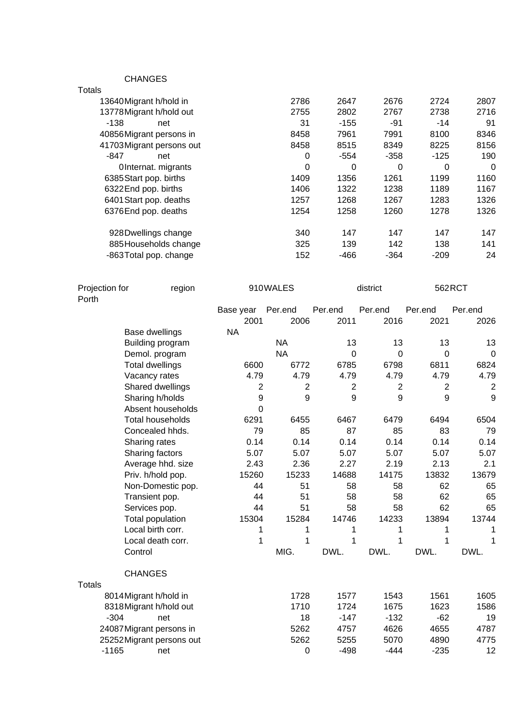CHANGES

| ט∟שותו וט                 |      |        |        |        |          |
|---------------------------|------|--------|--------|--------|----------|
| Totals                    |      |        |        |        |          |
| 13640 Migrant h/hold in   | 2786 | 2647   | 2676   | 2724   | 2807     |
| 13778Migrant h/hold out   | 2755 | 2802   | 2767   | 2738   | 2716     |
| $-138$<br>net             | 31   | $-155$ | -91    | $-14$  | 91       |
| 40856Migrant persons in   | 8458 | 7961   | 7991   | 8100   | 8346     |
| 41703 Migrant persons out | 8458 | 8515   | 8349   | 8225   | 8156     |
| -847<br>net               | 0    | $-554$ | $-358$ | $-125$ | 190      |
| OInternat. migrants       | 0    | 0      | 0      | 0      | $\Omega$ |
| 6385 Start pop. births    | 1409 | 1356   | 1261   | 1199   | 1160     |
| 6322End pop. births       | 1406 | 1322   | 1238   | 1189   | 1167     |
| 6401 Start pop. deaths    | 1257 | 1268   | 1267   | 1283   | 1326     |
| 6376End pop. deaths       | 1254 | 1258   | 1260   | 1278   | 1326     |
| 928 Dwellings change      | 340  | 147    | 147    | 147    | 147      |
| 885 Households change     | 325  | 139    | 142    | 138    | 141      |
| -863 Total pop. change    | 152  | $-466$ | $-364$ | $-209$ | 24       |
|                           |      |        |        |        |          |

| Projection for<br>Porth |                           | region |           | 910WALES       |                | district       | 562RCT         |                |
|-------------------------|---------------------------|--------|-----------|----------------|----------------|----------------|----------------|----------------|
|                         |                           |        | Base year | Per.end        | Per.end        | Per.end        | Per.end        | Per.end        |
|                         |                           |        | 2001      | 2006           | 2011           | 2016           | 2021           | 2026           |
|                         | Base dwellings            |        | <b>NA</b> |                |                |                |                |                |
|                         | Building program          |        |           | <b>NA</b>      | 13             | 13             | 13             | 13             |
|                         | Demol. program            |        |           | <b>NA</b>      | $\mathbf 0$    | $\mathbf 0$    | $\overline{0}$ | $\mathbf 0$    |
|                         | <b>Total dwellings</b>    |        | 6600      | 6772           | 6785           | 6798           | 6811           | 6824           |
|                         | Vacancy rates             |        | 4.79      | 4.79           | 4.79           | 4.79           | 4.79           | 4.79           |
|                         | Shared dwellings          |        | 2         | $\overline{2}$ | $\overline{2}$ | $\overline{2}$ | $\overline{2}$ | $\overline{2}$ |
|                         | Sharing h/holds           |        | 9         | 9              | 9              | 9              | 9              | 9              |
|                         | Absent households         |        | $\Omega$  |                |                |                |                |                |
|                         | <b>Total households</b>   |        | 6291      | 6455           | 6467           | 6479           | 6494           | 6504           |
|                         | Concealed hhds.           |        | 79        | 85             | 87             | 85             | 83             | 79             |
|                         | Sharing rates             |        | 0.14      | 0.14           | 0.14           | 0.14           | 0.14           | 0.14           |
|                         | Sharing factors           |        | 5.07      | 5.07           | 5.07           | 5.07           | 5.07           | 5.07           |
|                         | Average hhd. size         |        | 2.43      | 2.36           | 2.27           | 2.19           | 2.13           | 2.1            |
|                         | Priv. h/hold pop.         |        | 15260     | 15233          | 14688          | 14175          | 13832          | 13679          |
|                         | Non-Domestic pop.         |        | 44        | 51             | 58             | 58             | 62             | 65             |
|                         | Transient pop.            |        | 44        | 51             | 58             | 58             | 62             | 65             |
|                         | Services pop.             |        | 44        | 51             | 58             | 58             | 62             | 65             |
|                         | Total population          |        | 15304     | 15284          | 14746          | 14233          | 13894          | 13744          |
|                         | Local birth corr.         |        | 1         | 1              | 1              | 1              | 1              |                |
|                         | Local death corr.         |        | 1         | 1              | 1              | 1              | 1              | 1              |
|                         | Control                   |        |           | MIG.           | DWL.           | DWL.           | DWL.           | DWL.           |
|                         | <b>CHANGES</b>            |        |           |                |                |                |                |                |
| <b>Totals</b>           |                           |        |           |                |                |                |                |                |
|                         | 8014 Migrant h/hold in    |        |           | 1728           | 1577           | 1543           | 1561           | 1605           |
|                         | 8318 Migrant h/hold out   |        |           | 1710           | 1724           | 1675           | 1623           | 1586           |
|                         | $-304$                    | net    |           | 18             | $-147$         | $-132$         | $-62$          | 19             |
|                         | 24087 Migrant persons in  |        |           | 5262           | 4757           | 4626           | 4655           | 4787           |
|                         | 25252 Migrant persons out |        |           | 5262           | 5255           | 5070           | 4890           | 4775           |
| $-1165$                 |                           | net    |           | 0              | $-498$         | $-444$         | $-235$         | 12             |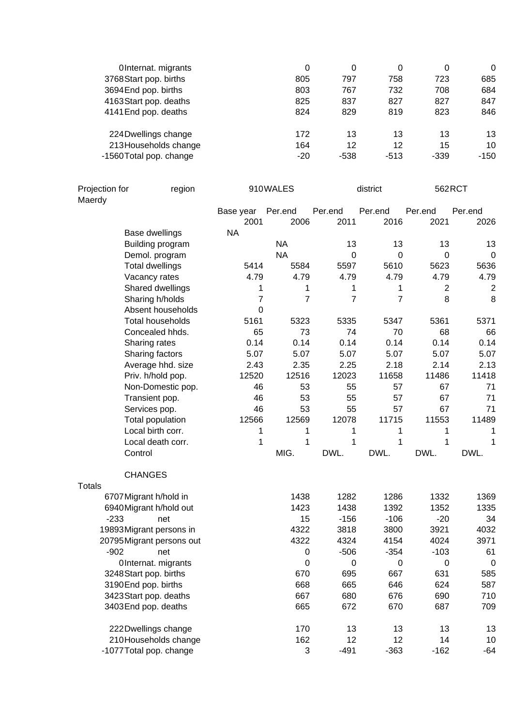| OInternat. migrants     | 0     | 0    | 0      | 0      | 0      |
|-------------------------|-------|------|--------|--------|--------|
| 3768 Start pop. births  | 805   | 797  | 758    | 723    | 685    |
| 3694 End pop. births    | 803   | 767  | 732    | 708    | 684    |
| 4163Start pop. deaths   | 825   | 837  | 827    | 827    | 847    |
| 4141 End pop. deaths    | 824   | 829  | 819    | 823    | 846    |
| 224 Dwellings change    | 172   | 13   | 13     | 13     | 13     |
| 213 Households change   | 164   | 12   | 12     | 15     | 10     |
| -1560 Total pop. change | $-20$ | -538 | $-513$ | $-339$ | $-150$ |

| Projection for<br>Maerdy | region                    |                | 910WALES    |             | district       | 562RCT         |                |
|--------------------------|---------------------------|----------------|-------------|-------------|----------------|----------------|----------------|
|                          |                           | Base year      | Per.end     | Per.end     | Per.end        | Per.end        | Per.end        |
|                          |                           | 2001           | 2006        | 2011        | 2016           | 2021           | 2026           |
|                          | Base dwellings            | <b>NA</b>      |             |             |                |                |                |
|                          | Building program          |                | <b>NA</b>   | 13          | 13             | 13             | 13             |
|                          | Demol. program            |                | <b>NA</b>   | $\mathbf 0$ | $\mathbf 0$    | $\overline{0}$ | $\mathbf 0$    |
|                          | <b>Total dwellings</b>    | 5414           | 5584        | 5597        | 5610           | 5623           | 5636           |
|                          | Vacancy rates             | 4.79           | 4.79        | 4.79        | 4.79           | 4.79           | 4.79           |
|                          | Shared dwellings          | 1              | 1           | 1           | 1              | $\overline{2}$ | $\overline{2}$ |
|                          | Sharing h/holds           | $\overline{7}$ | 7           | 7           | $\overline{7}$ | 8              | 8              |
|                          | Absent households         | 0              |             |             |                |                |                |
|                          | <b>Total households</b>   | 5161           | 5323        | 5335        | 5347           | 5361           | 5371           |
|                          | Concealed hhds.           | 65             | 73          | 74          | 70             | 68             | 66             |
|                          | Sharing rates             | 0.14           | 0.14        | 0.14        | 0.14           | 0.14           | 0.14           |
|                          | Sharing factors           | 5.07           | 5.07        | 5.07        | 5.07           | 5.07           | 5.07           |
|                          | Average hhd. size         | 2.43           | 2.35        | 2.25        | 2.18           | 2.14           | 2.13           |
|                          | Priv. h/hold pop.         | 12520          | 12516       | 12023       | 11658          | 11486          | 11418          |
|                          | Non-Domestic pop.         | 46             | 53          | 55          | 57             | 67             | 71             |
|                          | Transient pop.            | 46             | 53          | 55          | 57             | 67             | 71             |
|                          | Services pop.             | 46             | 53          | 55          | 57             | 67             | 71             |
|                          | Total population          | 12566          | 12569       | 12078       | 11715          | 11553          | 11489          |
|                          | Local birth corr.         | 1              | 1           | 1           | 1              | 1              | 1              |
|                          | Local death corr.         | 1              | 1           | 1           | 1              | 1              | 1              |
|                          | Control                   |                | MIG.        | DWL.        | DWL.           | DWL.           | DWL.           |
|                          | <b>CHANGES</b>            |                |             |             |                |                |                |
| <b>Totals</b>            |                           |                |             |             |                |                |                |
|                          | 6707 Migrant h/hold in    |                | 1438        | 1282        | 1286           | 1332           | 1369           |
|                          | 6940 Migrant h/hold out   |                | 1423        | 1438        | 1392           | 1352           | 1335           |
| $-233$                   | net                       |                | 15          | $-156$      | $-106$         | $-20$          | 34             |
|                          | 19893 Migrant persons in  |                | 4322        | 3818        | 3800           | 3921           | 4032           |
|                          | 20795 Migrant persons out |                | 4322        | 4324        | 4154           | 4024           | 3971           |
| $-902$                   | net                       |                | 0           | $-506$      | $-354$         | $-103$         | 61             |
|                          | OInternat. migrants       |                | $\mathbf 0$ | 0           | 0              | 0              | $\mathbf 0$    |
|                          | 3248 Start pop. births    |                | 670         | 695         | 667            | 631            | 585            |
|                          | 3190End pop. births       |                | 668         | 665         | 646            | 624            | 587            |
|                          | 3423 Start pop. deaths    |                | 667         | 680         | 676            | 690            | 710            |
|                          | 3403End pop. deaths       |                | 665         | 672         | 670            | 687            | 709            |
|                          | 222Dwellings change       |                | 170         | 13          | 13             | 13             | 13             |
|                          | 210 Households change     |                | 162         | 12          | 12             | 14             | 10             |
|                          | -1077 Total pop. change   |                | 3           | $-491$      | $-363$         | $-162$         | $-64$          |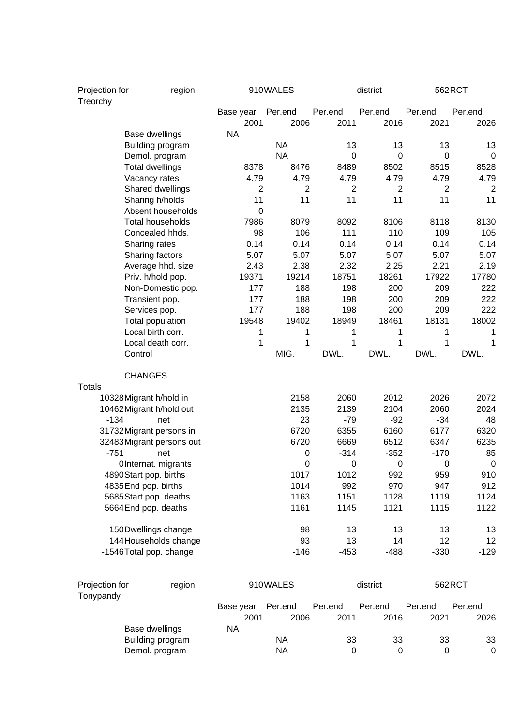| Projection for<br>Treorchy |                          | region |                   | 910WALES         |                 | district        |                  | 562RCT          |  |
|----------------------------|--------------------------|--------|-------------------|------------------|-----------------|-----------------|------------------|-----------------|--|
|                            |                          |        | Base year<br>2001 | Per.end<br>2006  | Per.end<br>2011 | Per.end<br>2016 | Per.end<br>2021  | Per.end<br>2026 |  |
|                            | Base dwellings           |        | <b>NA</b>         |                  |                 |                 |                  |                 |  |
|                            | Building program         |        |                   | <b>NA</b>        | 13              | 13              | 13               | 13              |  |
|                            | Demol. program           |        |                   | <b>NA</b>        | 0               | $\mathbf 0$     | 0                | 0               |  |
|                            | <b>Total dwellings</b>   |        | 8378              | 8476             | 8489            | 8502            | 8515             | 8528            |  |
|                            | Vacancy rates            |        | 4.79              | 4.79             | 4.79            | 4.79            | 4.79             | 4.79            |  |
|                            | Shared dwellings         |        | $\overline{2}$    | $\overline{2}$   | $\overline{2}$  | $\overline{2}$  | $\overline{2}$   | $\overline{2}$  |  |
|                            | Sharing h/holds          |        | 11                | 11               | 11              | 11              | 11               | 11              |  |
|                            | Absent households        |        | $\mathbf 0$       |                  |                 |                 |                  |                 |  |
|                            | <b>Total households</b>  |        | 7986              | 8079             | 8092            | 8106            | 8118             | 8130            |  |
|                            | Concealed hhds.          |        | 98                | 106              | 111             | 110             | 109              | 105             |  |
|                            | Sharing rates            |        | 0.14              | 0.14             | 0.14            | 0.14            | 0.14             | 0.14            |  |
|                            | Sharing factors          |        | 5.07              | 5.07             | 5.07            | 5.07            | 5.07             | 5.07            |  |
|                            | Average hhd. size        |        | 2.43              | 2.38             | 2.32            | 2.25            | 2.21             | 2.19            |  |
|                            | Priv. h/hold pop.        |        | 19371             | 19214            | 18751           | 18261           | 17922            | 17780           |  |
|                            | Non-Domestic pop.        |        | 177               | 188              | 198             | 200             | 209              | 222             |  |
|                            | Transient pop.           |        | 177               | 188              | 198             | 200             | 209              | 222             |  |
|                            | Services pop.            |        | 177               | 188              | 198             | 200             | 209              | 222             |  |
|                            | Total population         |        | 19548             | 19402            | 18949           | 18461           | 18131            | 18002           |  |
|                            | Local birth corr.        |        | 1                 | 1                | 1               | 1               | 1                | 1               |  |
|                            | Local death corr.        |        | 1                 | 1                | 1               | 1               | 1                | 1               |  |
|                            | Control                  |        |                   | MIG.             | DWL.            | DWL.            | DWL.             | DWL.            |  |
| <b>Totals</b>              | <b>CHANGES</b>           |        |                   |                  |                 |                 |                  |                 |  |
|                            | 10328 Migrant h/hold in  |        |                   | 2158             | 2060            | 2012            | 2026             | 2072            |  |
|                            | 10462 Migrant h/hold out |        |                   | 2135             | 2139            | 2104            | 2060             | 2024            |  |
| $-134$                     | net                      |        |                   | 23               | $-79$           | $-92$           | $-34$            | 48              |  |
|                            | 31732Migrant persons in  |        |                   | 6720             | 6355            | 6160            | 6177             | 6320            |  |
|                            | 32483Migrant persons out |        |                   | 6720             | 6669            | 6512            | 6347             | 6235            |  |
| $-751$                     | net                      |        |                   | 0                | $-314$          | $-352$          | $-170$           | 85              |  |
|                            | OInternat. migrants      |        |                   | $\boldsymbol{0}$ | $\mathbf 0$     | $\mathbf 0$     | $\boldsymbol{0}$ | $\mathbf 0$     |  |
|                            | 4890 Start pop. births   |        |                   | 1017             | 1012            | 992             | 959              | 910             |  |
|                            | 4835 End pop. births     |        |                   | 1014             | 992             | 970             | 947              | 912             |  |
|                            | 5685 Start pop. deaths   |        |                   | 1163             | 1151            | 1128            | 1119             | 1124            |  |
|                            | 5664 End pop. deaths     |        |                   | 1161             | 1145            | 1121            | 1115             | 1122            |  |
|                            | 150Dwellings change      |        |                   | 98               | 13              | 13              | 13               | 13              |  |
|                            | 144 Households change    |        |                   | 93               | 13              | 14              | 12               | 12              |  |
|                            | -1546 Total pop. change  |        |                   | $-146$           | $-453$          | $-488$          | $-330$           | $-129$          |  |
| Projection for             |                          | region |                   | 910WALES         |                 | district        |                  | 562RCT          |  |
| Tonypandy                  |                          |        |                   |                  |                 |                 |                  |                 |  |
|                            |                          |        | Base year         | Per.end          | Per.end         | Per.end         | Per.end          | Per.end         |  |
|                            |                          |        | 2001              | 2006             | 2011            | 2016            | 2021             | 2026            |  |
|                            | Base dwellings           |        | <b>NA</b>         |                  |                 |                 |                  |                 |  |
|                            | Building program         |        |                   | <b>NA</b>        | 33              | 33              | 33               | 33              |  |
| Demol. program             |                          |        |                   | <b>NA</b>        | $\pmb{0}$       | $\mathbf 0$     | 0                | 0               |  |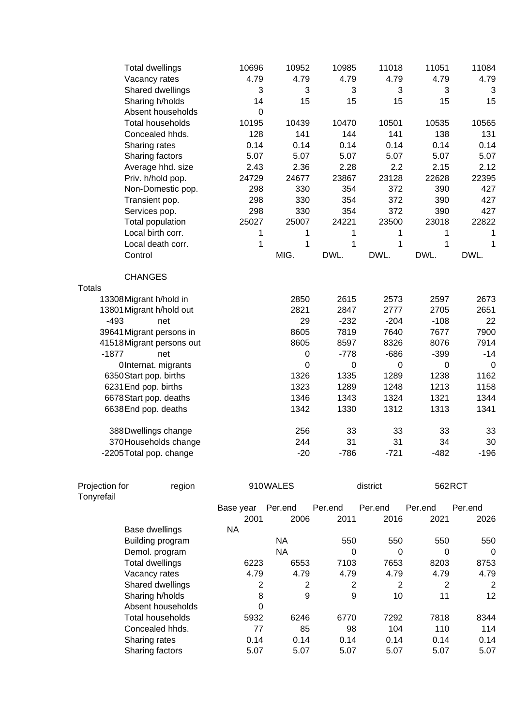| <b>Total dwellings</b>   | 10696       | 10952       | 10985  | 11018       | 11051       | 11084 |
|--------------------------|-------------|-------------|--------|-------------|-------------|-------|
| Vacancy rates            | 4.79        | 4.79        | 4.79   | 4.79        | 4.79        | 4.79  |
| Shared dwellings         | 3           | 3           | 3      | 3           | 3           | 3     |
| Sharing h/holds          | 14          | 15          | 15     | 15          | 15          | 15    |
| Absent households        | $\mathbf 0$ |             |        |             |             |       |
| <b>Total households</b>  | 10195       | 10439       | 10470  | 10501       | 10535       | 10565 |
| Concealed hhds.          | 128         | 141         | 144    | 141         | 138         | 131   |
| Sharing rates            | 0.14        | 0.14        | 0.14   | 0.14        | 0.14        | 0.14  |
| Sharing factors          | 5.07        | 5.07        | 5.07   | 5.07        | 5.07        | 5.07  |
| Average hhd. size        | 2.43        | 2.36        | 2.28   | 2.2         | 2.15        | 2.12  |
| Priv. h/hold pop.        | 24729       | 24677       | 23867  | 23128       | 22628       | 22395 |
| Non-Domestic pop.        | 298         | 330         | 354    | 372         | 390         | 427   |
| Transient pop.           | 298         | 330         | 354    | 372         | 390         | 427   |
| Services pop.            | 298         | 330         | 354    | 372         | 390         | 427   |
| Total population         | 25027       | 25007       | 24221  | 23500       | 23018       | 22822 |
| Local birth corr.        | 1           | 1           | 1      | 1           | 1           | 1     |
| Local death corr.        | 1           | 1           | 1      | 1           | $\mathbf 1$ | 1     |
| Control                  |             | MIG.        | DWL.   | DWL.        | DWL.        | DWL.  |
|                          |             |             |        |             |             |       |
| <b>CHANGES</b>           |             |             |        |             |             |       |
| <b>Totals</b>            |             |             |        |             |             |       |
| 13308 Migrant h/hold in  |             | 2850        | 2615   | 2573        | 2597        | 2673  |
| 13801 Migrant h/hold out |             | 2821        | 2847   | 2777        | 2705        | 2651  |
| $-493$<br>net            |             | 29          | $-232$ | $-204$      | $-108$      | 22    |
| 39641 Migrant persons in |             | 8605        | 7819   | 7640        | 7677        | 7900  |
| 41518Migrant persons out |             | 8605        | 8597   | 8326        | 8076        | 7914  |
| $-1877$<br>net           |             | 0           | $-778$ | $-686$      | $-399$      | $-14$ |
| OInternat. migrants      |             | $\mathbf 0$ | 0      | $\mathbf 0$ | $\mathbf 0$ | 0     |
| 6350Start pop. births    |             | 1326        | 1335   | 1289        | 1238        | 1162  |
| 6231 End pop. births     |             | 1323        | 1289   | 1248        | 1213        | 1158  |
| 6678Start pop. deaths    |             | 1346        | 1343   | 1324        | 1321        | 1344  |
| 6638 End pop. deaths     |             | 1342        | 1330   | 1312        | 1313        | 1341  |
| 388Dwellings change      |             | 256         | 33     | 33          | 33          | 33    |
| 370 Households change    |             | 244         | 31     | 31          | 34          | 30    |

| Projection for<br>Tonyrefail | region            | 910WALES  |         |         | district | 562RCT  |         |
|------------------------------|-------------------|-----------|---------|---------|----------|---------|---------|
|                              |                   | Base year | Per.end | Per.end | Per.end  | Per.end | Per.end |
|                              |                   | 2001      | 2006    | 2011    | 2016     | 2021    | 2026    |
|                              | Base dwellings    | NA        |         |         |          |         |         |
|                              | Building program  |           | NА      | 550     | 550      | 550     | 550     |
|                              | Demol. program    |           | ΝA      | 0       | 0        | 0       | 0       |
|                              | Total dwellings   | 6223      | 6553    | 7103    | 7653     | 8203    | 8753    |
|                              | Vacancy rates     | 4.79      | 4.79    | 4.79    | 4.79     | 4.79    | 4.79    |
|                              | Shared dwellings  | 2         | 2       | 2       | 2        | 2       | 2       |
|                              | Sharing h/holds   | 8         | 9       | 9       | 10       | 11      | 12      |
|                              | Absent households | $\Omega$  |         |         |          |         |         |
|                              | Total households  | 5932      | 6246    | 6770    | 7292     | 7818    | 8344    |
|                              | Concealed hhds.   | 77        | 85      | 98      | 104      | 110     | 114     |
|                              | Sharing rates     | 0.14      | 0.14    | 0.14    | 0.14     | 0.14    | 0.14    |
|                              | Sharing factors   | 5.07      | 5.07    | 5.07    | 5.07     | 5.07    | 5.07    |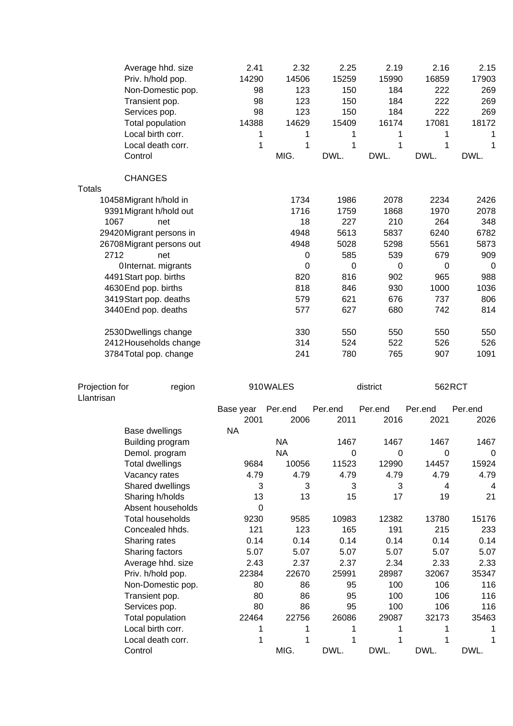|                | Average hhd. size<br>Priv. h/hold pop.<br>Non-Domestic pop.<br>Transient pop.<br>Services pop.<br>Total population<br>Local birth corr.<br>Local death corr.<br>Control | 2.41<br>14290<br>98<br>98<br>98<br>14388<br>1<br>1 | 2.32<br>14506<br>123<br>123<br>123<br>14629<br>1<br>1<br>MIG. | 2.25<br>15259<br>150<br>150<br>150<br>15409<br>1<br>1<br>DWL. | 2.19<br>15990<br>184<br>184<br>184<br>16174<br>1<br>1<br>DWL. | 2.16<br>16859<br>222<br>222<br>222<br>17081<br>1<br>1<br>DWL. | 2.15<br>17903<br>269<br>269<br>269<br>18172<br>1<br>1<br>DWL. |
|----------------|-------------------------------------------------------------------------------------------------------------------------------------------------------------------------|----------------------------------------------------|---------------------------------------------------------------|---------------------------------------------------------------|---------------------------------------------------------------|---------------------------------------------------------------|---------------------------------------------------------------|
|                | <b>CHANGES</b>                                                                                                                                                          |                                                    |                                                               |                                                               |                                                               |                                                               |                                                               |
| <b>Totals</b>  |                                                                                                                                                                         |                                                    |                                                               |                                                               |                                                               |                                                               |                                                               |
|                | 10458Migrant h/hold in                                                                                                                                                  |                                                    | 1734                                                          | 1986                                                          | 2078                                                          | 2234                                                          | 2426                                                          |
|                | 9391 Migrant h/hold out                                                                                                                                                 |                                                    | 1716                                                          | 1759                                                          | 1868                                                          | 1970                                                          | 2078                                                          |
| 1067           | net                                                                                                                                                                     |                                                    | 18                                                            | 227                                                           | 210                                                           | 264                                                           | 348                                                           |
|                | 29420Migrant persons in                                                                                                                                                 |                                                    | 4948                                                          | 5613                                                          | 5837                                                          | 6240                                                          | 6782                                                          |
|                | 26708 Migrant persons out                                                                                                                                               |                                                    | 4948                                                          | 5028                                                          | 5298                                                          | 5561                                                          | 5873                                                          |
| 2712           | net                                                                                                                                                                     |                                                    | 0                                                             | 585                                                           | 539                                                           | 679                                                           | 909                                                           |
|                | OInternat. migrants                                                                                                                                                     |                                                    | $\mathbf 0$                                                   | $\mathbf 0$                                                   | $\pmb{0}$                                                     | 0                                                             | 0                                                             |
|                | 4491 Start pop. births                                                                                                                                                  |                                                    | 820                                                           | 816                                                           | 902                                                           | 965                                                           | 988                                                           |
|                | 4630End pop. births                                                                                                                                                     |                                                    | 818                                                           | 846                                                           | 930                                                           | 1000                                                          | 1036                                                          |
|                | 3419 Start pop. deaths                                                                                                                                                  |                                                    | 579<br>577                                                    | 621                                                           | 676                                                           | 737<br>742                                                    | 806<br>814                                                    |
|                | 3440 End pop. deaths                                                                                                                                                    |                                                    |                                                               | 627                                                           | 680                                                           |                                                               |                                                               |
|                | 2530 Dwellings change                                                                                                                                                   |                                                    | 330                                                           | 550                                                           | 550                                                           | 550                                                           | 550                                                           |
|                | 2412 Households change                                                                                                                                                  |                                                    | 314                                                           | 524                                                           | 522                                                           | 526                                                           | 526                                                           |
|                | 3784 Total pop. change                                                                                                                                                  |                                                    | 241                                                           | 780                                                           | 765                                                           | 907                                                           | 1091                                                          |
|                |                                                                                                                                                                         |                                                    |                                                               |                                                               |                                                               |                                                               |                                                               |
| Projection for | region                                                                                                                                                                  |                                                    | 910WALES                                                      |                                                               | district                                                      |                                                               | 562RCT                                                        |
| Llantrisan     |                                                                                                                                                                         |                                                    | Per.end                                                       | Per.end                                                       | Per.end                                                       | Per.end                                                       | Per.end                                                       |
|                |                                                                                                                                                                         | Base year<br>2001                                  | 2006                                                          | 2011                                                          | 2016                                                          | 2021                                                          | 2026                                                          |
|                |                                                                                                                                                                         |                                                    |                                                               |                                                               |                                                               |                                                               |                                                               |
|                |                                                                                                                                                                         |                                                    |                                                               |                                                               |                                                               |                                                               |                                                               |
|                | Base dwellings                                                                                                                                                          | <b>NA</b>                                          | <b>NA</b>                                                     | 1467                                                          | 1467                                                          | 1467                                                          | 1467                                                          |
|                | Building program                                                                                                                                                        |                                                    | <b>NA</b>                                                     | 0                                                             | $\pmb{0}$                                                     | 0                                                             | 0                                                             |
|                | Demol. program<br><b>Total dwellings</b>                                                                                                                                | 9684                                               | 10056                                                         | 11523                                                         | 12990                                                         | 14457                                                         | 15924                                                         |
|                | Vacancy rates                                                                                                                                                           | 4.79                                               | 4.79                                                          | 4.79                                                          | 4.79                                                          | 4.79                                                          | 4.79                                                          |
|                | Shared dwellings                                                                                                                                                        | 3                                                  | 3                                                             | 3                                                             | 3                                                             | 4                                                             | 4                                                             |
|                | Sharing h/holds                                                                                                                                                         | 13                                                 | 13                                                            | 15                                                            | 17                                                            | 19                                                            | 21                                                            |
|                | Absent households                                                                                                                                                       | $\Omega$                                           |                                                               |                                                               |                                                               |                                                               |                                                               |
|                | <b>Total households</b>                                                                                                                                                 | 9230                                               | 9585                                                          | 10983                                                         | 12382                                                         | 13780                                                         | 15176                                                         |
|                | Concealed hhds.                                                                                                                                                         | 121                                                | 123                                                           | 165                                                           | 191                                                           | 215                                                           | 233                                                           |
|                | Sharing rates                                                                                                                                                           | 0.14                                               | 0.14                                                          | 0.14                                                          | 0.14                                                          | 0.14                                                          | 0.14                                                          |
|                | Sharing factors                                                                                                                                                         | 5.07                                               | 5.07                                                          | 5.07                                                          | 5.07                                                          | 5.07                                                          | 5.07                                                          |
|                | Average hhd. size                                                                                                                                                       | 2.43                                               | 2.37                                                          | 2.37                                                          | 2.34                                                          | 2.33                                                          | 2.33                                                          |
|                | Priv. h/hold pop.                                                                                                                                                       | 22384                                              | 22670                                                         | 25991                                                         | 28987                                                         | 32067                                                         | 35347                                                         |
|                | Non-Domestic pop.                                                                                                                                                       | 80                                                 | 86                                                            | 95                                                            | 100                                                           | 106                                                           | 116                                                           |
|                | Transient pop.                                                                                                                                                          | 80                                                 | 86                                                            | 95                                                            | 100                                                           | 106                                                           | 116                                                           |
|                | Services pop.                                                                                                                                                           | 80                                                 | 86                                                            | 95                                                            | 100                                                           | 106                                                           | 116                                                           |
|                | Total population                                                                                                                                                        | 22464                                              | 22756                                                         | 26086                                                         | 29087<br>1                                                    | 32173                                                         | 35463                                                         |
|                | Local birth corr.<br>Local death corr.                                                                                                                                  | 1<br>1                                             | 1<br>1                                                        | 1<br>1                                                        | 1                                                             | 1                                                             | 1                                                             |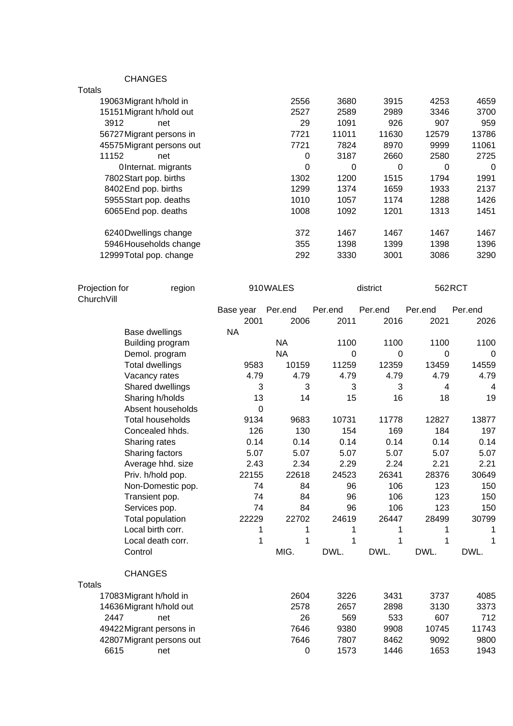CHANGES

| Totals                    |          |       |       |       |       |
|---------------------------|----------|-------|-------|-------|-------|
| 19063 Migrant h/hold in   | 2556     | 3680  | 3915  | 4253  | 4659  |
| 15151 Migrant h/hold out  | 2527     | 2589  | 2989  | 3346  | 3700  |
| 3912<br>net               | 29       | 1091  | 926   | 907   | 959   |
| 56727 Migrant persons in  | 7721     | 11011 | 11630 | 12579 | 13786 |
| 45575 Migrant persons out | 7721     | 7824  | 8970  | 9999  | 11061 |
| 11152<br>net              | 0        | 3187  | 2660  | 2580  | 2725  |
| OInternat. migrants       | $\Omega$ | 0     | 0     | 0     | 0     |
| 7802 Start pop. births    | 1302     | 1200  | 1515  | 1794  | 1991  |
| 8402End pop. births       | 1299     | 1374  | 1659  | 1933  | 2137  |
| 5955 Start pop. deaths    | 1010     | 1057  | 1174  | 1288  | 1426  |
| 6065 End pop. deaths      | 1008     | 1092  | 1201  | 1313  | 1451  |
| 6240 Dwellings change     | 372      | 1467  | 1467  | 1467  | 1467  |
| 5946 Households change    | 355      | 1398  | 1399  | 1398  | 1396  |
| 12999Total pop. change    | 292      | 3330  | 3001  | 3086  | 3290  |
|                           |          |       |       |       |       |

| Projection for<br>region<br>ChurchVill |                           |                | 910WALES         |         | district |                | 562RCT  |  |
|----------------------------------------|---------------------------|----------------|------------------|---------|----------|----------------|---------|--|
|                                        |                           | Base year      | Per.end          | Per.end | Per.end  | Per.end        | Per.end |  |
|                                        |                           | 2001           | 2006             | 2011    | 2016     | 2021           | 2026    |  |
|                                        | Base dwellings            | <b>NA</b>      |                  |         |          |                |         |  |
|                                        | Building program          |                | <b>NA</b>        | 1100    | 1100     | 1100           | 1100    |  |
|                                        | Demol. program            |                | <b>NA</b>        | 0       | 0        | 0              | 0       |  |
|                                        | <b>Total dwellings</b>    | 9583           | 10159            | 11259   | 12359    | 13459          | 14559   |  |
|                                        | Vacancy rates             | 4.79           | 4.79             | 4.79    | 4.79     | 4.79           | 4.79    |  |
|                                        | Shared dwellings          | 3              | 3                | 3       | 3        | $\overline{4}$ | 4       |  |
|                                        | Sharing h/holds           | 13             | 14               | 15      | 16       | 18             | 19      |  |
|                                        | Absent households         | $\overline{0}$ |                  |         |          |                |         |  |
|                                        | <b>Total households</b>   | 9134           | 9683             | 10731   | 11778    | 12827          | 13877   |  |
|                                        | Concealed hhds.           | 126            | 130              | 154     | 169      | 184            | 197     |  |
|                                        | Sharing rates             | 0.14           | 0.14             | 0.14    | 0.14     | 0.14           | 0.14    |  |
|                                        | Sharing factors           | 5.07           | 5.07             | 5.07    | 5.07     | 5.07           | 5.07    |  |
|                                        | Average hhd. size         | 2.43           | 2.34             | 2.29    | 2.24     | 2.21           | 2.21    |  |
|                                        | Priv. h/hold pop.         | 22155          | 22618            | 24523   | 26341    | 28376          | 30649   |  |
|                                        | Non-Domestic pop.         | 74             | 84               | 96      | 106      | 123            | 150     |  |
|                                        | Transient pop.            | 74             | 84               | 96      | 106      | 123            | 150     |  |
|                                        | Services pop.             | 74             | 84               | 96      | 106      | 123            | 150     |  |
|                                        | Total population          | 22229          | 22702            | 24619   | 26447    | 28499          | 30799   |  |
|                                        | Local birth corr.         | 1              | 1                | 1       | 1        | 1              | 1       |  |
|                                        | Local death corr.         | 1              | 1                | 1       | 1        | 1              | 1       |  |
|                                        | Control                   |                | MIG.             | DWL.    | DWL.     | DWL.           | DWL.    |  |
|                                        | <b>CHANGES</b>            |                |                  |         |          |                |         |  |
| <b>Totals</b>                          |                           |                |                  |         |          |                |         |  |
|                                        | 17083 Migrant h/hold in   |                | 2604             | 3226    | 3431     | 3737           | 4085    |  |
|                                        | 14636Migrant h/hold out   |                | 2578             | 2657    | 2898     | 3130           | 3373    |  |
| 2447                                   | net                       |                | 26               | 569     | 533      | 607            | 712     |  |
|                                        | 49422 Migrant persons in  |                | 7646             | 9380    | 9908     | 10745          | 11743   |  |
|                                        | 42807 Migrant persons out |                | 7646             | 7807    | 8462     | 9092           | 9800    |  |
| 6615                                   | net                       |                | $\boldsymbol{0}$ | 1573    | 1446     | 1653           | 1943    |  |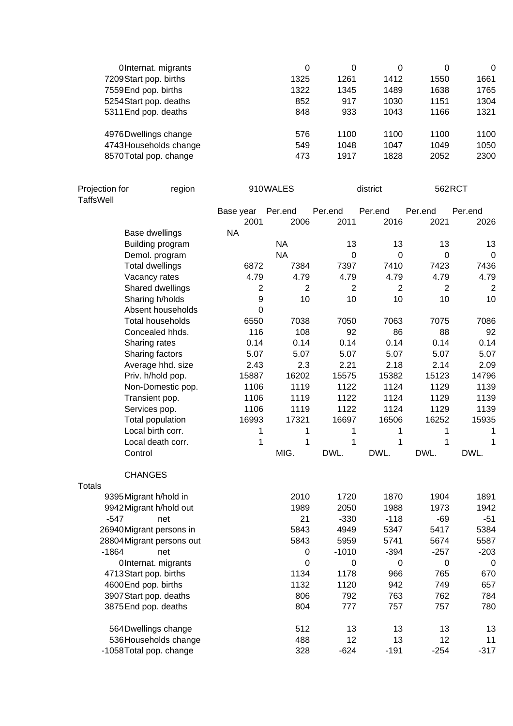| OInternat. migrants    | 0    | 0    | 0    | 0    | 0    |
|------------------------|------|------|------|------|------|
| 7209 Start pop. births | 1325 | 1261 | 1412 | 1550 | 1661 |
| 7559 End pop. births   | 1322 | 1345 | 1489 | 1638 | 1765 |
| 5254 Start pop. deaths | 852  | 917  | 1030 | 1151 | 1304 |
| 5311 End pop. deaths   | 848  | 933  | 1043 | 1166 | 1321 |
| 4976 Dwellings change  | 576  | 1100 | 1100 | 1100 | 1100 |
| 4743 Households change | 549  | 1048 | 1047 | 1049 | 1050 |
| 8570 Total pop. change | 473  | 1917 | 1828 | 2052 | 2300 |

| Projection for<br>region<br><b>TaffsWell</b> |                           |                | 910WALES       |             | district       |             | 562RCT         |  |
|----------------------------------------------|---------------------------|----------------|----------------|-------------|----------------|-------------|----------------|--|
|                                              |                           | Base year      | Per.end        | Per.end     | Per.end        | Per.end     | Per.end        |  |
|                                              |                           | 2001           | 2006           | 2011        | 2016           | 2021        | 2026           |  |
|                                              | Base dwellings            | <b>NA</b>      |                |             |                |             |                |  |
|                                              | Building program          |                | <b>NA</b>      | 13          | 13             | 13          | 13             |  |
|                                              | Demol. program            |                | <b>NA</b>      | $\mathbf 0$ | $\mathbf 0$    | $\mathbf 0$ | $\mathbf 0$    |  |
|                                              | <b>Total dwellings</b>    | 6872           | 7384           | 7397        | 7410           | 7423        | 7436           |  |
|                                              | Vacancy rates             | 4.79           | 4.79           | 4.79        | 4.79           | 4.79        | 4.79           |  |
|                                              | Shared dwellings          | $\overline{2}$ | $\overline{2}$ | 2           | $\overline{2}$ | 2           | $\overline{2}$ |  |
|                                              | Sharing h/holds           | 9              | 10             | 10          | 10             | 10          | 10             |  |
|                                              | Absent households         | $\overline{0}$ |                |             |                |             |                |  |
|                                              | <b>Total households</b>   | 6550           | 7038           | 7050        | 7063           | 7075        | 7086           |  |
|                                              | Concealed hhds.           | 116            | 108            | 92          | 86             | 88          | 92             |  |
|                                              | Sharing rates             | 0.14           | 0.14           | 0.14        | 0.14           | 0.14        | 0.14           |  |
|                                              | Sharing factors           | 5.07           | 5.07           | 5.07        | 5.07           | 5.07        | 5.07           |  |
|                                              | Average hhd. size         | 2.43           | 2.3            | 2.21        | 2.18           | 2.14        | 2.09           |  |
|                                              | Priv. h/hold pop.         | 15887          | 16202          | 15575       | 15382          | 15123       | 14796          |  |
|                                              | Non-Domestic pop.         | 1106           | 1119           | 1122        | 1124           | 1129        | 1139           |  |
|                                              | Transient pop.            | 1106           | 1119           | 1122        | 1124           | 1129        | 1139           |  |
|                                              | Services pop.             | 1106           | 1119           | 1122        | 1124           | 1129        | 1139           |  |
|                                              | Total population          | 16993          | 17321          | 16697       | 16506          | 16252       | 15935          |  |
|                                              | Local birth corr.         | 1              | 1              | 1           | 1              | 1           | 1              |  |
|                                              | Local death corr.         | 1              | 1              | 1           | 1              | 1           | 1              |  |
|                                              | Control                   |                | MIG.           | DWL.        | DWL.           | DWL.        | DWL.           |  |
| <b>Totals</b>                                | <b>CHANGES</b>            |                |                |             |                |             |                |  |
|                                              | 9395 Migrant h/hold in    |                | 2010           | 1720        | 1870           | 1904        | 1891           |  |
|                                              | 9942 Migrant h/hold out   |                | 1989           | 2050        | 1988           | 1973        | 1942           |  |
| $-547$                                       | net                       |                | 21             | $-330$      | $-118$         | $-69$       | $-51$          |  |
|                                              | 26940Migrant persons in   |                | 5843           | 4949        | 5347           | 5417        | 5384           |  |
|                                              | 28804 Migrant persons out |                | 5843           | 5959        | 5741           | 5674        | 5587           |  |
| $-1864$                                      | net                       |                | 0              | $-1010$     | $-394$         | $-257$      | $-203$         |  |
|                                              | OInternat. migrants       |                | $\Omega$       | 0           | 0              | 0           | $\mathbf 0$    |  |
|                                              | 4713Start pop. births     |                | 1134           | 1178        | 966            | 765         | 670            |  |
|                                              | 4600End pop. births       |                | 1132           | 1120        | 942            | 749         | 657            |  |
|                                              | 3907 Start pop. deaths    |                | 806            | 792         | 763            | 762         | 784            |  |
|                                              | 3875End pop. deaths       |                | 804            | 777         | 757            | 757         | 780            |  |
|                                              | 564Dwellings change       |                | 512            | 13          | 13             | 13          | 13             |  |
|                                              | 536 Households change     |                | 488            | 12          | 13             | 12          | 11             |  |
|                                              | -1058 Total pop. change   |                | 328            | $-624$      | $-191$         | $-254$      | $-317$         |  |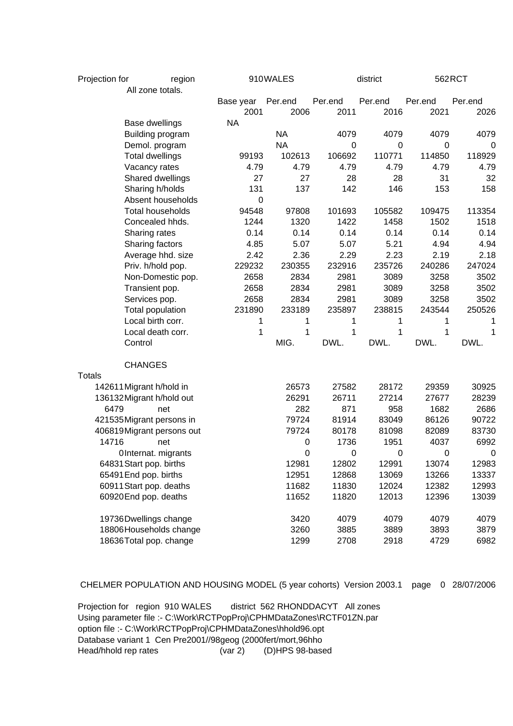| Projection for |                           | region                    |           | 910WALES  |         | district         |             | 562RCT      |
|----------------|---------------------------|---------------------------|-----------|-----------|---------|------------------|-------------|-------------|
|                | All zone totals.          |                           |           |           |         |                  |             |             |
|                |                           |                           | Base year | Per.end   | Per.end | Per.end          | Per.end     | Per.end     |
|                |                           |                           | 2001      | 2006      | 2011    | 2016             | 2021        | 2026        |
|                | <b>Base dwellings</b>     |                           | <b>NA</b> |           |         |                  |             |             |
|                | Building program          |                           |           | <b>NA</b> | 4079    | 4079             | 4079        | 4079        |
|                | Demol. program            |                           |           | <b>NA</b> | 0       | 0                | $\mathbf 0$ | 0           |
|                | <b>Total dwellings</b>    |                           | 99193     | 102613    | 106692  | 110771           | 114850      | 118929      |
|                | Vacancy rates             |                           | 4.79      | 4.79      | 4.79    | 4.79             | 4.79        | 4.79        |
|                | Shared dwellings          |                           | 27        | 27        | 28      | 28               | 31          | 32          |
|                | Sharing h/holds           |                           | 131       | 137       | 142     | 146              | 153         | 158         |
|                | Absent households         |                           | 0         |           |         |                  |             |             |
|                | <b>Total households</b>   |                           | 94548     | 97808     | 101693  | 105582           | 109475      | 113354      |
|                | Concealed hhds.           |                           | 1244      | 1320      | 1422    | 1458             | 1502        | 1518        |
|                | Sharing rates             |                           | 0.14      | 0.14      | 0.14    | 0.14             | 0.14        | 0.14        |
|                | Sharing factors           |                           | 4.85      | 5.07      | 5.07    | 5.21             | 4.94        | 4.94        |
|                | Average hhd. size         |                           | 2.42      | 2.36      | 2.29    | 2.23             | 2.19        | 2.18        |
|                | Priv. h/hold pop.         |                           | 229232    | 230355    | 232916  | 235726           | 240286      | 247024      |
|                | Non-Domestic pop.         |                           | 2658      | 2834      | 2981    | 3089             | 3258        | 3502        |
|                | Transient pop.            |                           | 2658      | 2834      | 2981    | 3089             | 3258        | 3502        |
|                | Services pop.             |                           | 2658      | 2834      | 2981    | 3089             | 3258        | 3502        |
|                | Total population          |                           | 231890    | 233189    | 235897  | 238815           | 243544      | 250526      |
|                | Local birth corr.         |                           | 1         | 1         | 1       | 1                | 1           | 1           |
|                | Local death corr.         |                           | 1         | 1         | 1       | 1                | 1           | 1           |
|                | Control                   |                           |           | MIG.      | DWL.    | DWL.             | DWL.        | DWL.        |
|                | <b>CHANGES</b>            |                           |           |           |         |                  |             |             |
| <b>Totals</b>  |                           |                           |           |           |         |                  |             |             |
|                | 142611 Migrant h/hold in  |                           |           | 26573     | 27582   | 28172            | 29359       | 30925       |
|                | 136132 Migrant h/hold out |                           |           | 26291     | 26711   | 27214            | 27677       | 28239       |
| 6479           |                           | net                       |           | 282       | 871     | 958              | 1682        | 2686        |
|                | 421535 Migrant persons in |                           |           | 79724     | 81914   | 83049            | 86126       | 90722       |
|                |                           | 406819Migrant persons out |           | 79724     | 80178   | 81098            | 82089       | 83730       |
| 14716          |                           | net                       |           | 0         | 1736    | 1951             | 4037        | 6992        |
|                | OInternat. migrants       |                           |           | 0         | 0       | $\boldsymbol{0}$ | 0           | $\mathbf 0$ |
|                | 64831 Start pop. births   |                           |           | 12981     | 12802   | 12991            | 13074       | 12983       |
|                | 65491 End pop. births     |                           |           | 12951     | 12868   | 13069            | 13266       | 13337       |
|                | 60911 Start pop. deaths   |                           |           | 11682     | 11830   | 12024            | 12382       | 12993       |
|                | 60920End pop. deaths      |                           |           | 11652     | 11820   | 12013            | 12396       | 13039       |
|                | 19736Dwellings change     |                           |           | 3420      | 4079    | 4079             | 4079        | 4079        |
|                |                           | 18806 Households change   |           | 3260      | 3885    | 3889             | 3893        | 3879        |
|                | 18636Total pop. change    |                           |           | 1299      | 2708    | 2918             | 4729        | 6982        |

CHELMER POPULATION AND HOUSING MODEL (5 year cohorts) Version 2003.1 page 0 28/07/2006

Projection for region 910 WALES district 562 RHONDDACYT All zones Using parameter file :- C:\Work\RCTPopProj\CPHMDataZones\RCTF01ZN.par option file :- C:\Work\RCTPopProj\CPHMDataZones\hhold96.opt Database variant 1 Cen Pre2001//98geog (2000fert/mort,96hho Head/hhold rep rates (var 2) (D)HPS 98-based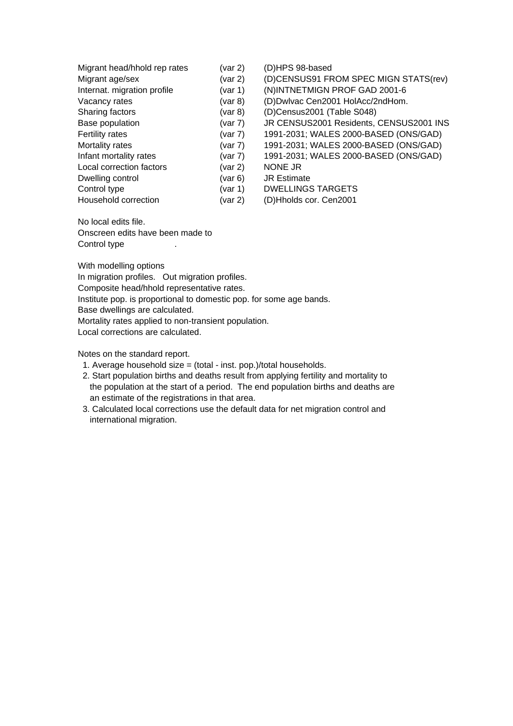| Migrant head/hhold rep rates | (var 2)       | (D)HPS 98-based                         |
|------------------------------|---------------|-----------------------------------------|
| Migrant age/sex              | (var 2)       | (D)CENSUS91 FROM SPEC MIGN STATS(rev)   |
| Internat. migration profile  | (var 1)       | (N)INTNETMIGN PROF GAD 2001-6           |
| Vacancy rates                | (var 8)       | (D)Dwlvac Cen2001 HolAcc/2ndHom.        |
| Sharing factors              | $($ var 8 $)$ | (D)Census2001 (Table S048)              |
| Base population              | (var 7)       | JR CENSUS2001 Residents, CENSUS2001 INS |
| Fertility rates              | (var 7)       | 1991-2031; WALES 2000-BASED (ONS/GAD)   |
| Mortality rates              | (var 7)       | 1991-2031; WALES 2000-BASED (ONS/GAD)   |
| Infant mortality rates       | (var 7)       | 1991-2031; WALES 2000-BASED (ONS/GAD)   |
| Local correction factors     | (var 2)       | <b>NONE JR</b>                          |
| Dwelling control             | (var 6)       | <b>JR Estimate</b>                      |
| Control type                 | (var 1)       | <b>DWELLINGS TARGETS</b>                |
| Household correction         | (var 2)       | (D)Hholds cor. Cen2001                  |

No local edits file. Onscreen edits have been made to Control type  $\qquad \qquad$ .

With modelling options In migration profiles. Out migration profiles. Composite head/hhold representative rates. Institute pop. is proportional to domestic pop. for some age bands. Base dwellings are calculated. Mortality rates applied to non-transient population. Local corrections are calculated.

Notes on the standard report.

- 1. Average household size = (total inst. pop.)/total households.
- 2. Start population births and deaths result from applying fertility and mortality to the population at the start of a period. The end population births and deaths are an estimate of the registrations in that area.
- 3. Calculated local corrections use the default data for net migration control and international migration.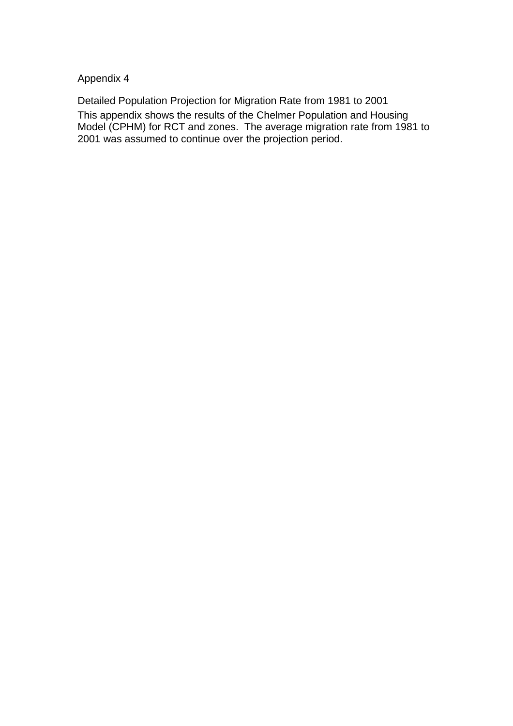Appendix 4

Detailed Population Projection for Migration Rate from 1981 to 2001 This appendix shows the results of the Chelmer Population and Housing Model (CPHM) for RCT and zones. The average migration rate from 1981 to 2001 was assumed to continue over the projection period.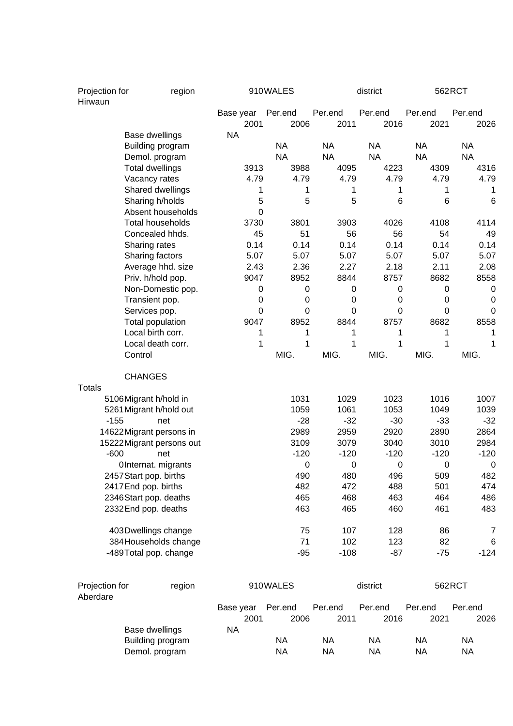| Projection for<br>region<br>Hirwaun |                           | 910WALES |                   |                 | district        | 562RCT          |                 |                 |
|-------------------------------------|---------------------------|----------|-------------------|-----------------|-----------------|-----------------|-----------------|-----------------|
|                                     |                           |          | Base year<br>2001 | Per.end<br>2006 | Per.end<br>2011 | Per.end<br>2016 | Per.end<br>2021 | Per.end<br>2026 |
|                                     | Base dwellings            |          | <b>NA</b>         |                 |                 |                 |                 |                 |
|                                     | Building program          |          |                   | <b>NA</b>       | <b>NA</b>       | <b>NA</b>       | <b>NA</b>       | <b>NA</b>       |
|                                     | Demol. program            |          |                   | <b>NA</b>       | <b>NA</b>       | <b>NA</b>       | <b>NA</b>       | <b>NA</b>       |
|                                     | <b>Total dwellings</b>    |          | 3913              | 3988            | 4095            | 4223            | 4309            | 4316            |
|                                     | Vacancy rates             |          | 4.79              | 4.79            | 4.79            | 4.79            | 4.79            | 4.79            |
|                                     | Shared dwellings          |          | 1                 | 1               | 1               | 1               | 1               | 1               |
|                                     | Sharing h/holds           |          | 5                 | 5               | 5               | 6               | 6               | 6               |
|                                     | Absent households         |          | 0                 |                 |                 |                 |                 |                 |
|                                     | <b>Total households</b>   |          | 3730              | 3801            | 3903            | 4026            | 4108            | 4114            |
|                                     | Concealed hhds.           |          | 45                | 51              | 56              | 56              | 54              | 49              |
|                                     | Sharing rates             |          | 0.14              | 0.14            | 0.14            | 0.14            | 0.14            | 0.14            |
|                                     | Sharing factors           |          | 5.07              | 5.07            | 5.07            | 5.07            | 5.07            | 5.07            |
|                                     | Average hhd. size         |          | 2.43              | 2.36            | 2.27            | 2.18            | 2.11            | 2.08            |
|                                     | Priv. h/hold pop.         |          | 9047              | 8952            | 8844            | 8757            | 8682            | 8558            |
|                                     | Non-Domestic pop.         |          | 0                 | 0               | 0               | $\pmb{0}$       | $\mathbf 0$     | 0               |
|                                     | Transient pop.            |          | 0                 | 0               | 0               | $\mathbf 0$     | $\mathbf 0$     | 0               |
|                                     | Services pop.             |          | $\mathbf 0$       | 0               | 0               | 0               | $\mathbf 0$     | 0               |
|                                     | Total population          |          | 9047              | 8952            | 8844            | 8757            | 8682            | 8558            |
|                                     | Local birth corr.         |          | 1                 | 1               | 1               | 1               | 1               | 1               |
|                                     | Local death corr.         |          | 1                 | 1               | 1               | 1               | 1               | 1               |
|                                     | Control                   |          |                   | MIG.            | MIG.            | MIG.            | MIG.            | MIG.            |
| <b>Totals</b>                       | <b>CHANGES</b>            |          |                   |                 |                 |                 |                 |                 |
|                                     | 5106Migrant h/hold in     |          |                   | 1031            | 1029            | 1023            | 1016            | 1007            |
|                                     | 5261 Migrant h/hold out   |          |                   | 1059            | 1061            | 1053            | 1049            | 1039            |
| $-155$                              | net                       |          |                   | $-28$           | $-32$           | $-30$           | $-33$           | $-32$           |
|                                     | 14622 Migrant persons in  |          |                   | 2989            | 2959            | 2920            | 2890            | 2864            |
|                                     | 15222 Migrant persons out |          |                   | 3109            | 3079            | 3040            | 3010            | 2984            |
| $-600$                              | net                       |          |                   | $-120$          | $-120$          | $-120$          | $-120$          | $-120$          |
|                                     | OInternat. migrants       |          |                   | 0               | 0               | 0               | $\mathbf 0$     | 0               |
|                                     | 2457 Start pop. births    |          |                   | 490             | 480             | 496             | 509             | 482             |
|                                     | 2417 End pop. births      |          |                   | 482             | 472             | 488             | 501             | 474             |
|                                     | 2346 Start pop. deaths    |          |                   | 465             | 468             | 463             | 464             | 486             |
|                                     | 2332 End pop. deaths      |          |                   | 463             | 465             | 460             | 461             | 483             |
|                                     | 403Dwellings change       |          |                   | 75              | 107             | 128             | 86              | 7               |
|                                     | 384 Households change     |          |                   | 71              | 102             | 123             | 82              | 6               |
|                                     | -489Total pop. change     |          |                   | $-95$           | $-108$          | $-87$           | $-75$           | $-124$          |
|                                     |                           |          |                   |                 |                 |                 |                 |                 |
| Projection for<br>Aberdare          |                           | region   |                   | 910WALES        |                 | district        |                 | 562RCT          |
|                                     |                           |          | Base year         | Per.end         | Per.end         | Per.end         | Per.end         | Per.end         |
|                                     |                           |          | 2001              | 2006            | 2011            | 2016            | 2021            | 2026            |
|                                     | Base dwellings            |          | <b>NA</b>         |                 |                 |                 |                 |                 |
|                                     | Building program          |          |                   | <b>NA</b>       | <b>NA</b>       | <b>NA</b>       | <b>NA</b>       | <b>NA</b>       |
|                                     | Demol. program            |          |                   | <b>NA</b>       | <b>NA</b>       | <b>NA</b>       | <b>NA</b>       | <b>NA</b>       |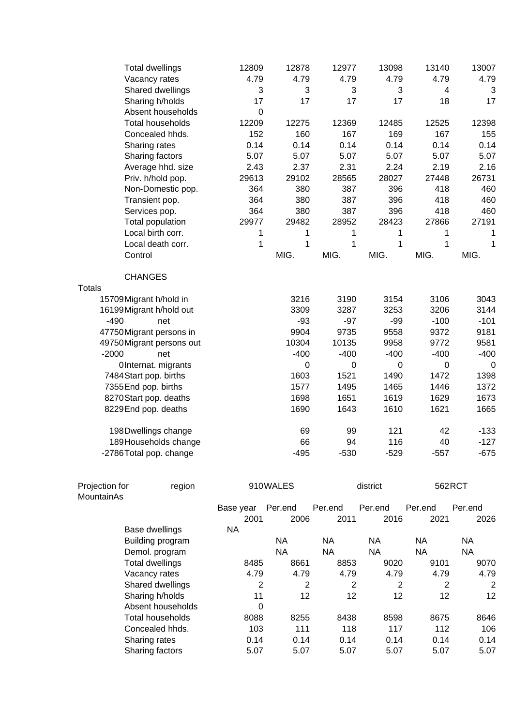| <b>Total dwellings</b>    | 12809       | 12878       | 12977       | 13098  | 13140  | 13007  |
|---------------------------|-------------|-------------|-------------|--------|--------|--------|
| Vacancy rates             | 4.79        | 4.79        | 4.79        | 4.79   | 4.79   | 4.79   |
| Shared dwellings          | 3           | 3           | 3           | 3      | 4      | 3      |
| Sharing h/holds           | 17          | 17          | 17          | 17     | 18     | 17     |
| Absent households         | $\mathbf 0$ |             |             |        |        |        |
| <b>Total households</b>   | 12209       | 12275       | 12369       | 12485  | 12525  | 12398  |
| Concealed hhds.           | 152         | 160         | 167         | 169    | 167    | 155    |
| Sharing rates             | 0.14        | 0.14        | 0.14        | 0.14   | 0.14   | 0.14   |
| Sharing factors           | 5.07        | 5.07        | 5.07        | 5.07   | 5.07   | 5.07   |
| Average hhd. size         | 2.43        | 2.37        | 2.31        | 2.24   | 2.19   | 2.16   |
| Priv. h/hold pop.         | 29613       | 29102       | 28565       | 28027  | 27448  | 26731  |
| Non-Domestic pop.         | 364         | 380         | 387         | 396    | 418    | 460    |
| Transient pop.            | 364         | 380         | 387         | 396    | 418    | 460    |
| Services pop.             | 364         | 380         | 387         | 396    | 418    | 460    |
| Total population          | 29977       | 29482       | 28952       | 28423  | 27866  | 27191  |
| Local birth corr.         | 1           | 1           | 1           | 1      | 1      | 1      |
| Local death corr.         | 1           | $\mathbf 1$ | $\mathbf 1$ | 1      | 1      | 1      |
| Control                   |             | MIG.        | MIG.        | MIG.   | MIG.   | MIG.   |
|                           |             |             |             |        |        |        |
| <b>CHANGES</b>            |             |             |             |        |        |        |
| <b>Totals</b>             |             |             |             |        |        |        |
| 15709 Migrant h/hold in   |             | 3216        | 3190        | 3154   | 3106   | 3043   |
| 16199Migrant h/hold out   |             | 3309        | 3287        | 3253   | 3206   | 3144   |
| $-490$<br>net             |             | $-93$       | $-97$       | $-99$  | $-100$ | $-101$ |
| 47750 Migrant persons in  |             | 9904        | 9735        | 9558   | 9372   | 9181   |
| 49750 Migrant persons out |             | 10304       | 10135       | 9958   | 9772   | 9581   |
| $-2000$<br>net            |             | $-400$      | $-400$      | $-400$ | $-400$ | $-400$ |
| OInternat. migrants       |             | 0           | $\mathbf 0$ | 0      | 0      | 0      |
| 7484 Start pop. births    |             | 1603        | 1521        | 1490   | 1472   | 1398   |
| 7355 End pop. births      |             | 1577        | 1495        | 1465   | 1446   | 1372   |
| 8270 Start pop. deaths    |             | 1698        | 1651        | 1619   | 1629   | 1673   |
| 8229 End pop. deaths      |             | 1690        | 1643        | 1610   | 1621   | 1665   |
| 198Dwellings change       |             | 69          | 99          | 121    | 42     | $-133$ |
| 189Households change      |             | 66          | 94          | 116    | 40     | $-127$ |
| -2786 Total pop. change   |             | $-495$      | $-530$      | $-529$ | $-557$ | $-675$ |

| Projection for<br>region |                   | 910WALES  |         |           | district  | 562RCT  |           |
|--------------------------|-------------------|-----------|---------|-----------|-----------|---------|-----------|
| MountainAs               |                   |           |         |           |           |         |           |
|                          |                   | Base year | Per.end | Per.end   | Per.end   | Per.end | Per.end   |
|                          |                   | 2001      | 2006    | 2011      | 2016      | 2021    | 2026      |
|                          | Base dwellings    | NA        |         |           |           |         |           |
|                          | Building program  |           | NA      | <b>NA</b> | <b>NA</b> | NA.     | <b>NA</b> |
|                          | Demol. program    |           | NA.     | <b>NA</b> | <b>NA</b> | ΝA      | <b>NA</b> |
|                          | Total dwellings   | 8485      | 8661    | 8853      | 9020      | 9101    | 9070      |
|                          | Vacancy rates     | 4.79      | 4.79    | 4.79      | 4.79      | 4.79    | 4.79      |
|                          | Shared dwellings  | 2         | 2       | 2         | 2         | 2       | 2         |
|                          | Sharing h/holds   | 11        | 12      | 12        | 12        | 12      | 12        |
|                          | Absent households | 0         |         |           |           |         |           |
|                          | Total households  | 8088      | 8255    | 8438      | 8598      | 8675    | 8646      |
|                          | Concealed hhds.   | 103       | 111     | 118       | 117       | 112     | 106       |
|                          | Sharing rates     | 0.14      | 0.14    | 0.14      | 0.14      | 0.14    | 0.14      |
|                          | Sharing factors   | 5.07      | 5.07    | 5.07      | 5.07      | 5.07    | 5.07      |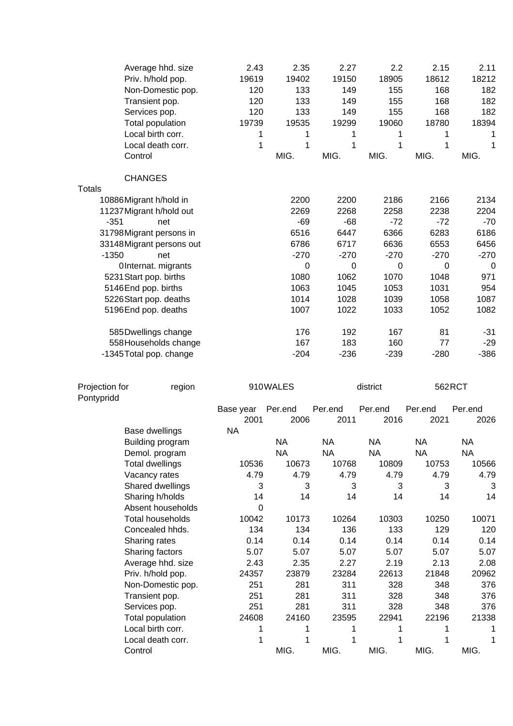|                | Average hhd. size<br>Priv. h/hold pop.<br>Non-Domestic pop.<br>Transient pop.<br>Services pop.<br>Total population<br>Local birth corr.<br>Local death corr.<br>Control | 2.43<br>19619<br>120<br>120<br>120<br>19739<br>1<br>1 | 2.35<br>19402<br>133<br>133<br>133<br>19535<br>1<br>1<br>MIG. | 2.27<br>19150<br>149<br>149<br>149<br>19299<br>1<br>1<br>MIG. | 2.2<br>18905<br>155<br>155<br>155<br>19060<br>1<br>1<br>MIG. | 2.15<br>18612<br>168<br>168<br>168<br>18780<br>1<br>1<br>MIG. | 2.11<br>18212<br>182<br>182<br>182<br>18394<br>1<br>1<br>MIG. |
|----------------|-------------------------------------------------------------------------------------------------------------------------------------------------------------------------|-------------------------------------------------------|---------------------------------------------------------------|---------------------------------------------------------------|--------------------------------------------------------------|---------------------------------------------------------------|---------------------------------------------------------------|
|                | <b>CHANGES</b>                                                                                                                                                          |                                                       |                                                               |                                                               |                                                              |                                                               |                                                               |
| <b>Totals</b>  |                                                                                                                                                                         |                                                       |                                                               |                                                               |                                                              |                                                               |                                                               |
|                | 10886Migrant h/hold in                                                                                                                                                  |                                                       | 2200                                                          | 2200                                                          | 2186                                                         | 2166                                                          | 2134                                                          |
|                | 11237 Migrant h/hold out                                                                                                                                                |                                                       | 2269                                                          | 2268                                                          | 2258                                                         | 2238                                                          | 2204                                                          |
| $-351$         | net                                                                                                                                                                     |                                                       | $-69$                                                         | $-68$                                                         | $-72$                                                        | $-72$                                                         | $-70$                                                         |
|                | 31798Migrant persons in                                                                                                                                                 |                                                       | 6516                                                          | 6447                                                          | 6366                                                         | 6283                                                          | 6186                                                          |
|                | 33148 Migrant persons out                                                                                                                                               |                                                       | 6786                                                          | 6717                                                          | 6636                                                         | 6553                                                          | 6456                                                          |
| $-1350$        | net                                                                                                                                                                     |                                                       | $-270$                                                        | $-270$                                                        | $-270$                                                       | $-270$                                                        | $-270$                                                        |
|                | OInternat. migrants                                                                                                                                                     |                                                       | 0                                                             | $\pmb{0}$                                                     | $\pmb{0}$                                                    | 0                                                             | 0                                                             |
|                | 5231 Start pop. births                                                                                                                                                  |                                                       | 1080                                                          | 1062                                                          | 1070                                                         | 1048                                                          | 971                                                           |
|                | 5146End pop. births                                                                                                                                                     |                                                       | 1063                                                          | 1045                                                          | 1053                                                         | 1031                                                          | 954                                                           |
|                | 5226 Start pop. deaths                                                                                                                                                  |                                                       | 1014                                                          | 1028                                                          | 1039                                                         | 1058                                                          | 1087                                                          |
|                | 5196End pop. deaths                                                                                                                                                     |                                                       | 1007                                                          | 1022                                                          | 1033                                                         | 1052                                                          | 1082                                                          |
|                | 585 Dwellings change                                                                                                                                                    |                                                       | 176                                                           | 192                                                           | 167                                                          | 81                                                            | $-31$                                                         |
|                | 558 Households change                                                                                                                                                   |                                                       | 167                                                           | 183                                                           | 160                                                          | 77                                                            | $-29$                                                         |
|                | -1345 Total pop. change                                                                                                                                                 |                                                       | $-204$                                                        | $-236$                                                        | $-239$                                                       | $-280$                                                        | $-386$                                                        |
| Projection for | region                                                                                                                                                                  |                                                       | 910WALES                                                      |                                                               | district                                                     | 562RCT                                                        |                                                               |
| Pontypridd     |                                                                                                                                                                         |                                                       |                                                               |                                                               |                                                              |                                                               |                                                               |
|                |                                                                                                                                                                         | Base year<br>2001                                     | Per.end<br>2006                                               | Per.end<br>2011                                               | Per.end<br>2016                                              | Per.end<br>2021                                               | Per.end<br>2026                                               |
|                | Base dwellings                                                                                                                                                          | <b>NA</b>                                             |                                                               |                                                               |                                                              |                                                               |                                                               |
|                | Building program                                                                                                                                                        |                                                       | <b>NA</b>                                                     | <b>NA</b>                                                     | <b>NA</b>                                                    | <b>NA</b>                                                     | <b>NA</b>                                                     |
|                | Demol. program                                                                                                                                                          |                                                       | <b>NA</b>                                                     | <b>NA</b>                                                     | <b>NA</b>                                                    | <b>NA</b>                                                     | <b>NA</b>                                                     |
|                | <b>Total dwellings</b>                                                                                                                                                  | 10536                                                 | 10673                                                         | 10768                                                         | 10809                                                        | 10753                                                         | 10566                                                         |
|                | Vacancy rates                                                                                                                                                           | 4.79                                                  | 4.79                                                          | 4.79                                                          | 4.79                                                         | 4.79                                                          | 4.79                                                          |
|                | Shared dwellings                                                                                                                                                        | 3                                                     | 3                                                             | 3                                                             | 3                                                            | 3                                                             | 3                                                             |
|                | Sharing h/holds                                                                                                                                                         | 14                                                    | 14                                                            | 14                                                            | 14                                                           | 14                                                            | 14                                                            |
|                | Absent households                                                                                                                                                       | $\Omega$                                              |                                                               |                                                               |                                                              |                                                               |                                                               |
|                | <b>Total households</b>                                                                                                                                                 | 10042                                                 | 10173                                                         | 10264                                                         | 10303                                                        | 10250                                                         | 10071                                                         |
|                | Concealed hhds.                                                                                                                                                         | 134                                                   | 134                                                           | 136                                                           | 133                                                          | 129                                                           | 120                                                           |
|                | Sharing rates                                                                                                                                                           | 0.14                                                  | 0.14                                                          | 0.14                                                          | 0.14                                                         | 0.14                                                          | 0.14                                                          |
|                | Sharing factors                                                                                                                                                         | 5.07                                                  | 5.07                                                          | 5.07                                                          | 5.07                                                         | 5.07                                                          | 5.07                                                          |
|                | Average hhd. size                                                                                                                                                       | 2.43                                                  | 2.35                                                          | 2.27                                                          | 2.19                                                         | 2.13                                                          | 2.08                                                          |
|                | Priv. h/hold pop.                                                                                                                                                       | 24357                                                 | 23879                                                         | 23284                                                         | 22613                                                        | 21848                                                         | 20962                                                         |
|                | Non-Domestic pop.                                                                                                                                                       | 251                                                   | 281                                                           | 311                                                           | 328                                                          | 348                                                           | 376                                                           |
|                | Transient pop.                                                                                                                                                          | 251                                                   | 281<br>281                                                    | 311<br>311                                                    | 328                                                          | 348                                                           | 376                                                           |
|                | Services pop.                                                                                                                                                           | 251<br>24608                                          | 24160                                                         | 23595                                                         | 328<br>22941                                                 | 348<br>22196                                                  | 376<br>21338                                                  |
|                | Total population<br>Local birth corr.                                                                                                                                   | 1                                                     | 1                                                             | 1                                                             | 1                                                            |                                                               |                                                               |
|                | Local death corr.                                                                                                                                                       | 1                                                     | 1                                                             | 1                                                             | 1                                                            | 1                                                             | 1                                                             |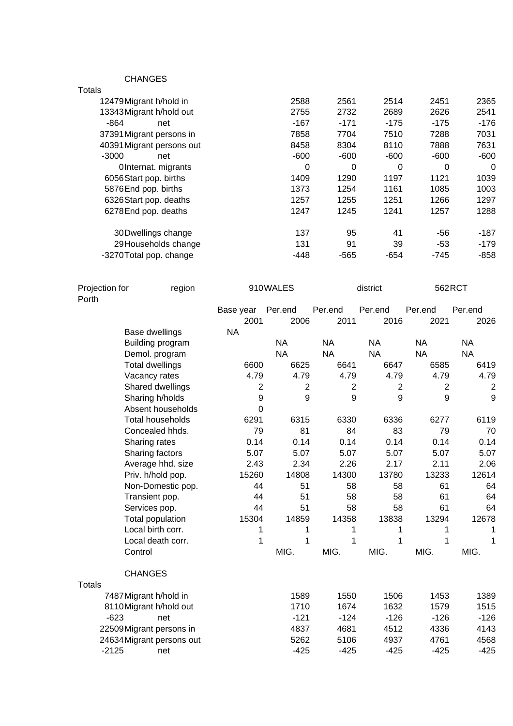CHANGES

| Totals                    |        |        |        |        |          |
|---------------------------|--------|--------|--------|--------|----------|
| 12479Migrant h/hold in    | 2588   | 2561   | 2514   | 2451   | 2365     |
| 13343 Migrant h/hold out  | 2755   | 2732   | 2689   | 2626   | 2541     |
| -864<br>net               | $-167$ | $-171$ | $-175$ | $-175$ | -176     |
| 37391 Migrant persons in  | 7858   | 7704   | 7510   | 7288   | 7031     |
| 40391 Migrant persons out | 8458   | 8304   | 8110   | 7888   | 7631     |
| $-3000$<br>net            | $-600$ | $-600$ | $-600$ | $-600$ | -600     |
| OInternat. migrants       | 0      | 0      | 0      | 0      | $\Omega$ |
| 6056 Start pop. births    | 1409   | 1290   | 1197   | 1121   | 1039     |
| 5876End pop. births       | 1373   | 1254   | 1161   | 1085   | 1003     |
| 6326 Start pop. deaths    | 1257   | 1255   | 1251   | 1266   | 1297     |
| 6278 End pop. deaths      | 1247   | 1245   | 1241   | 1257   | 1288     |
| 30 Dwellings change       | 137    | 95     | 41     | $-56$  | -187     |
| 29 Households change      | 131    | 91     | 39     | -53    | -179     |
| -3270 Total pop. change   | $-448$ | -565   | $-654$ | -745   | -858     |
|                           |        |        |        |        |          |

| Projection for<br>Porth | region                    |           | 910WALES       |                | district       | 562RCT         |              |
|-------------------------|---------------------------|-----------|----------------|----------------|----------------|----------------|--------------|
|                         |                           | Base year | Per.end        | Per.end        | Per.end        | Per.end        | Per.end      |
|                         |                           | 2001      | 2006           | 2011           | 2016           | 2021           | 2026         |
|                         | Base dwellings            | <b>NA</b> |                |                |                |                |              |
|                         | Building program          |           | <b>NA</b>      | <b>NA</b>      | <b>NA</b>      | <b>NA</b>      | <b>NA</b>    |
|                         | Demol. program            |           | <b>NA</b>      | <b>NA</b>      | <b>NA</b>      | <b>NA</b>      | <b>NA</b>    |
|                         | <b>Total dwellings</b>    | 6600      | 6625           | 6641           | 6647           | 6585           | 6419         |
|                         | Vacancy rates             | 4.79      | 4.79           | 4.79           | 4.79           | 4.79           | 4.79         |
|                         | Shared dwellings          | 2         | $\overline{2}$ | $\overline{2}$ | $\overline{2}$ | $\overline{c}$ | $\mathbf{2}$ |
|                         | Sharing h/holds           | 9         | 9              | 9              | 9              | 9              | 9            |
|                         | Absent households         | 0         |                |                |                |                |              |
|                         | Total households          | 6291      | 6315           | 6330           | 6336           | 6277           | 6119         |
|                         | Concealed hhds.           | 79        | 81             | 84             | 83             | 79             | 70           |
|                         | Sharing rates             | 0.14      | 0.14           | 0.14           | 0.14           | 0.14           | 0.14         |
|                         | Sharing factors           | 5.07      | 5.07           | 5.07           | 5.07           | 5.07           | 5.07         |
|                         | Average hhd. size         | 2.43      | 2.34           | 2.26           | 2.17           | 2.11           | 2.06         |
|                         | Priv. h/hold pop.         | 15260     | 14808          | 14300          | 13780          | 13233          | 12614        |
|                         | Non-Domestic pop.         | 44        | 51             | 58             | 58             | 61             | 64           |
|                         | Transient pop.            | 44        | 51             | 58             | 58             | 61             | 64           |
|                         | Services pop.             | 44        | 51             | 58             | 58             | 61             | 64           |
|                         | Total population          | 15304     | 14859          | 14358          | 13838          | 13294          | 12678        |
|                         | Local birth corr.         | 1         | 1              | 1              | 1              | 1              | 1            |
|                         | Local death corr.         | 1         | 1              | 1              | 1              | 1              | 1            |
| Control                 |                           |           | MIG.           | MIG.           | MIG.           | MIG.           | MIG.         |
|                         | <b>CHANGES</b>            |           |                |                |                |                |              |
| <b>Totals</b>           |                           |           |                |                |                |                |              |
|                         | 7487 Migrant h/hold in    |           | 1589           | 1550           | 1506           | 1453           | 1389         |
|                         | 8110Migrant h/hold out    |           | 1710           | 1674           | 1632           | 1579           | 1515         |
| $-623$                  | net                       |           | $-121$         | $-124$         | $-126$         | $-126$         | $-126$       |
|                         | 22509 Migrant persons in  |           | 4837           | 4681           | 4512           | 4336           | 4143         |
|                         | 24634 Migrant persons out |           | 5262           | 5106           | 4937           | 4761           | 4568         |
| $-2125$                 | net                       |           | $-425$         | $-425$         | $-425$         | $-425$         | $-425$       |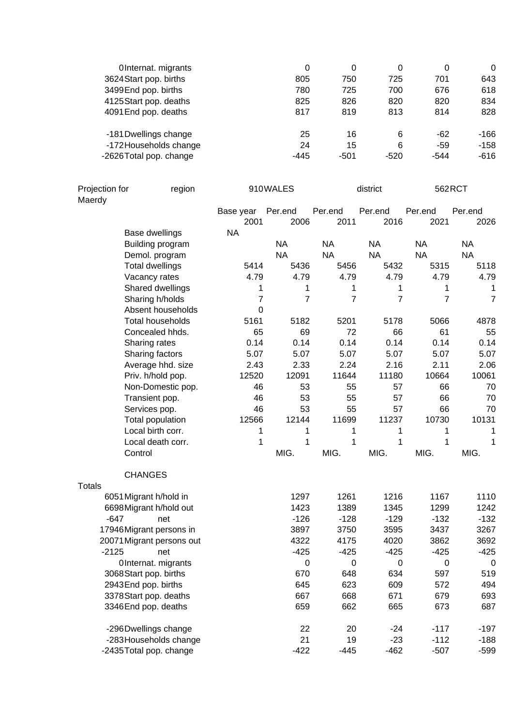| OInternat. migrants    | 0    | 0      | 0      | 0     | $\Omega$ |
|------------------------|------|--------|--------|-------|----------|
| 3624 Start pop. births | 805  | 750    | 725    | 701   | 643      |
| 3499 End pop. births   | 780  | 725    | 700    | 676   | 618      |
| 4125 Start pop. deaths | 825  | 826    | 820    | 820   | 834      |
| 4091 End pop. deaths   | 817  | 819    | 813    | 814   | 828      |
| -181 Dwellings change  | 25   | 16     | 6      | $-62$ | -166     |
| -172 Households change | 24   | 15     | 6      | -59   | $-158$   |
| -2626Total pop. change | -445 | $-501$ | $-520$ | -544  | -616     |

| Projection for | region                    |                   | 910WALES        |                 | district        |                 | 562RCT          |
|----------------|---------------------------|-------------------|-----------------|-----------------|-----------------|-----------------|-----------------|
| Maerdy         |                           |                   |                 |                 |                 |                 |                 |
|                |                           | Base year<br>2001 | Per.end<br>2006 | Per.end<br>2011 | Per.end<br>2016 | Per.end<br>2021 | Per.end<br>2026 |
|                | Base dwellings            | <b>NA</b>         |                 |                 |                 |                 |                 |
|                | Building program          |                   | <b>NA</b>       | <b>NA</b>       | <b>NA</b>       | <b>NA</b>       | <b>NA</b>       |
|                | Demol. program            |                   | <b>NA</b>       | <b>NA</b>       | <b>NA</b>       | <b>NA</b>       | <b>NA</b>       |
|                | <b>Total dwellings</b>    | 5414              | 5436            | 5456            | 5432            | 5315            | 5118            |
|                | Vacancy rates             | 4.79              | 4.79            | 4.79            | 4.79            | 4.79            | 4.79            |
|                | Shared dwellings          | 1                 | 1               | 1               | 1               | 1               | 1               |
|                | Sharing h/holds           | $\overline{7}$    | $\overline{7}$  | $\overline{7}$  | $\overline{7}$  | $\overline{7}$  | $\overline{7}$  |
|                | Absent households         | 0                 |                 |                 |                 |                 |                 |
|                | Total households          | 5161              | 5182            | 5201            | 5178            | 5066            | 4878            |
|                | Concealed hhds.           | 65                | 69              | 72              | 66              | 61              | 55              |
|                | Sharing rates             | 0.14              | 0.14            | 0.14            | 0.14            | 0.14            | 0.14            |
|                | Sharing factors           | 5.07              | 5.07            | 5.07            | 5.07            | 5.07            | 5.07            |
|                | Average hhd. size         | 2.43              | 2.33            | 2.24            | 2.16            | 2.11            | 2.06            |
|                | Priv. h/hold pop.         | 12520             | 12091           | 11644           | 11180           | 10664           | 10061           |
|                | Non-Domestic pop.         | 46                | 53              | 55              | 57              | 66              | 70              |
|                | Transient pop.            | 46                | 53              | 55              | 57              | 66              | 70              |
|                | Services pop.             | 46                | 53              | 55              | 57              | 66              | 70              |
|                | Total population          | 12566             | 12144           | 11699           | 11237           | 10730           | 10131           |
|                | Local birth corr.         | 1                 | 1               | 1               | 1               | 1               | 1               |
|                | Local death corr.         | 1                 | 1               | 1               | 1               | 1               | 1               |
|                | Control                   |                   | MIG.            | MIG.            | MIG.            | MIG.            | MIG.            |
|                | <b>CHANGES</b>            |                   |                 |                 |                 |                 |                 |
| <b>Totals</b>  |                           |                   |                 |                 |                 |                 |                 |
|                | 6051 Migrant h/hold in    |                   | 1297            | 1261            | 1216            | 1167            | 1110            |
|                | 6698 Migrant h/hold out   |                   | 1423            | 1389            | 1345            | 1299            | 1242            |
| $-647$         | net                       |                   | $-126$          | $-128$          | $-129$          | $-132$          | $-132$          |
|                | 17946Migrant persons in   |                   | 3897            | 3750            | 3595            | 3437            | 3267            |
|                | 20071 Migrant persons out |                   | 4322            | 4175            | 4020            | 3862            | 3692            |
| $-2125$        | net                       |                   | $-425$          | $-425$          | $-425$          | $-425$          | $-425$          |
|                | OInternat. migrants       |                   | 0               | 0               | $\pmb{0}$       | $\pmb{0}$       | $\mathbf 0$     |
|                | 3068Start pop. births     |                   | 670             | 648             | 634             | 597             | 519             |
|                | 2943End pop. births       |                   | 645             | 623             | 609             | 572             | 494             |
|                | 3378Start pop. deaths     |                   | 667             | 668             | 671             | 679             | 693             |
|                | 3346End pop. deaths       |                   | 659             | 662             | 665             | 673             | 687             |
|                | -296Dwellings change      |                   | 22              | 20              | $-24$           | $-117$          | $-197$          |
|                | -283 Households change    |                   | 21              | 19              | $-23$           | $-112$          | $-188$          |
|                | -2435 Total pop. change   |                   | $-422$          | $-445$          | $-462$          | $-507$          | $-599$          |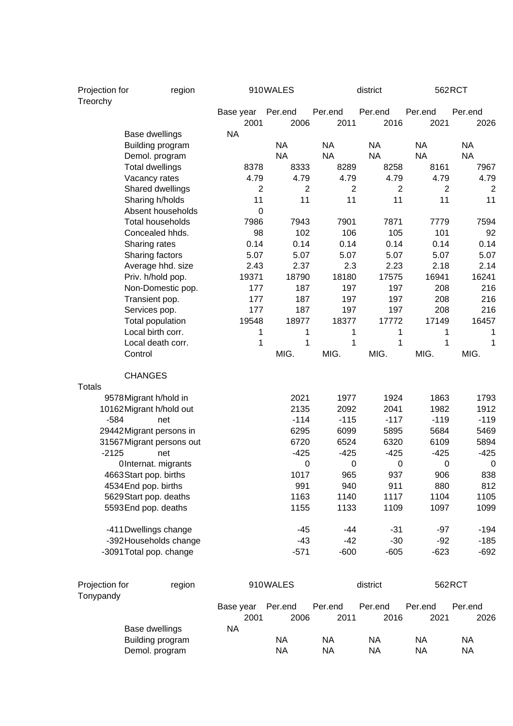| Projection for<br>Treorchy |                                 | region |                   | 910WALES        |                  | district         |                  | 562RCT          |
|----------------------------|---------------------------------|--------|-------------------|-----------------|------------------|------------------|------------------|-----------------|
|                            |                                 |        | Base year<br>2001 | Per.end<br>2006 | Per.end<br>2011  | Per.end<br>2016  | Per.end<br>2021  | Per.end<br>2026 |
|                            | Base dwellings                  |        | <b>NA</b>         |                 |                  |                  |                  |                 |
|                            | Building program                |        |                   | <b>NA</b>       | <b>NA</b>        | <b>NA</b>        | <b>NA</b>        | <b>NA</b>       |
|                            | Demol. program                  |        |                   | <b>NA</b>       | <b>NA</b>        | <b>NA</b>        | <b>NA</b>        | <b>NA</b>       |
|                            | <b>Total dwellings</b>          |        | 8378              | 8333            | 8289             | 8258             | 8161             | 7967            |
|                            | Vacancy rates                   |        | 4.79              | 4.79            | 4.79             | 4.79             | 4.79             | 4.79            |
|                            | Shared dwellings                |        | 2                 | 2               | $\overline{2}$   | $\overline{c}$   | 2                | $\overline{2}$  |
|                            | Sharing h/holds                 |        | 11                | 11              | 11               | 11               | 11               | 11              |
|                            | Absent households               |        | 0                 |                 |                  |                  |                  |                 |
|                            | <b>Total households</b>         |        | 7986              | 7943            | 7901             | 7871             | 7779             | 7594            |
|                            | Concealed hhds.                 |        | 98                | 102             | 106              | 105              | 101              | 92              |
|                            | Sharing rates                   |        | 0.14              | 0.14            | 0.14             | 0.14             | 0.14             | 0.14            |
|                            | Sharing factors                 |        | 5.07              | 5.07            | 5.07             | 5.07             | 5.07             | 5.07            |
|                            | Average hhd. size               |        | 2.43              | 2.37            | 2.3              | 2.23             | 2.18             | 2.14            |
|                            | Priv. h/hold pop.               |        | 19371             | 18790           | 18180            | 17575            | 16941            | 16241           |
|                            | Non-Domestic pop.               |        | 177<br>177        | 187<br>187      | 197<br>197       | 197<br>197       | 208<br>208       | 216<br>216      |
|                            | Transient pop.<br>Services pop. |        | 177               | 187             | 197              | 197              | 208              | 216             |
|                            | Total population                |        | 19548             | 18977           | 18377            | 17772            | 17149            | 16457           |
|                            | Local birth corr.               |        | 1                 | 1               | 1                | 1                | 1                | 1               |
|                            | Local death corr.               |        | 1                 | 1               | 1                | 1                | 1                | 1               |
|                            | Control                         |        |                   | MIG.            | MIG.             | MIG.             | MIG.             | MIG.            |
|                            | <b>CHANGES</b>                  |        |                   |                 |                  |                  |                  |                 |
| <b>Totals</b>              |                                 |        |                   |                 |                  |                  |                  |                 |
|                            | 9578 Migrant h/hold in          |        |                   | 2021            | 1977             | 1924             | 1863             | 1793            |
|                            | 10162 Migrant h/hold out        |        |                   | 2135            | 2092             | 2041             | 1982             | 1912            |
| $-584$                     | net                             |        |                   | $-114$          | $-115$           | $-117$           | $-119$           | $-119$          |
|                            | 29442Migrant persons in         |        |                   | 6295            | 6099             | 5895             | 5684             | 5469            |
|                            | 31567 Migrant persons out       |        |                   | 6720            | 6524             | 6320             | 6109             | 5894            |
| $-2125$                    | net                             |        |                   | $-425$          | $-425$           | $-425$           | $-425$           | $-425$          |
|                            | OInternat. migrants             |        |                   | 0               | $\boldsymbol{0}$ | $\boldsymbol{0}$ | $\boldsymbol{0}$ | $\mathbf 0$     |
|                            | 4663Start pop. births           |        |                   | 1017            | 965              | 937              | 906              | 838             |
|                            | 4534 End pop. births            |        |                   | 991             | 940              | 911              | 880              | 812             |
|                            | 5629Start pop. deaths           |        |                   | 1163            | 1140             | 1117             | 1104             | 1105            |
|                            | 5593End pop. deaths             |        |                   | 1155            | 1133             | 1109             | 1097             | 1099            |
|                            | -411 Dwellings change           |        |                   | $-45$           | $-44$            | $-31$            | $-97$            | $-194$          |
|                            | -392 Households change          |        |                   | $-43$           | $-42$            | $-30$            | $-92$            | $-185$          |
|                            | -3091 Total pop. change         |        |                   | $-571$          | $-600$           | $-605$           | $-623$           | $-692$          |
| Projection for             |                                 |        |                   | 910WALES        |                  | district         |                  | 562RCT          |
| Tonypandy                  |                                 | region |                   |                 |                  |                  |                  |                 |
|                            |                                 |        | Base year         | Per.end         | Per.end          | Per.end          | Per.end          | Per.end         |
|                            |                                 |        | 2001              | 2006            | 2011             | 2016             | 2021             | 2026            |
|                            | Base dwellings                  |        | <b>NA</b>         |                 |                  |                  |                  |                 |
|                            | Building program                |        |                   | <b>NA</b>       | <b>NA</b>        | <b>NA</b>        | <b>NA</b>        | <b>NA</b>       |
|                            | Demol. program                  |        |                   | <b>NA</b>       | <b>NA</b>        | <b>NA</b>        | <b>NA</b>        | <b>NA</b>       |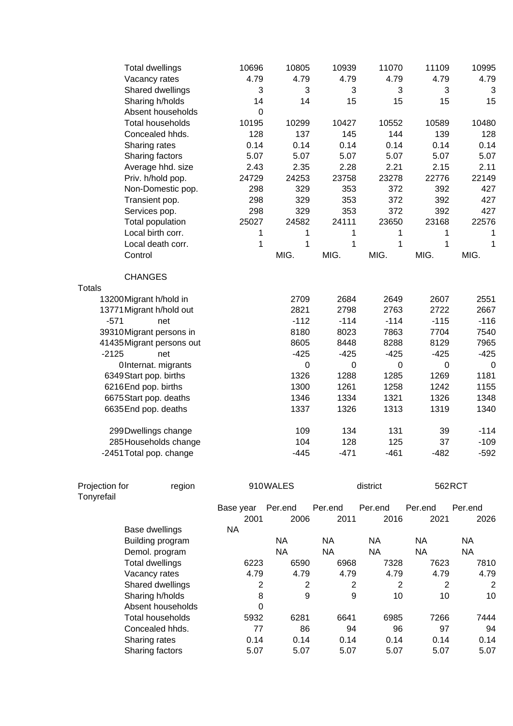|               | <b>Total dwellings</b>    | 10696       | 10805  | 10939  | 11070       | 11109  | 10995  |
|---------------|---------------------------|-------------|--------|--------|-------------|--------|--------|
|               | Vacancy rates             | 4.79        | 4.79   | 4.79   | 4.79        | 4.79   | 4.79   |
|               | Shared dwellings          | 3           | 3      | 3      | 3           | 3      | 3      |
|               | Sharing h/holds           | 14          | 14     | 15     | 15          | 15     | 15     |
|               | Absent households         | $\mathbf 0$ |        |        |             |        |        |
|               | <b>Total households</b>   | 10195       | 10299  | 10427  | 10552       | 10589  | 10480  |
|               | Concealed hhds.           | 128         | 137    | 145    | 144         | 139    | 128    |
|               | Sharing rates             | 0.14        | 0.14   | 0.14   | 0.14        | 0.14   | 0.14   |
|               | Sharing factors           | 5.07        | 5.07   | 5.07   | 5.07        | 5.07   | 5.07   |
|               | Average hhd. size         | 2.43        | 2.35   | 2.28   | 2.21        | 2.15   | 2.11   |
|               | Priv. h/hold pop.         | 24729       | 24253  | 23758  | 23278       | 22776  | 22149  |
|               | Non-Domestic pop.         | 298         | 329    | 353    | 372         | 392    | 427    |
|               | Transient pop.            | 298         | 329    | 353    | 372         | 392    | 427    |
|               | Services pop.             | 298         | 329    | 353    | 372         | 392    | 427    |
|               | Total population          | 25027       | 24582  | 24111  | 23650       | 23168  | 22576  |
|               | Local birth corr.         | 1           | 1      | 1      | 1           | 1      | 1      |
|               | Local death corr.         | 1           | 1      | 1      | 1           | 1      | 1      |
|               | Control                   |             | MIG.   | MIG.   | MIG.        | MIG.   | MIG.   |
|               | <b>CHANGES</b>            |             |        |        |             |        |        |
|               |                           |             |        |        |             |        |        |
| <b>Totals</b> |                           |             |        |        |             |        |        |
|               | 13200 Migrant h/hold in   |             | 2709   | 2684   | 2649        | 2607   | 2551   |
|               | 13771 Migrant h/hold out  |             | 2821   | 2798   | 2763        | 2722   | 2667   |
| $-571$        | net                       |             | $-112$ | $-114$ | $-114$      | $-115$ | $-116$ |
|               | 39310Migrant persons in   |             | 8180   | 8023   | 7863        | 7704   | 7540   |
|               | 41435 Migrant persons out |             | 8605   | 8448   | 8288        | 8129   | 7965   |
| $-2125$       | net                       |             | $-425$ | $-425$ | $-425$      | $-425$ | $-425$ |
|               | OInternat. migrants       |             | 0      | 0      | $\mathbf 0$ | 0      | 0      |
|               | 6349Start pop. births     |             | 1326   | 1288   | 1285        | 1269   | 1181   |
|               | 6216End pop. births       |             | 1300   | 1261   | 1258        | 1242   | 1155   |
|               | 6675Start pop. deaths     |             | 1346   | 1334   | 1321        | 1326   | 1348   |
|               | 6635End pop. deaths       |             | 1337   | 1326   | 1313        | 1319   | 1340   |
|               | 299Dwellings change       |             | 109    | 134    | 131         | 39     | $-114$ |
|               | 285 Households change     |             | 104    | 128    | 125         | 37     | $-109$ |
|               | -2451 Total pop. change   |             | $-445$ | $-471$ | $-461$      | $-482$ | $-592$ |

| Projection for | region                 |           | 910WALES  |         | district |         | 562RCT  |
|----------------|------------------------|-----------|-----------|---------|----------|---------|---------|
| Tonyrefail     |                        |           |           |         |          |         |         |
|                |                        | Base year | Per.end   | Per.end | Per.end  | Per.end | Per.end |
|                |                        | 2001      | 2006      | 2011    | 2016     | 2021    | 2026    |
|                | Base dwellings         | NA.       |           |         |          |         |         |
|                | Building program       |           | <b>NA</b> | NA.     | NA.      | NA.     | NA      |
|                | Demol. program         |           | <b>NA</b> | NA      | NA       | NA      | NA      |
|                | <b>Total dwellings</b> | 6223      | 6590      | 6968    | 7328     | 7623    | 7810    |
|                | Vacancy rates          | 4.79      | 4.79      | 4.79    | 4.79     | 4.79    | 4.79    |
|                | Shared dwellings       | 2         | 2         | 2       | 2        | 2       | 2       |
|                | Sharing h/holds        | 8         | 9         | 9       | 10       | 10      | 10      |
|                | Absent households      | 0         |           |         |          |         |         |
|                | Total households       | 5932      | 6281      | 6641    | 6985     | 7266    | 7444    |
|                | Concealed hhds.        | 77        | 86        | 94      | 96       | 97      | 94      |
|                | Sharing rates          | 0.14      | 0.14      | 0.14    | 0.14     | 0.14    | 0.14    |
|                | Sharing factors        | 5.07      | 5.07      | 5.07    | 5.07     | 5.07    | 5.07    |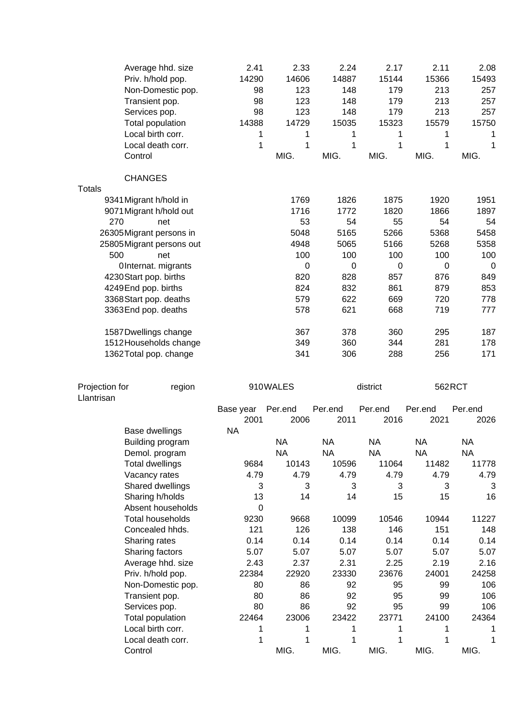|                              | Average hhd. size<br>Priv. h/hold pop.<br>Non-Domestic pop.<br>Transient pop.<br>Services pop.<br>Total population<br>Local birth corr.<br>Local death corr.<br>Control | 2.41<br>14290<br>98<br>98<br>98<br>14388<br>1<br>1 | 2.33<br>14606<br>123<br>123<br>123<br>14729<br>1<br>1<br>MIG. | 2.24<br>14887<br>148<br>148<br>148<br>15035<br>1<br>1<br>MIG. | 2.17<br>15144<br>179<br>179<br>179<br>15323<br>1<br>1<br>MIG. | 2.11<br>15366<br>213<br>213<br>213<br>15579<br>1<br>1<br>MIG. | 2.08<br>15493<br>257<br>257<br>257<br>15750<br>1<br>1<br>MIG. |
|------------------------------|-------------------------------------------------------------------------------------------------------------------------------------------------------------------------|----------------------------------------------------|---------------------------------------------------------------|---------------------------------------------------------------|---------------------------------------------------------------|---------------------------------------------------------------|---------------------------------------------------------------|
|                              | <b>CHANGES</b>                                                                                                                                                          |                                                    |                                                               |                                                               |                                                               |                                                               |                                                               |
| <b>Totals</b>                |                                                                                                                                                                         |                                                    |                                                               |                                                               |                                                               |                                                               |                                                               |
|                              | 9341 Migrant h/hold in                                                                                                                                                  |                                                    | 1769                                                          | 1826                                                          | 1875                                                          | 1920                                                          | 1951                                                          |
|                              | 9071 Migrant h/hold out                                                                                                                                                 |                                                    | 1716                                                          | 1772                                                          | 1820                                                          | 1866                                                          | 1897                                                          |
| 270                          | net                                                                                                                                                                     |                                                    | 53                                                            | 54                                                            | 55                                                            | 54                                                            | 54                                                            |
|                              | 26305Migrant persons in                                                                                                                                                 |                                                    | 5048                                                          | 5165                                                          | 5266                                                          | 5368                                                          | 5458                                                          |
|                              | 25805 Migrant persons out                                                                                                                                               |                                                    | 4948                                                          | 5065                                                          | 5166                                                          | 5268                                                          | 5358                                                          |
| 500                          | net                                                                                                                                                                     |                                                    | 100                                                           | 100                                                           | 100                                                           | 100                                                           | 100                                                           |
|                              | OInternat. migrants                                                                                                                                                     |                                                    | 0                                                             | 0                                                             | $\pmb{0}$                                                     | 0                                                             | 0                                                             |
|                              | 4230 Start pop. births                                                                                                                                                  |                                                    | 820                                                           | 828                                                           | 857                                                           | 876                                                           | 849                                                           |
|                              | 4249End pop. births                                                                                                                                                     |                                                    | 824                                                           | 832                                                           | 861                                                           | 879                                                           | 853                                                           |
|                              | 3368 Start pop. deaths                                                                                                                                                  |                                                    | 579                                                           | 622                                                           | 669                                                           | 720                                                           | 778                                                           |
|                              | 3363End pop. deaths                                                                                                                                                     |                                                    | 578                                                           | 621                                                           | 668                                                           | 719                                                           | 777                                                           |
|                              | 1587 Dwellings change                                                                                                                                                   |                                                    | 367                                                           | 378                                                           | 360                                                           | 295                                                           | 187                                                           |
|                              | 1512 Households change                                                                                                                                                  |                                                    | 349                                                           | 360                                                           | 344                                                           | 281                                                           | 178                                                           |
|                              | 1362 Total pop. change                                                                                                                                                  |                                                    | 341                                                           | 306                                                           | 288                                                           | 256                                                           | 171                                                           |
| Projection for<br>Llantrisan | region                                                                                                                                                                  |                                                    | 910WALES                                                      |                                                               | district                                                      |                                                               | 562RCT                                                        |
|                              |                                                                                                                                                                         | Base year<br>2001                                  | Per.end<br>2006                                               | Per.end<br>2011                                               | Per.end<br>2016                                               | Per.end<br>2021                                               | Per.end<br>2026                                               |
|                              |                                                                                                                                                                         | <b>NA</b>                                          |                                                               |                                                               |                                                               |                                                               |                                                               |
|                              | Base dwellings                                                                                                                                                          |                                                    |                                                               |                                                               |                                                               |                                                               |                                                               |
|                              | Building program                                                                                                                                                        |                                                    | <b>NA</b>                                                     | <b>NA</b>                                                     | <b>NA</b>                                                     | <b>NA</b>                                                     | <b>NA</b>                                                     |
|                              | Demol. program                                                                                                                                                          |                                                    | <b>NA</b>                                                     | <b>NA</b>                                                     | <b>NA</b>                                                     | <b>NA</b>                                                     | <b>NA</b>                                                     |
|                              | <b>Total dwellings</b>                                                                                                                                                  | 9684                                               | 10143                                                         | 10596                                                         | 11064                                                         | 11482                                                         | 11778                                                         |
|                              | Vacancy rates                                                                                                                                                           | 4.79                                               | 4.79                                                          | 4.79                                                          | 4.79                                                          | 4.79                                                          | 4.79                                                          |
|                              | Shared dwellings                                                                                                                                                        | 3                                                  | 3                                                             | 3                                                             | 3                                                             | 3                                                             | 3                                                             |
|                              | Sharing h/holds                                                                                                                                                         | 13                                                 | 14                                                            | 14                                                            | 15                                                            | 15                                                            | 16                                                            |
|                              | Absent households                                                                                                                                                       | 0                                                  |                                                               |                                                               |                                                               |                                                               |                                                               |
|                              | <b>Total households</b>                                                                                                                                                 | 9230                                               | 9668                                                          | 10099                                                         | 10546                                                         | 10944                                                         | 11227                                                         |
|                              | Concealed hhds.                                                                                                                                                         | 121                                                | 126                                                           | 138                                                           | 146                                                           | 151                                                           | 148                                                           |
|                              | Sharing rates                                                                                                                                                           | 0.14                                               | 0.14                                                          | 0.14                                                          | 0.14                                                          | 0.14                                                          | 0.14                                                          |
|                              | Sharing factors                                                                                                                                                         | 5.07                                               | 5.07                                                          | 5.07                                                          | 5.07                                                          | 5.07                                                          | 5.07                                                          |
|                              | Average hhd. size                                                                                                                                                       | 2.43                                               | 2.37                                                          | 2.31                                                          | 2.25                                                          | 2.19                                                          | 2.16                                                          |
|                              | Priv. h/hold pop.                                                                                                                                                       | 22384                                              | 22920                                                         | 23330                                                         | 23676                                                         | 24001                                                         | 24258                                                         |
|                              | Non-Domestic pop.                                                                                                                                                       | 80                                                 | 86<br>86                                                      | 92<br>92                                                      | 95                                                            | 99                                                            | 106                                                           |
|                              | Transient pop.                                                                                                                                                          | 80<br>80                                           | 86                                                            | 92                                                            | 95<br>95                                                      | 99<br>99                                                      | 106<br>106                                                    |
|                              | Services pop.<br>Total population                                                                                                                                       | 22464                                              | 23006                                                         | 23422                                                         | 23771                                                         | 24100                                                         | 24364                                                         |
|                              | Local birth corr.                                                                                                                                                       | 1                                                  | 1                                                             | 1                                                             | 1                                                             | 1                                                             | 1                                                             |
|                              | Local death corr.                                                                                                                                                       | 1                                                  | 1                                                             | 1                                                             | 1                                                             | 1                                                             | 1                                                             |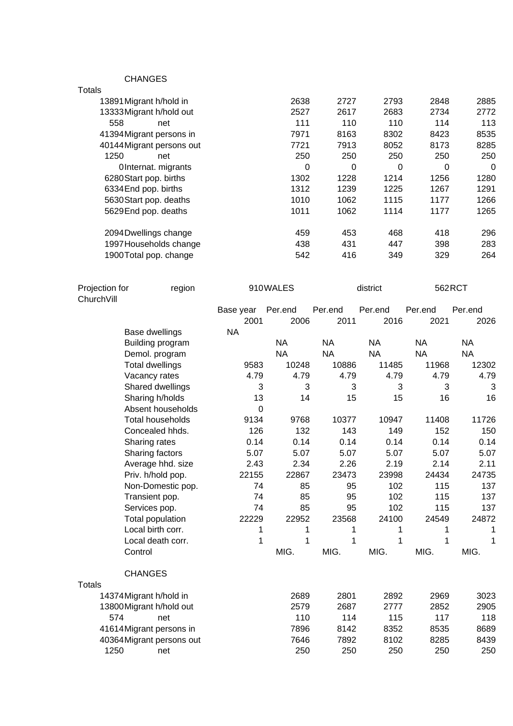CHANGES

| Totals                    |      |      |          |      |          |
|---------------------------|------|------|----------|------|----------|
| 13891 Migrant h/hold in   | 2638 | 2727 | 2793     | 2848 | 2885     |
| 13333 Migrant h/hold out  | 2527 | 2617 | 2683     | 2734 | 2772     |
| 558<br>net                | 111  | 110  | 110      | 114  | 113      |
| 41394 Migrant persons in  | 7971 | 8163 | 8302     | 8423 | 8535     |
| 40144 Migrant persons out | 7721 | 7913 | 8052     | 8173 | 8285     |
| 1250<br>net               | 250  | 250  | 250      | 250  | 250      |
| OInternat. migrants       | 0    | 0    | $\Omega$ | 0    | $\Omega$ |
| 6280Start pop. births     | 1302 | 1228 | 1214     | 1256 | 1280     |
| 6334 End pop. births      | 1312 | 1239 | 1225     | 1267 | 1291     |
| 5630 Start pop. deaths    | 1010 | 1062 | 1115     | 1177 | 1266     |
| 5629 End pop. deaths      | 1011 | 1062 | 1114     | 1177 | 1265     |
| 2094 Dwellings change     | 459  | 453  | 468      | 418  | 296      |
| 1997 Households change    | 438  | 431  | 447      | 398  | 283      |
| 1900 Total pop. change    | 542  | 416  | 349      | 329  | 264      |
|                           |      |      |          |      |          |

| Projection for<br>ChurchVill | region                    |           | 910WALES  |           | district  | 562RCT    |           |
|------------------------------|---------------------------|-----------|-----------|-----------|-----------|-----------|-----------|
|                              |                           | Base year | Per.end   | Per.end   | Per.end   | Per.end   | Per.end   |
|                              |                           | 2001      | 2006      | 2011      | 2016      | 2021      | 2026      |
|                              | Base dwellings            | <b>NA</b> |           |           |           |           |           |
|                              | Building program          |           | <b>NA</b> | <b>NA</b> | <b>NA</b> | <b>NA</b> | <b>NA</b> |
|                              | Demol. program            |           | <b>NA</b> | <b>NA</b> | <b>NA</b> | <b>NA</b> | <b>NA</b> |
|                              | <b>Total dwellings</b>    | 9583      | 10248     | 10886     | 11485     | 11968     | 12302     |
|                              | Vacancy rates             | 4.79      | 4.79      | 4.79      | 4.79      | 4.79      | 4.79      |
|                              | Shared dwellings          | 3         | 3         | 3         | 3         | 3         | 3         |
|                              | Sharing h/holds           | 13        | 14        | 15        | 15        | 16        | 16        |
|                              | Absent households         | $\Omega$  |           |           |           |           |           |
|                              | <b>Total households</b>   | 9134      | 9768      | 10377     | 10947     | 11408     | 11726     |
|                              | Concealed hhds.           | 126       | 132       | 143       | 149       | 152       | 150       |
|                              | Sharing rates             | 0.14      | 0.14      | 0.14      | 0.14      | 0.14      | 0.14      |
|                              | Sharing factors           | 5.07      | 5.07      | 5.07      | 5.07      | 5.07      | 5.07      |
|                              | Average hhd. size         | 2.43      | 2.34      | 2.26      | 2.19      | 2.14      | 2.11      |
|                              | Priv. h/hold pop.         | 22155     | 22867     | 23473     | 23998     | 24434     | 24735     |
|                              | Non-Domestic pop.         | 74        | 85        | 95        | 102       | 115       | 137       |
|                              | Transient pop.            | 74        | 85        | 95        | 102       | 115       | 137       |
|                              | Services pop.             | 74        | 85        | 95        | 102       | 115       | 137       |
|                              | <b>Total population</b>   | 22229     | 22952     | 23568     | 24100     | 24549     | 24872     |
|                              | Local birth corr.         | 1         | 1         | 1         | 1         | 1         | 1         |
|                              | Local death corr.         | 1         | 1         | 1         | 1         | 1         | 1         |
|                              | Control                   |           | MIG.      | MIG.      | MIG.      | MIG.      | MIG.      |
|                              | <b>CHANGES</b>            |           |           |           |           |           |           |
| <b>Totals</b>                |                           |           |           |           |           |           |           |
|                              | 14374 Migrant h/hold in   |           | 2689      | 2801      | 2892      | 2969      | 3023      |
|                              | 13800 Migrant h/hold out  |           | 2579      | 2687      | 2777      | 2852      | 2905      |
| 574                          | net                       |           | 110       | 114       | 115       | 117       | 118       |
|                              | 41614Migrant persons in   |           | 7896      | 8142      | 8352      | 8535      | 8689      |
|                              | 40364 Migrant persons out |           | 7646      | 7892      | 8102      | 8285      | 8439      |
| 1250                         | net                       |           | 250       | 250       | 250       | 250       | 250       |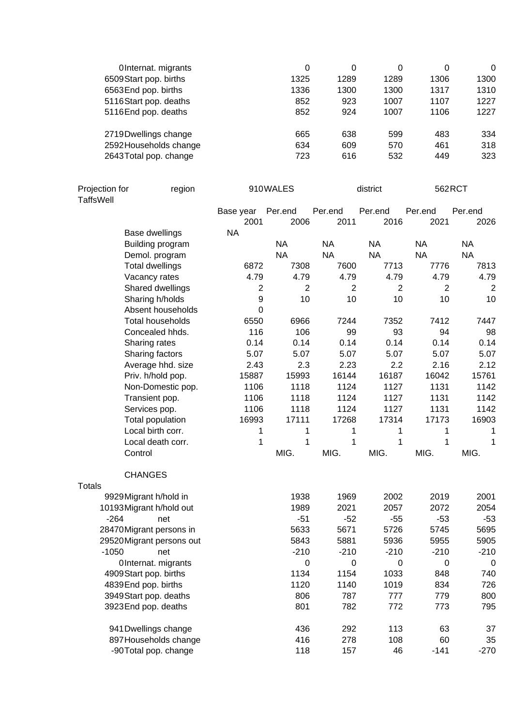| OInternat. migrants    | 0    | 0    | 0    | 0    | 0    |
|------------------------|------|------|------|------|------|
| 6509 Start pop. births | 1325 | 1289 | 1289 | 1306 | 1300 |
| 6563End pop. births    | 1336 | 1300 | 1300 | 1317 | 1310 |
| 5116Start pop. deaths  | 852  | 923  | 1007 | 1107 | 1227 |
| 5116End pop. deaths    | 852  | 924  | 1007 | 1106 | 1227 |
| 2719 Dwellings change  | 665  | 638  | 599  | 483  | 334  |
| 2592 Households change | 634  | 609  | 570  | 461  | 318  |
| 2643 Total pop. change | 723  | 616  | 532  | 449  | 323  |

| Projection for<br><b>TaffsWell</b> | region                  | 910WALES       |                |                | district       | 562RCT         |                |
|------------------------------------|-------------------------|----------------|----------------|----------------|----------------|----------------|----------------|
|                                    |                         | Base year      | Per.end        | Per.end        | Per.end        | Per.end        | Per.end        |
|                                    |                         | 2001           | 2006           | 2011           | 2016           | 2021           | 2026           |
|                                    | Base dwellings          | <b>NA</b>      |                |                |                |                |                |
|                                    | Building program        |                | <b>NA</b>      | <b>NA</b>      | <b>NA</b>      | <b>NA</b>      | <b>NA</b>      |
|                                    | Demol. program          |                | <b>NA</b>      | <b>NA</b>      | <b>NA</b>      | <b>NA</b>      | <b>NA</b>      |
|                                    | <b>Total dwellings</b>  | 6872           | 7308           | 7600           | 7713           | 7776           | 7813           |
|                                    | Vacancy rates           | 4.79           | 4.79           | 4.79           | 4.79           | 4.79           | 4.79           |
|                                    | Shared dwellings        | $\overline{c}$ | $\overline{2}$ | $\overline{2}$ | $\overline{2}$ | $\overline{2}$ | $\overline{2}$ |
|                                    | Sharing h/holds         | 9              | 10             | 10             | 10             | 10             | 10             |
|                                    | Absent households       | 0              |                |                |                |                |                |
|                                    | <b>Total households</b> | 6550           | 6966           | 7244           | 7352           | 7412           | 7447           |
|                                    | Concealed hhds.         | 116            | 106            | 99             | 93             | 94             | 98             |
| Sharing rates                      |                         | 0.14           | 0.14           | 0.14           | 0.14           | 0.14           | 0.14           |
|                                    | Sharing factors         | 5.07           | 5.07           | 5.07           | 5.07           | 5.07           | 5.07           |
|                                    | Average hhd. size       | 2.43           | 2.3            | 2.23           | 2.2            | 2.16           | 2.12           |
|                                    | Priv. h/hold pop.       | 15887          | 15993          | 16144          | 16187          | 16042          | 15761          |
|                                    | Non-Domestic pop.       | 1106           | 1118           | 1124           | 1127           | 1131           | 1142           |
|                                    | Transient pop.          | 1106           | 1118           | 1124           | 1127           | 1131           | 1142           |
| Services pop.                      |                         | 1106           | 1118           | 1124           | 1127           | 1131           | 1142           |
|                                    | Total population        | 16993          | 17111          | 17268          | 17314          | 17173          | 16903          |
|                                    | Local birth corr.       | 1              | 1              | 1              | 1              | 1              | 1              |
|                                    | Local death corr.       | 1              | 1              | 1              | 1              | 1              | 1              |
| Control                            |                         |                | MIG.           | MIG.           | MIG.           | MIG.           | MIG.           |
| <b>CHANGES</b>                     |                         |                |                |                |                |                |                |
| <b>Totals</b>                      |                         |                |                |                |                |                |                |
| 9929 Migrant h/hold in             |                         |                | 1938           | 1969           | 2002           | 2019           | 2001           |
| 10193 Migrant h/hold out           |                         |                | 1989           | 2021           | 2057           | 2072           | 2054           |
| $-264$                             | net                     |                | $-51$          | $-52$          | $-55$          | $-53$          | $-53$          |
| 28470Migrant persons in            |                         |                | 5633           | 5671           | 5726           | 5745           | 5695           |
| 29520 Migrant persons out          |                         |                | 5843           | 5881           | 5936           | 5955           | 5905           |
| $-1050$                            | net                     |                | $-210$         | $-210$         | $-210$         | $-210$         | $-210$         |
|                                    | OInternat. migrants     |                | 0              | 0              | $\mathbf 0$    | $\mathbf 0$    | $\mathbf 0$    |
| 4909Start pop. births              |                         |                | 1134           | 1154           | 1033           | 848            | 740            |
| 4839End pop. births                |                         |                | 1120           | 1140           | 1019           | 834            | 726            |
| 3949 Start pop. deaths             |                         |                | 806            | 787            | 777            | 779            | 800            |
| 3923 End pop. deaths               |                         |                | 801            | 782            | 772            | 773            | 795            |
| 941 Dwellings change               |                         |                | 436            | 292            | 113            | 63             | 37             |
|                                    | 897 Households change   |                | 416            | 278            | 108            | 60             | 35             |
|                                    | -90Total pop. change    |                | 118            | 157            | 46             | $-141$         | $-270$         |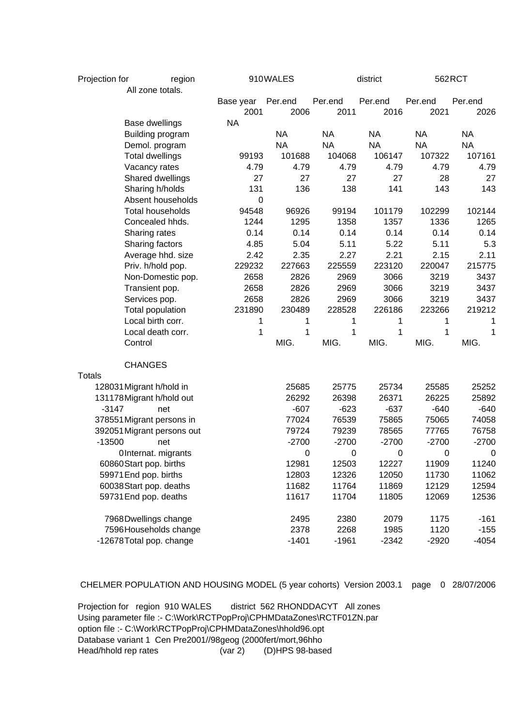| Projection for |                           | region                     |           | 910WALES  | district  |                  |           | 562RCT      |  |
|----------------|---------------------------|----------------------------|-----------|-----------|-----------|------------------|-----------|-------------|--|
|                | All zone totals.          |                            |           |           |           |                  |           |             |  |
|                |                           |                            | Base year | Per.end   | Per.end   | Per.end          | Per.end   | Per.end     |  |
|                |                           |                            | 2001      | 2006      | 2011      | 2016             | 2021      | 2026        |  |
|                | Base dwellings            |                            | <b>NA</b> |           |           |                  |           |             |  |
|                | Building program          |                            |           | <b>NA</b> | <b>NA</b> | <b>NA</b>        | <b>NA</b> | <b>NA</b>   |  |
|                | Demol. program            |                            |           | <b>NA</b> | <b>NA</b> | <b>NA</b>        | <b>NA</b> | <b>NA</b>   |  |
|                | <b>Total dwellings</b>    |                            | 99193     | 101688    | 104068    | 106147           | 107322    | 107161      |  |
|                | Vacancy rates             |                            | 4.79      | 4.79      | 4.79      | 4.79             | 4.79      | 4.79        |  |
|                | Shared dwellings          |                            | 27        | 27        | 27        | 27               | 28        | 27          |  |
|                | Sharing h/holds           |                            | 131       | 136       | 138       | 141              | 143       | 143         |  |
|                | Absent households         |                            | 0         |           |           |                  |           |             |  |
|                | <b>Total households</b>   |                            | 94548     | 96926     | 99194     | 101179           | 102299    | 102144      |  |
|                | Concealed hhds.           |                            | 1244      | 1295      | 1358      | 1357             | 1336      | 1265        |  |
|                | Sharing rates             |                            | 0.14      | 0.14      | 0.14      | 0.14             | 0.14      | 0.14        |  |
|                | Sharing factors           |                            | 4.85      | 5.04      | 5.11      | 5.22             | 5.11      | 5.3         |  |
|                | Average hhd. size         |                            | 2.42      | 2.35      | 2.27      | 2.21             | 2.15      | 2.11        |  |
|                | Priv. h/hold pop.         |                            | 229232    | 227663    | 225559    | 223120           | 220047    | 215775      |  |
|                | Non-Domestic pop.         |                            | 2658      | 2826      | 2969      | 3066             | 3219      | 3437        |  |
|                | Transient pop.            |                            | 2658      | 2826      | 2969      | 3066             | 3219      | 3437        |  |
|                | Services pop.             |                            | 2658      | 2826      | 2969      | 3066             | 3219      | 3437        |  |
|                | Total population          |                            | 231890    | 230489    | 228528    | 226186           | 223266    | 219212      |  |
|                | Local birth corr.         |                            | 1         | 1         | 1         | 1                | 1         | 1           |  |
|                | Local death corr.         |                            | 1         | 1         | 1         | 1                | 1         | 1           |  |
|                | Control                   |                            |           | MIG.      | MIG.      | MIG.             | MIG.      | MIG.        |  |
|                | <b>CHANGES</b>            |                            |           |           |           |                  |           |             |  |
| <b>Totals</b>  |                           |                            |           |           |           |                  |           |             |  |
|                | 128031 Migrant h/hold in  |                            |           | 25685     | 25775     | 25734            | 25585     | 25252       |  |
|                | 131178 Migrant h/hold out |                            |           | 26292     | 26398     | 26371            | 26225     | 25892       |  |
| $-3147$        |                           | net                        |           | $-607$    | $-623$    | $-637$           | $-640$    | $-640$      |  |
|                | 378551 Migrant persons in |                            |           | 77024     | 76539     | 75865            | 75065     | 74058       |  |
|                |                           | 392051 Migrant persons out |           | 79724     | 79239     | 78565            | 77765     | 76758       |  |
| $-13500$       |                           | net                        |           | $-2700$   | $-2700$   | $-2700$          | $-2700$   | $-2700$     |  |
|                | OInternat. migrants       |                            |           | 0         | 0         | $\boldsymbol{0}$ | $\pmb{0}$ | $\mathbf 0$ |  |
|                | 60860 Start pop. births   |                            |           | 12981     | 12503     | 12227            | 11909     | 11240       |  |
|                | 59971 End pop. births     |                            |           | 12803     | 12326     | 12050            | 11730     | 11062       |  |
|                | 60038 Start pop. deaths   |                            |           | 11682     | 11764     | 11869            | 12129     | 12594       |  |
|                | 59731 End pop. deaths     |                            |           | 11617     | 11704     | 11805            | 12069     | 12536       |  |
|                | 7968 Dwellings change     |                            |           | 2495      | 2380      | 2079             | 1175      | $-161$      |  |
|                |                           | 7596 Households change     |           | 2378      | 2268      | 1985             | 1120      | $-155$      |  |
|                | -12678Total pop. change   |                            |           | $-1401$   | $-1961$   | $-2342$          | $-2920$   | $-4054$     |  |

CHELMER POPULATION AND HOUSING MODEL (5 year cohorts) Version 2003.1 page 0 28/07/2006

Projection for region 910 WALES district 562 RHONDDACYT All zones Using parameter file :- C:\Work\RCTPopProj\CPHMDataZones\RCTF01ZN.par option file :- C:\Work\RCTPopProj\CPHMDataZones\hhold96.opt Database variant 1 Cen Pre2001//98geog (2000fert/mort,96hho Head/hhold rep rates (var 2) (D)HPS 98-based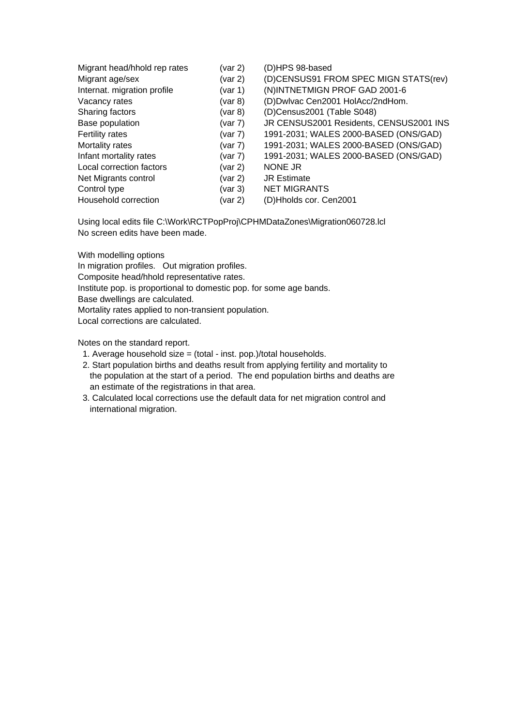| Migrant head/hhold rep rates | (var 2)       | (D)HPS 98-based                         |
|------------------------------|---------------|-----------------------------------------|
| Migrant age/sex              | (var 2)       | (D)CENSUS91 FROM SPEC MIGN STATS(rev)   |
| Internat. migration profile  | (var 1)       | (N)INTNETMIGN PROF GAD 2001-6           |
| Vacancy rates                | (var 8)       | (D)Dwlvac Cen2001 HolAcc/2ndHom.        |
| Sharing factors              | $($ var 8 $)$ | (D)Census2001 (Table S048)              |
| Base population              | (var 7)       | JR CENSUS2001 Residents, CENSUS2001 INS |
| Fertility rates              | (var 7)       | 1991-2031; WALES 2000-BASED (ONS/GAD)   |
| Mortality rates              | (var 7)       | 1991-2031; WALES 2000-BASED (ONS/GAD)   |
| Infant mortality rates       | (var 7)       | 1991-2031; WALES 2000-BASED (ONS/GAD)   |
| Local correction factors     | (var 2)       | <b>NONE JR</b>                          |
| Net Migrants control         | (var 2)       | <b>JR Estimate</b>                      |
| Control type                 | (var 3)       | <b>NET MIGRANTS</b>                     |
| Household correction         | (var 2)       | (D)Hholds cor. Cen2001                  |

Using local edits file C:\Work\RCTPopProj\CPHMDataZones\Migration060728.lcl No screen edits have been made.

With modelling options

In migration profiles. Out migration profiles.

Composite head/hhold representative rates.

Institute pop. is proportional to domestic pop. for some age bands.

Base dwellings are calculated.

Mortality rates applied to non-transient population.

Local corrections are calculated.

Notes on the standard report.

1. Average household size = (total - inst. pop.)/total households.

- 2. Start population births and deaths result from applying fertility and mortality to the population at the start of a period. The end population births and deaths are an estimate of the registrations in that area.
- 3. Calculated local corrections use the default data for net migration control and international migration.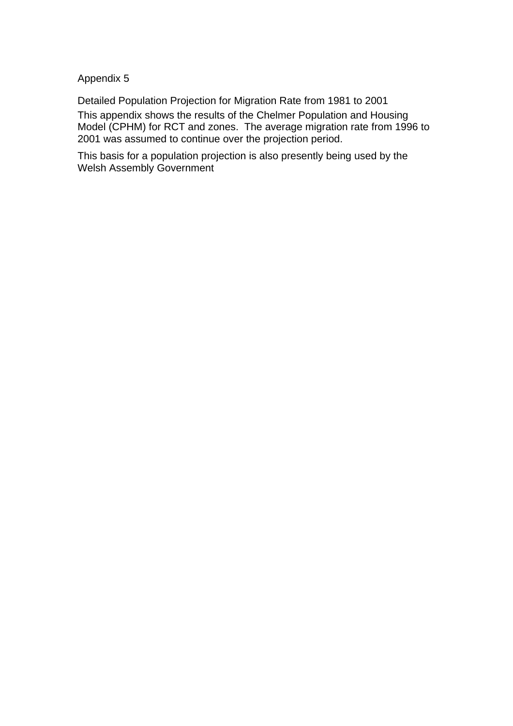Appendix 5

Detailed Population Projection for Migration Rate from 1981 to 2001

This appendix shows the results of the Chelmer Population and Housing Model (CPHM) for RCT and zones. The average migration rate from 1996 to 2001 was assumed to continue over the projection period.

This basis for a population projection is also presently being used by the Welsh Assembly Government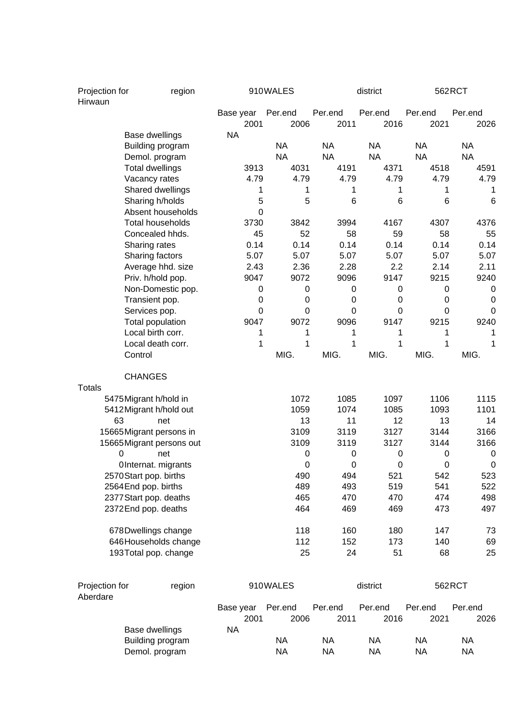| Projection for<br>Hirwaun | region                    |                   | 910WALES         |                 | district        |                 | 562RCT          |
|---------------------------|---------------------------|-------------------|------------------|-----------------|-----------------|-----------------|-----------------|
|                           |                           | Base year<br>2001 | Per.end<br>2006  | Per.end<br>2011 | Per.end<br>2016 | Per.end<br>2021 | Per.end<br>2026 |
|                           | Base dwellings            | <b>NA</b>         |                  |                 |                 |                 |                 |
|                           | Building program          |                   | <b>NA</b>        | <b>NA</b>       | <b>NA</b>       | <b>NA</b>       | <b>NA</b>       |
|                           | Demol. program            |                   | <b>NA</b>        | <b>NA</b>       | <b>NA</b>       | <b>NA</b>       | <b>NA</b>       |
|                           | <b>Total dwellings</b>    | 3913              | 4031             | 4191            | 4371            | 4518            | 4591            |
|                           | Vacancy rates             | 4.79              | 4.79             | 4.79            | 4.79            | 4.79            | 4.79            |
|                           | Shared dwellings          | 1                 | 1                | 1               | 1               | 1               | 1               |
|                           | Sharing h/holds           | 5                 | 5                | 6               | 6               | 6               | 6               |
|                           | Absent households         | 0                 |                  |                 |                 |                 |                 |
|                           | <b>Total households</b>   | 3730              | 3842             | 3994            | 4167            | 4307            | 4376            |
|                           | Concealed hhds.           | 45                | 52               | 58              | 59              | 58              | 55              |
|                           | Sharing rates             | 0.14              | 0.14             | 0.14            | 0.14            | 0.14            | 0.14            |
|                           | Sharing factors           | 5.07              | 5.07             | 5.07            | 5.07            | 5.07            | 5.07            |
|                           | Average hhd. size         | 2.43              | 2.36             | 2.28            | 2.2             | 2.14            | 2.11            |
|                           | Priv. h/hold pop.         | 9047              | 9072             | 9096            | 9147            | 9215            | 9240            |
|                           | Non-Domestic pop.         | 0                 | 0                | $\mathbf 0$     | 0               | 0               | 0               |
|                           | Transient pop.            | 0                 | $\boldsymbol{0}$ | $\mathbf 0$     | $\mathbf 0$     | 0               | 0               |
|                           | Services pop.             | 0                 | $\mathbf 0$      | $\mathbf 0$     | $\mathbf 0$     | 0               | 0               |
|                           | Total population          | 9047              | 9072             | 9096            | 9147            | 9215            | 9240            |
|                           | Local birth corr.         | 1                 | 1                | 1               | 1               | 1               | 1               |
|                           | Local death corr.         | 1                 | 1                | 1               | 1               | 1               | 1               |
|                           | Control                   |                   | MIG.             | MIG.            | MIG.            | MIG.            | MIG.            |
| <b>Totals</b>             | <b>CHANGES</b>            |                   |                  |                 |                 |                 |                 |
|                           | 5475 Migrant h/hold in    |                   | 1072             | 1085            | 1097            | 1106            | 1115            |
|                           | 5412 Migrant h/hold out   |                   | 1059             | 1074            | 1085            | 1093            | 1101            |
| 63                        | net                       |                   | 13               | 11              | 12              | 13              | 14              |
|                           | 15665 Migrant persons in  |                   | 3109             | 3119            | 3127            | 3144            | 3166            |
|                           | 15665 Migrant persons out |                   | 3109             | 3119            | 3127            | 3144            | 3166            |
| 0                         | net                       |                   | 0                | $\mathbf 0$     | 0               | 0               | 0               |
|                           | OInternat. migrants       |                   | 0                | $\mathbf 0$     | $\mathbf 0$     | 0               | $\pmb{0}$       |
|                           | 2570 Start pop. births    |                   | 490              | 494             | 521             | 542             | 523             |
|                           | 2564 End pop. births      |                   | 489              | 493             | 519             | 541             | 522             |
|                           | 2377 Start pop. deaths    |                   | 465              | 470             | 470             | 474             | 498             |
|                           | 2372End pop. deaths       |                   | 464              | 469             | 469             | 473             | 497             |
|                           | 678Dwellings change       |                   | 118              | 160             | 180             | 147             | 73              |
|                           | 646 Households change     |                   | 112              | 152             | 173             | 140             | 69              |
|                           | 193Total pop. change      |                   | 25               | 24              | 51              | 68              | 25              |
| Projection for            | region                    |                   | 910WALES         |                 | district        |                 | 562RCT          |
| Aberdare                  |                           |                   |                  |                 |                 |                 |                 |
|                           |                           | Base year         | Per.end          | Per.end         | Per.end         | Per.end         | Per.end         |
|                           |                           | 2001              | 2006             | 2011            | 2016            | 2021            | 2026            |
|                           | Base dwellings            | <b>NA</b>         |                  |                 |                 |                 |                 |
|                           | Building program          |                   | <b>NA</b>        | <b>NA</b>       | <b>NA</b>       | <b>NA</b>       | <b>NA</b>       |
|                           | Demol. program            |                   | <b>NA</b>        | <b>NA</b>       | <b>NA</b>       | <b>NA</b>       | <b>NA</b>       |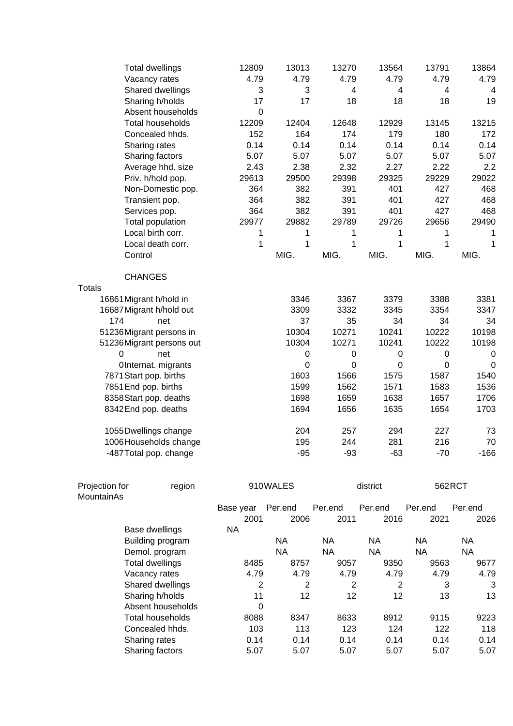|                         | <b>Total dwellings</b>   | 12809       | 13013        | 13270            | 13564            | 13791        | 13864        |
|-------------------------|--------------------------|-------------|--------------|------------------|------------------|--------------|--------------|
|                         | Vacancy rates            | 4.79        | 4.79         | 4.79             | 4.79             | 4.79         | 4.79         |
|                         | Shared dwellings         | 3           | 3            | $\overline{4}$   | $\overline{4}$   | 4            | 4            |
|                         | Sharing h/holds          | 17          | 17           | 18               | 18               | 18           | 19           |
|                         | Absent households        | $\mathbf 0$ |              |                  |                  |              |              |
|                         | <b>Total households</b>  | 12209       | 12404        | 12648            | 12929            | 13145        | 13215        |
|                         | Concealed hhds.          | 152         | 164          | 174              | 179              | 180          | 172          |
|                         | Sharing rates            | 0.14        | 0.14         | 0.14             | 0.14             | 0.14         | 0.14         |
|                         | Sharing factors          | 5.07        | 5.07         | 5.07             | 5.07             | 5.07         | 5.07         |
|                         | Average hhd. size        | 2.43        | 2.38         | 2.32             | 2.27             | 2.22         | 2.2          |
|                         | Priv. h/hold pop.        | 29613       | 29500        | 29398            | 29325            | 29229        | 29022        |
|                         | Non-Domestic pop.        | 364         | 382          | 391              | 401              | 427          | 468          |
|                         | Transient pop.           | 364         | 382          | 391              | 401              | 427          | 468          |
|                         | Services pop.            | 364         | 382          | 391              | 401              | 427          | 468          |
|                         | <b>Total population</b>  | 29977       | 29882        | 29789            | 29726            | 29656        | 29490        |
|                         | Local birth corr.        | 1           | 1            | 1                | 1                | 1            | 1            |
|                         | Local death corr.        | $\mathbf 1$ | $\mathbf{1}$ | $\overline{1}$   | $\mathbf{1}$     | $\mathbf{1}$ | $\mathbf{1}$ |
| Control                 |                          |             | MIG.         | MIG.             | MIG.             | MIG.         | MIG.         |
|                         | <b>CHANGES</b>           |             |              |                  |                  |              |              |
| Totals                  |                          |             |              |                  |                  |              |              |
| 16861 Migrant h/hold in |                          |             | 3346         | 3367             | 3379             | 3388         | 3381         |
|                         | 16687 Migrant h/hold out |             | 3309         | 3332             | 3345             | 3354         | 3347         |
| 174                     | net                      |             | 37           | 35               | 34               | 34           | 34           |
|                         | 51236Migrant persons in  |             | 10304        | 10271            | 10241            | 10222        | 10198        |
|                         | 51236Migrant persons out |             | 10304        | 10271            | 10241            | 10222        | 10198        |
| 0                       | net                      |             | $\pmb{0}$    | $\boldsymbol{0}$ | $\boldsymbol{0}$ | 0            | 0            |
|                         | OInternat. migrants      |             | $\pmb{0}$    | $\mathbf 0$      | $\boldsymbol{0}$ | $\pmb{0}$    | $\mathbf 0$  |
|                         | 7871 Start pop. births   |             | 1603         | 1566             | 1575             | 1587         | 1540         |
| 7851 End pop. births    |                          |             | 1599         | 1562             | 1571             | 1583         | 1536         |
|                         | 8358 Start pop. deaths   |             | 1698         | 1659             | 1638             | 1657         | 1706         |
|                         | 8342End pop. deaths      |             | 1694         | 1656             | 1635             | 1654         | 1703         |
|                         | 1055 Dwellings change    |             | 204          | 257              | 294              | 227          | 73           |
|                         | 1006 Households change   |             | 195          | 244              | 281              | 216          | 70           |
|                         | -487 Total pop. change   |             | $-95$        | $-93$            | $-63$            | $-70$        | $-166$       |
| Projection for          | region                   |             | 910WALES     |                  | district         | 562RCT       |              |

| <u>LIUIGUULLIUL</u> | <u>icyini</u>           |           | <b>JIU WALLU</b> |         | uisuivu |         | 0021001 |
|---------------------|-------------------------|-----------|------------------|---------|---------|---------|---------|
| MountainAs          |                         |           |                  |         |         |         |         |
|                     |                         | Base year | Per.end          | Per.end | Per.end | Per.end | Per.end |
|                     |                         | 2001      | 2006             | 2011    | 2016    | 2021    | 2026    |
|                     | Base dwellings          | <b>NA</b> |                  |         |         |         |         |
|                     | Building program        |           | NA.              | NА      | NA      | NA.     | NA      |
|                     | Demol. program          |           | NA               | NA      | NA      | NA      | NA      |
|                     | Total dwellings         | 8485      | 8757             | 9057    | 9350    | 9563    | 9677    |
|                     | Vacancy rates           | 4.79      | 4.79             | 4.79    | 4.79    | 4.79    | 4.79    |
|                     | Shared dwellings        | 2         | 2                | 2       | 2       | 3       | 3       |
|                     | Sharing h/holds         | 11        | 12               | 12      | 12      | 13      | 13      |
|                     | Absent households       | 0         |                  |         |         |         |         |
|                     | <b>Total households</b> | 8088      | 8347             | 8633    | 8912    | 9115    | 9223    |
|                     | Concealed hhds.         | 103       | 113              | 123     | 124     | 122     | 118     |
|                     | Sharing rates           | 0.14      | 0.14             | 0.14    | 0.14    | 0.14    | 0.14    |
|                     | Sharing factors         | 5.07      | 5.07             | 5.07    | 5.07    | 5.07    | 5.07    |
|                     |                         |           |                  |         |         |         |         |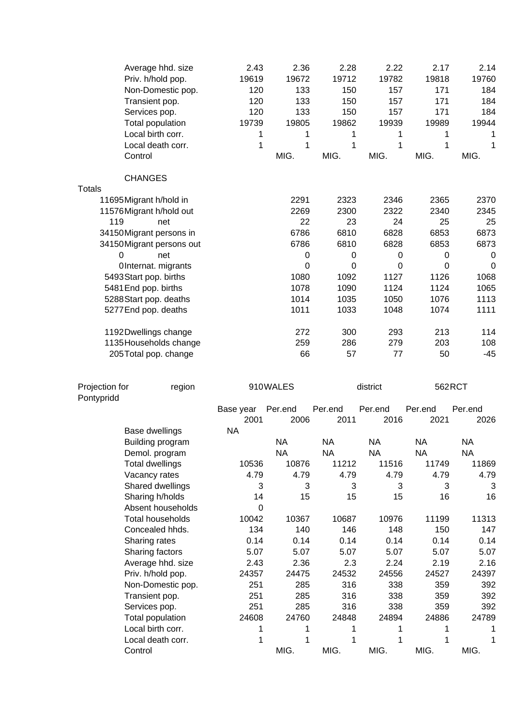| Control                      | Average hhd. size<br>Priv. h/hold pop.<br>Non-Domestic pop.<br>Transient pop.<br>Services pop.<br>Total population<br>Local birth corr.<br>Local death corr. | 2.43<br>19619<br>120<br>120<br>120<br>19739<br>1<br>1 | 2.36<br>19672<br>133<br>133<br>133<br>19805<br>1<br>1<br>MIG. | 2.28<br>19712<br>150<br>150<br>150<br>19862<br>1<br>1<br>MIG. | 2.22<br>19782<br>157<br>157<br>157<br>19939<br>1<br>1<br>MIG. | 2.17<br>19818<br>171<br>171<br>171<br>19989<br>1<br>$\mathbf 1$<br>MIG. | 2.14<br>19760<br>184<br>184<br>184<br>19944<br>1<br>1<br>MIG. |
|------------------------------|--------------------------------------------------------------------------------------------------------------------------------------------------------------|-------------------------------------------------------|---------------------------------------------------------------|---------------------------------------------------------------|---------------------------------------------------------------|-------------------------------------------------------------------------|---------------------------------------------------------------|
|                              | <b>CHANGES</b>                                                                                                                                               |                                                       |                                                               |                                                               |                                                               |                                                                         |                                                               |
| <b>Totals</b>                |                                                                                                                                                              |                                                       |                                                               |                                                               |                                                               |                                                                         |                                                               |
|                              | 11695 Migrant h/hold in                                                                                                                                      |                                                       | 2291                                                          | 2323                                                          | 2346                                                          | 2365                                                                    | 2370                                                          |
|                              | 11576 Migrant h/hold out                                                                                                                                     |                                                       | 2269                                                          | 2300                                                          | 2322                                                          | 2340                                                                    | 2345                                                          |
| 119                          | net                                                                                                                                                          |                                                       | 22                                                            | 23                                                            | 24                                                            | 25                                                                      | 25                                                            |
|                              | 34150Migrant persons in                                                                                                                                      |                                                       | 6786                                                          | 6810                                                          | 6828                                                          | 6853                                                                    | 6873                                                          |
|                              | 34150 Migrant persons out                                                                                                                                    |                                                       | 6786                                                          | 6810                                                          | 6828                                                          | 6853                                                                    | 6873                                                          |
| 0                            | net                                                                                                                                                          |                                                       | 0                                                             | 0                                                             | 0                                                             | 0                                                                       | $\boldsymbol{0}$                                              |
|                              | OInternat. migrants                                                                                                                                          |                                                       | $\mathbf 0$                                                   | 0                                                             | 0                                                             | $\Omega$                                                                | 0                                                             |
|                              | 5493 Start pop. births                                                                                                                                       |                                                       | 1080                                                          | 1092                                                          | 1127                                                          | 1126                                                                    | 1068                                                          |
| 5481 End pop. births         | 5288 Start pop. deaths                                                                                                                                       |                                                       | 1078<br>1014                                                  | 1090<br>1035                                                  | 1124<br>1050                                                  | 1124<br>1076                                                            | 1065<br>1113                                                  |
|                              | 5277 End pop. deaths                                                                                                                                         |                                                       | 1011                                                          | 1033                                                          | 1048                                                          | 1074                                                                    | 1111                                                          |
|                              |                                                                                                                                                              |                                                       |                                                               |                                                               |                                                               |                                                                         |                                                               |
|                              | 1192Dwellings change                                                                                                                                         |                                                       | 272                                                           | 300                                                           | 293                                                           | 213                                                                     | 114                                                           |
|                              | 1135 Households change                                                                                                                                       |                                                       | 259                                                           | 286                                                           | 279                                                           | 203                                                                     | 108                                                           |
|                              | 205Total pop. change                                                                                                                                         |                                                       | 66                                                            | 57                                                            | 77                                                            | 50                                                                      | $-45$                                                         |
|                              |                                                                                                                                                              |                                                       |                                                               |                                                               |                                                               |                                                                         |                                                               |
| Projection for<br>Pontypridd | region                                                                                                                                                       |                                                       | 910WALES                                                      |                                                               | district                                                      |                                                                         | 562RCT                                                        |
|                              |                                                                                                                                                              | Base year<br>2001                                     | Per.end<br>2006                                               | Per.end<br>2011                                               | Per.end<br>2016                                               | Per.end<br>2021                                                         | Per.end<br>2026                                               |
|                              | Base dwellings                                                                                                                                               | <b>NA</b>                                             |                                                               |                                                               |                                                               |                                                                         |                                                               |
|                              | Building program                                                                                                                                             |                                                       | <b>NA</b>                                                     | <b>NA</b>                                                     | <b>NA</b>                                                     | <b>NA</b>                                                               | <b>NA</b>                                                     |
|                              | Demol. program                                                                                                                                               |                                                       | <b>NA</b>                                                     | <b>NA</b>                                                     | <b>NA</b>                                                     | <b>NA</b>                                                               | <b>NA</b>                                                     |
|                              | <b>Total dwellings</b>                                                                                                                                       | 10536                                                 | 10876                                                         | 11212                                                         | 11516                                                         | 11749                                                                   | 11869                                                         |
|                              | Vacancy rates<br>Shared dwellings                                                                                                                            | 4.79<br>3                                             | 4.79<br>3                                                     | 4.79                                                          | 4.79                                                          | 4.79<br>3                                                               | 4.79<br>3                                                     |
|                              |                                                                                                                                                              |                                                       |                                                               |                                                               |                                                               |                                                                         |                                                               |
|                              |                                                                                                                                                              |                                                       |                                                               | 3                                                             | 3                                                             |                                                                         |                                                               |
|                              | Sharing h/holds                                                                                                                                              | 14                                                    | 15                                                            | 15                                                            | 15                                                            | 16                                                                      | 16                                                            |
|                              | Absent households                                                                                                                                            | 0                                                     |                                                               |                                                               |                                                               |                                                                         |                                                               |
|                              | <b>Total households</b>                                                                                                                                      | 10042                                                 | 10367                                                         | 10687                                                         | 10976                                                         | 11199                                                                   | 11313                                                         |
|                              | Concealed hhds.                                                                                                                                              | 134<br>0.14                                           | 140                                                           | 146<br>0.14                                                   | 148<br>0.14                                                   | 150<br>0.14                                                             | 147                                                           |
|                              | Sharing rates<br>Sharing factors                                                                                                                             | 5.07                                                  | 0.14<br>5.07                                                  | 5.07                                                          | 5.07                                                          | 5.07                                                                    | 0.14<br>5.07                                                  |
|                              | Average hhd. size                                                                                                                                            | 2.43                                                  | 2.36                                                          | 2.3                                                           | 2.24                                                          | 2.19                                                                    | 2.16                                                          |
|                              | Priv. h/hold pop.                                                                                                                                            | 24357                                                 | 24475                                                         | 24532                                                         | 24556                                                         | 24527                                                                   | 24397                                                         |
|                              | Non-Domestic pop.                                                                                                                                            | 251                                                   | 285                                                           | 316                                                           | 338                                                           | 359                                                                     | 392                                                           |
|                              | Transient pop.                                                                                                                                               | 251                                                   | 285                                                           | 316                                                           | 338                                                           | 359                                                                     | 392                                                           |
|                              | Services pop.                                                                                                                                                | 251                                                   | 285                                                           | 316                                                           | 338                                                           | 359                                                                     | 392                                                           |
|                              | Total population                                                                                                                                             | 24608                                                 | 24760                                                         | 24848                                                         | 24894                                                         | 24886                                                                   | 24789                                                         |
|                              | Local birth corr.                                                                                                                                            | 1                                                     | 1                                                             | 1                                                             | 1                                                             | 1                                                                       | 1                                                             |
| Control                      | Local death corr.                                                                                                                                            | 1                                                     | 1<br>MIG.                                                     | 1<br>MIG.                                                     | 1<br>MIG.                                                     | 1<br>MIG.                                                               | 1<br>MIG.                                                     |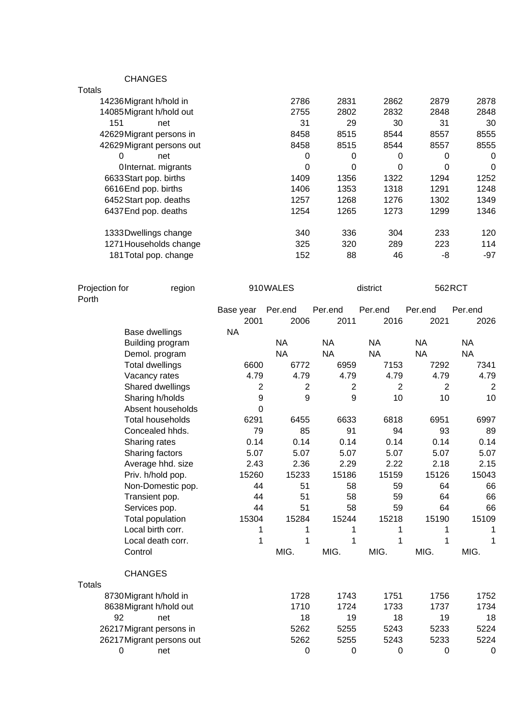CHANGES

| Totals                   |      |      |      |      |          |
|--------------------------|------|------|------|------|----------|
| 14236 Migrant h/hold in  | 2786 | 2831 | 2862 | 2879 | 2878     |
| 14085 Migrant h/hold out | 2755 | 2802 | 2832 | 2848 | 2848     |
| 151<br>net               | 31   | 29   | 30   | 31   | 30       |
| 42629Migrant persons in  | 8458 | 8515 | 8544 | 8557 | 8555     |
| 42629Migrant persons out | 8458 | 8515 | 8544 | 8557 | 8555     |
| $\Omega$<br>net          | 0    | 0    | 0    | 0    | 0        |
| OInternat. migrants      | 0    | 0    | 0    | 0    | $\Omega$ |
| 6633 Start pop. births   | 1409 | 1356 | 1322 | 1294 | 1252     |
| 6616End pop. births      | 1406 | 1353 | 1318 | 1291 | 1248     |
| 6452 Start pop. deaths   | 1257 | 1268 | 1276 | 1302 | 1349     |
| 6437 End pop. deaths     | 1254 | 1265 | 1273 | 1299 | 1346     |
| 1333 Dwellings change    | 340  | 336  | 304  | 233  | 120      |
| 1271 Households change   | 325  | 320  | 289  | 223  | 114      |
| 181 Total pop. change    | 152  | 88   | 46   | -8   | $-97$    |

| Projection for<br>region<br>Porth |                           |                | 910WALES  |                | district       | 562RCT         |                |
|-----------------------------------|---------------------------|----------------|-----------|----------------|----------------|----------------|----------------|
|                                   |                           | Base year      | Per.end   | Per.end        | Per.end        | Per.end        | Per.end        |
|                                   |                           | 2001           | 2006      | 2011           | 2016           | 2021           | 2026           |
|                                   | Base dwellings            | <b>NA</b>      |           |                |                |                |                |
|                                   | Building program          |                | <b>NA</b> | <b>NA</b>      | <b>NA</b>      | <b>NA</b>      | <b>NA</b>      |
|                                   | Demol. program            |                | <b>NA</b> | <b>NA</b>      | <b>NA</b>      | <b>NA</b>      | <b>NA</b>      |
|                                   | <b>Total dwellings</b>    | 6600           | 6772      | 6959           | 7153           | 7292           | 7341           |
|                                   | Vacancy rates             | 4.79           | 4.79      | 4.79           | 4.79           | 4.79           | 4.79           |
|                                   | Shared dwellings          | $\overline{2}$ | 2         | $\overline{2}$ | $\overline{2}$ | $\overline{2}$ | $\overline{2}$ |
|                                   | Sharing h/holds           | 9              | 9         | 9              | 10             | 10             | 10             |
|                                   | Absent households         | $\Omega$       |           |                |                |                |                |
|                                   | <b>Total households</b>   | 6291           | 6455      | 6633           | 6818           | 6951           | 6997           |
|                                   | Concealed hhds.           | 79             | 85        | 91             | 94             | 93             | 89             |
|                                   | Sharing rates             | 0.14           | 0.14      | 0.14           | 0.14           | 0.14           | 0.14           |
|                                   | Sharing factors           | 5.07           | 5.07      | 5.07           | 5.07           | 5.07           | 5.07           |
|                                   | Average hhd. size         | 2.43           | 2.36      | 2.29           | 2.22           | 2.18           | 2.15           |
|                                   | Priv. h/hold pop.         | 15260          | 15233     | 15186          | 15159          | 15126          | 15043          |
|                                   | Non-Domestic pop.         | 44             | 51        | 58             | 59             | 64             | 66             |
|                                   | Transient pop.            | 44             | 51        | 58             | 59             | 64             | 66             |
|                                   | Services pop.             | 44             | 51        | 58             | 59             | 64             | 66             |
|                                   | Total population          | 15304          | 15284     | 15244          | 15218          | 15190          | 15109          |
|                                   | Local birth corr.         | 1              | 1         | 1              | 1              | 1              | 1              |
|                                   | Local death corr.         | 1              | 1         | 1              | 1              | 1              | 1              |
|                                   | Control                   |                | MIG.      | MIG.           | MIG.           | MIG.           | MIG.           |
|                                   | <b>CHANGES</b>            |                |           |                |                |                |                |
| <b>Totals</b>                     |                           |                |           |                |                |                |                |
|                                   | 8730 Migrant h/hold in    |                | 1728      | 1743           | 1751           | 1756           | 1752           |
|                                   | 8638 Migrant h/hold out   |                | 1710      | 1724           | 1733           | 1737           | 1734           |
| 92                                | net                       |                | 18        | 19             | 18             | 19             | 18             |
|                                   | 26217 Migrant persons in  |                | 5262      | 5255           | 5243           | 5233           | 5224           |
|                                   | 26217 Migrant persons out |                | 5262      | 5255           | 5243           | 5233           | 5224           |
| $\mathbf 0$                       | net                       |                | 0         | 0              | 0              | 0              | $\mathbf 0$    |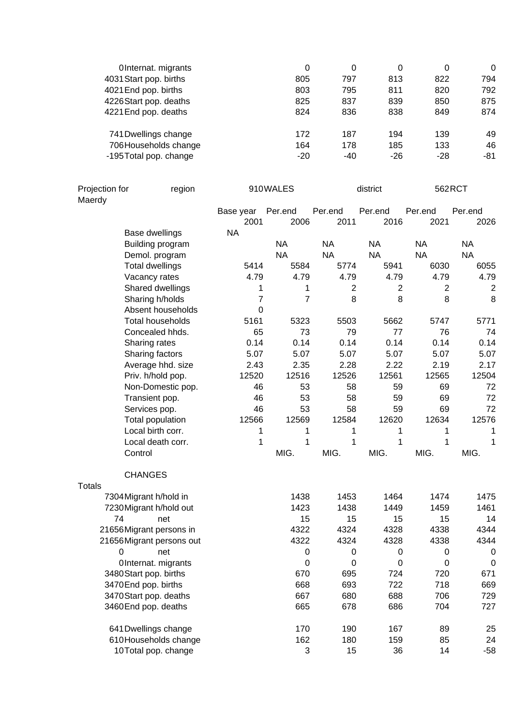| OInternat. migrants    | 0     | 0     | 0     | 0     | $\Omega$ |
|------------------------|-------|-------|-------|-------|----------|
| 4031 Start pop. births | 805   | 797   | 813   | 822   | 794      |
| 4021 End pop. births   | 803   | 795   | 811   | 820   | 792      |
| 4226 Start pop. deaths | 825   | 837   | 839   | 850   | 875      |
| 4221 End pop. deaths   | 824   | 836   | 838   | 849   | 874      |
| 741 Dwellings change   | 172   | 187   | 194   | 139   | 49       |
| 706 Households change  | 164   | 178   | 185   | 133   | 46       |
| -195 Total pop. change | $-20$ | $-40$ | $-26$ | $-28$ | -81      |

|               | Projection for<br>region<br>Maerdy            |           | 910WALES         |                | district  | 562RCT    |                |
|---------------|-----------------------------------------------|-----------|------------------|----------------|-----------|-----------|----------------|
|               |                                               | Base year | Per.end          | Per.end        | Per.end   | Per.end   | Per.end        |
|               |                                               | 2001      | 2006             | 2011           | 2016      | 2021      | 2026           |
|               | Base dwellings                                | <b>NA</b> |                  |                |           |           |                |
|               | Building program                              |           | <b>NA</b>        | <b>NA</b>      | <b>NA</b> | <b>NA</b> | <b>NA</b>      |
|               | Demol. program                                |           | <b>NA</b>        | <b>NA</b>      | <b>NA</b> | <b>NA</b> | <b>NA</b>      |
|               | <b>Total dwellings</b>                        | 5414      | 5584             | 5774           | 5941      | 6030      | 6055           |
|               | Vacancy rates                                 | 4.79      | 4.79             | 4.79           | 4.79      | 4.79      | 4.79           |
|               | Shared dwellings                              | 1         | 1                | $\overline{2}$ | 2         | 2         | $\overline{2}$ |
|               | Sharing h/holds                               | 7         | 7                | 8              | 8         | 8         | 8              |
|               | Absent households                             | 0         |                  |                |           |           |                |
|               | <b>Total households</b>                       | 5161      | 5323             | 5503           | 5662      | 5747      | 5771           |
|               | Concealed hhds.                               | 65        | 73               | 79             | 77        | 76        | 74             |
|               | Sharing rates                                 | 0.14      | 0.14             | 0.14           | 0.14      | 0.14      | 0.14           |
|               | Sharing factors                               | 5.07      | 5.07             | 5.07           | 5.07      | 5.07      | 5.07           |
|               | Average hhd. size                             | 2.43      | 2.35             | 2.28           | 2.22      | 2.19      | 2.17           |
|               | Priv. h/hold pop.                             | 12520     | 12516            | 12526          | 12561     | 12565     | 12504          |
|               | Non-Domestic pop.                             | 46        | 53               | 58             | 59        | 69        | 72             |
|               | Transient pop.                                | 46        | 53               | 58             | 59        | 69        | 72             |
|               | Services pop.                                 | 46        | 53               | 58             | 59        | 69        | 72             |
|               | Total population                              | 12566     | 12569            | 12584          | 12620     | 12634     | 12576          |
|               | Local birth corr.                             | 1         | 1                | 1              | 1         | 1         | 1              |
|               | Local death corr.                             | 1         | 1                | 1              | 1         | 1         | 1              |
|               | Control                                       |           | MIG.             | MIG.           | MIG.      | MIG.      | MIG.           |
|               | <b>CHANGES</b>                                |           |                  |                |           |           |                |
| <b>Totals</b> |                                               |           |                  |                |           |           |                |
|               | 7304 Migrant h/hold in                        |           | 1438             | 1453           | 1464      | 1474      | 1475           |
|               | 7230 Migrant h/hold out                       |           | 1423             | 1438           | 1449      | 1459      | 1461           |
| 74            | net                                           |           | 15               | 15             | 15        | 15        | 14             |
|               | 21656Migrant persons in                       |           | 4322             | 4324           | 4328      | 4338      | 4344           |
|               | 21656Migrant persons out                      |           | 4322             | 4324           | 4328      | 4338      | 4344           |
| 0             | net                                           |           | 0                | 0              | 0         | $\pmb{0}$ | $\mathbf 0$    |
|               | OInternat. migrants                           |           | $\boldsymbol{0}$ | $\pmb{0}$      | 0         | 0         | $\mathbf 0$    |
|               | 3480Start pop. births                         |           | 670              | 695            | 724       | 720       | 671            |
|               | 3470End pop. births<br>3470 Start pop. deaths |           | 668              | 693            | 722       | 718       | 669            |
|               |                                               |           | 667              | 680            | 688       | 706       | 729            |
|               | 3460End pop. deaths                           |           | 665              | 678            | 686       | 704       | 727            |
|               | 641 Dwellings change                          |           | 170              | 190            | 167       | 89        | 25             |
|               | 610Households change                          |           | 162              | 180            | 159       | 85        | 24             |
|               | 10Total pop. change                           |           | 3                | 15             | 36        | 14        | $-58$          |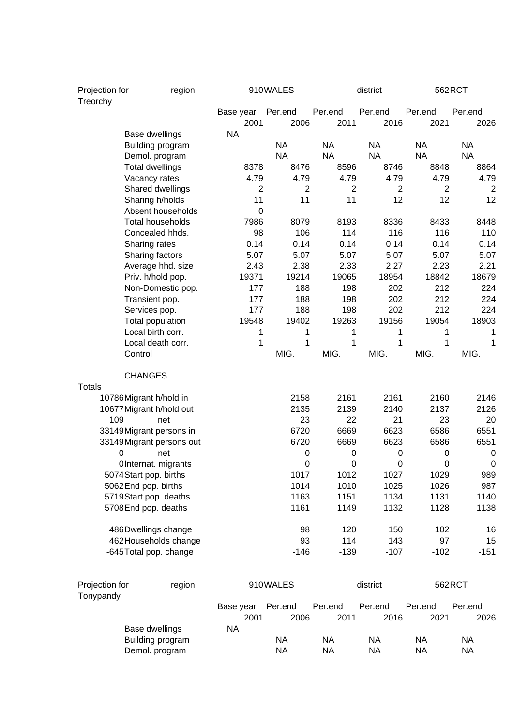| Projection for<br>Treorchy | region                           |                   | 910WALES        |                 | district        |                 | 562RCT          |
|----------------------------|----------------------------------|-------------------|-----------------|-----------------|-----------------|-----------------|-----------------|
|                            |                                  | Base year<br>2001 | Per.end<br>2006 | Per.end<br>2011 | Per.end<br>2016 | Per.end<br>2021 | Per.end<br>2026 |
|                            | Base dwellings                   | <b>NA</b>         |                 |                 |                 |                 |                 |
|                            | Building program                 |                   | <b>NA</b>       | <b>NA</b>       | <b>NA</b>       | <b>NA</b>       | <b>NA</b>       |
|                            | Demol. program                   |                   | <b>NA</b>       | <b>NA</b>       | <b>NA</b>       | <b>NA</b>       | <b>NA</b>       |
|                            | <b>Total dwellings</b>           | 8378              | 8476            | 8596            | 8746            | 8848            | 8864            |
|                            | Vacancy rates                    | 4.79              | 4.79            | 4.79            | 4.79            | 4.79            | 4.79            |
|                            | Shared dwellings                 | 2                 | 2               | $\overline{2}$  | 2               | 2               | 2               |
|                            | Sharing h/holds                  | 11                | 11              | 11              | 12              | 12              | 12              |
|                            | Absent households                | 0                 |                 |                 |                 |                 |                 |
|                            | <b>Total households</b>          | 7986              | 8079            | 8193            | 8336            | 8433            | 8448            |
|                            | Concealed hhds.                  | 98                | 106             | 114             | 116             | 116             | 110             |
|                            | Sharing rates                    | 0.14              | 0.14            | 0.14            | 0.14            | 0.14            | 0.14            |
|                            | Sharing factors                  | 5.07              | 5.07            | 5.07            | 5.07            | 5.07            | 5.07            |
|                            | Average hhd. size                | 2.43              | 2.38            | 2.33            | 2.27            | 2.23            | 2.21            |
|                            | Priv. h/hold pop.                | 19371             | 19214           | 19065           | 18954           | 18842           | 18679           |
|                            | Non-Domestic pop.                | 177               | 188             | 198             | 202             | 212             | 224             |
|                            | Transient pop.                   | 177               | 188             | 198             | 202             | 212             | 224             |
|                            | Services pop.                    | 177               | 188             | 198             | 202             | 212             | 224             |
|                            | Total population                 | 19548             | 19402           | 19263           | 19156           | 19054           | 18903           |
|                            | Local birth corr.                | 1                 | 1               | 1               | 1               | 1               | 1               |
|                            | Local death corr.                | 1                 | 1               | 1               | 1               | 1               | 1               |
| Control                    |                                  |                   | MIG.            | MIG.            | MIG.            | MIG.            | MIG.            |
|                            | <b>CHANGES</b>                   |                   |                 |                 |                 |                 |                 |
| <b>Totals</b>              |                                  |                   |                 |                 |                 |                 |                 |
| 10786Migrant h/hold in     |                                  |                   | 2158            | 2161            | 2161            | 2160            | 2146            |
|                            | 10677 Migrant h/hold out         |                   | 2135<br>23      | 2139            | 2140            | 2137            | 2126            |
| 109                        | net                              |                   | 6720            | 22<br>6669      | 21<br>6623      | 23<br>6586      | 20<br>6551      |
|                            | 33149Migrant persons in          |                   | 6720            | 6669            | 6623            | 6586            | 6551            |
| 0                          | 33149 Migrant persons out<br>net |                   | 0               | 0               | 0               | 0               | 0               |
|                            | OInternat. migrants              |                   | 0               | 0               | $\mathbf 0$     | $\mathbf 0$     | $\pmb{0}$       |
|                            | 5074 Start pop. births           |                   | 1017            | 1012            | 1027            | 1029            | 989             |
| 5062End pop. births        |                                  |                   | 1014            | 1010            | 1025            | 1026            | 987             |
|                            | 5719Start pop. deaths            |                   | 1163            | 1151            | 1134            | 1131            | 1140            |
|                            | 5708 End pop. deaths             |                   | 1161            | 1149            | 1132            | 1128            | 1138            |
|                            | 486Dwellings change              |                   | 98              | 120             | 150             | 102             | 16              |
|                            | 462 Households change            |                   | 93              | 114             | 143             | 97              | 15              |
|                            | -645 Total pop. change           |                   | $-146$          | $-139$          | $-107$          | $-102$          | $-151$          |
|                            |                                  |                   |                 |                 |                 |                 |                 |
| Projection for             | region                           |                   | 910WALES        |                 | district        |                 | 562RCT          |
| Tonypandy                  |                                  | Base year         | Per.end         | Per.end         | Per.end         | Per.end         | Per.end         |
|                            |                                  | 2001              | 2006            | 2011            | 2016            | 2021            | 2026            |
|                            | Base dwellings                   | <b>NA</b>         |                 |                 |                 |                 |                 |
|                            | Building program                 |                   | <b>NA</b>       | <b>NA</b>       | <b>NA</b>       | <b>NA</b>       | <b>NA</b>       |
|                            | Demol. program                   |                   | <b>NA</b>       | <b>NA</b>       | <b>NA</b>       | <b>NA</b>       | <b>NA</b>       |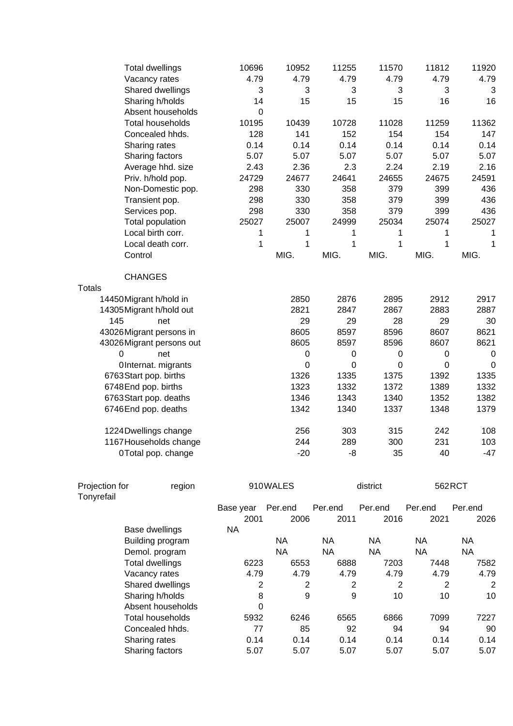|                          | <b>Total dwellings</b>   | 10696       | 10952       | 11255        | 11570        | 11812        | 11920        |
|--------------------------|--------------------------|-------------|-------------|--------------|--------------|--------------|--------------|
|                          | Vacancy rates            | 4.79        | 4.79        | 4.79         | 4.79         | 4.79         | 4.79         |
|                          | Shared dwellings         | 3           | 3           | 3            | 3            | 3            | 3            |
|                          | Sharing h/holds          | 14          | 15          | 15           | 15           | 16           | 16           |
|                          | Absent households        | $\mathbf 0$ |             |              |              |              |              |
|                          | <b>Total households</b>  | 10195       | 10439       | 10728        | 11028        | 11259        | 11362        |
|                          | Concealed hhds.          | 128         | 141         | 152          | 154          | 154          | 147          |
|                          | Sharing rates            | 0.14        | 0.14        | 0.14         | 0.14         | 0.14         | 0.14         |
|                          | Sharing factors          | 5.07        | 5.07        | 5.07         | 5.07         | 5.07         | 5.07         |
|                          | Average hhd. size        | 2.43        | 2.36        | 2.3          | 2.24         | 2.19         | 2.16         |
|                          | Priv. h/hold pop.        | 24729       | 24677       | 24641        | 24655        | 24675        | 24591        |
|                          | Non-Domestic pop.        | 298         | 330         | 358          | 379          | 399          | 436          |
|                          | Transient pop.           | 298         | 330         | 358          | 379          | 399          | 436          |
|                          | Services pop.            | 298         | 330         | 358          | 379          | 399          | 436          |
|                          | <b>Total population</b>  | 25027       | 25007       | 24999        | 25034        | 25074        | 25027        |
|                          | Local birth corr.        | 1           | 1           | 1            | 1            | 1            | 1            |
|                          | Local death corr.        | 1           | $\mathbf 1$ | $\mathbf{1}$ | $\mathbf{1}$ | $\mathbf{1}$ | $\mathbf{1}$ |
| Control                  |                          |             | MIG.        | MIG.         | MIG.         | MIG.         | MIG.         |
| <b>CHANGES</b>           |                          |             |             |              |              |              |              |
| <b>Totals</b>            |                          |             |             |              |              |              |              |
| 14450Migrant h/hold in   |                          |             | 2850        | 2876         | 2895         | 2912         | 2917         |
| 14305 Migrant h/hold out |                          |             | 2821        | 2847         | 2867         | 2883         | 2887         |
| 145                      | net                      |             | 29          | 29           | 28           | 29           | 30           |
|                          | 43026Migrant persons in  |             | 8605        | 8597         | 8596         | 8607         | 8621         |
|                          | 43026Migrant persons out |             | 8605        | 8597         | 8596         | 8607         | 8621         |
| 0                        | net                      |             | $\pmb{0}$   | $\pmb{0}$    | $\pmb{0}$    | $\pmb{0}$    | $\mathbf 0$  |
|                          | OInternat. migrants      |             | $\mathbf 0$ | $\mathbf 0$  | $\mathbf 0$  | $\mathbf 0$  | $\mathbf 0$  |
| 6763Start pop. births    |                          |             | 1326        | 1335         | 1375         | 1392         | 1335         |
| 6748End pop. births      |                          |             | 1323        | 1332         | 1372         | 1389         | 1332         |
|                          | 6763 Start pop. deaths   |             | 1346        | 1343         | 1340         | 1352         | 1382         |
| 6746End pop. deaths      |                          |             | 1342        | 1340         | 1337         | 1348         | 1379         |
|                          | 1224 Dwellings change    |             | 256         | 303          | 315          | 242          | 108          |
|                          | 1167 Households change   |             | 244         | 289          | 300          | 231          | 103          |
|                          | 0Total pop. change       |             | $-20$       | -8           | 35           | 40           | $-47$        |
| Projection for           | region                   |             | 910WALES    |              | district     | 562RCT       |              |

| .          | $-9.9 - 0.1$      |           |         |         |                |         |           |  |
|------------|-------------------|-----------|---------|---------|----------------|---------|-----------|--|
| Tonyrefail |                   |           |         |         |                |         |           |  |
|            |                   | Base year | Per.end | Per.end | Per.end        | Per.end | Per.end   |  |
|            |                   | 2001      | 2006    | 2011    | 2016           | 2021    | 2026      |  |
|            | Base dwellings    | <b>NA</b> |         |         |                |         |           |  |
|            | Building program  |           | NA.     | NА      | NA.            | NA.     | <b>NA</b> |  |
|            | Demol. program    |           | ΝA      | ΝA      | ΝA             | ΝA      | ΝA        |  |
|            | Total dwellings   | 6223      | 6553    | 6888    | 7203           | 7448    | 7582      |  |
|            | Vacancy rates     | 4.79      | 4.79    | 4.79    | 4.79           | 4.79    | 4.79      |  |
|            | Shared dwellings  | 2         | 2       | 2       | $\overline{2}$ | 2       | 2         |  |
|            | Sharing h/holds   | 8         | 9       | 9       | 10             | 10      | 10        |  |
|            | Absent households | 0         |         |         |                |         |           |  |
|            | Total households  | 5932      | 6246    | 6565    | 6866           | 7099    | 7227      |  |
|            | Concealed hhds.   | 77        | 85      | 92      | 94             | 94      | 90        |  |
|            | Sharing rates     | 0.14      | 0.14    | 0.14    | 0.14           | 0.14    | 0.14      |  |
|            | Sharing factors   | 5.07      | 5.07    | 5.07    | 5.07           | 5.07    | 5.07      |  |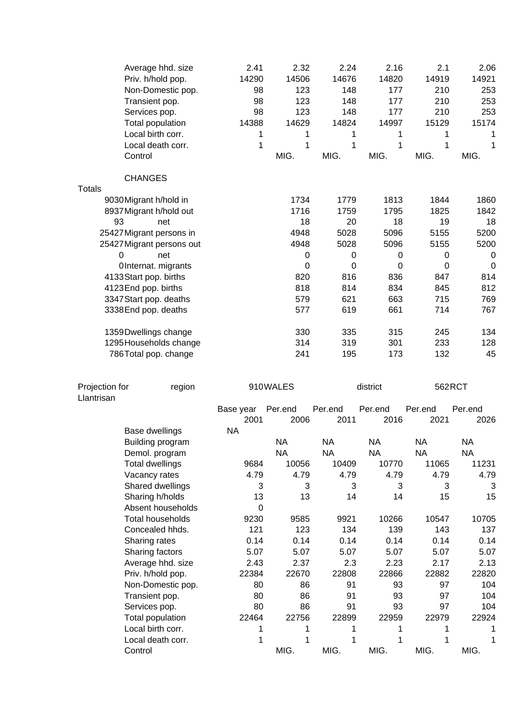| <b>CHANGES</b><br><b>Totals</b><br>1734<br>1813<br>1844<br>1860<br>9030 Migrant h/hold in<br>1779<br>1716<br>1759<br>1795<br>8937 Migrant h/hold out<br>1825<br>1842<br>93<br>18<br>20<br>18<br>19<br>18<br>net<br>4948<br>5028<br>5096<br>5200<br>25427 Migrant persons in<br>5155<br>4948<br>5028<br>5096<br>5200<br>25427 Migrant persons out<br>5155<br>0<br>net<br>0<br>0<br>$\pmb{0}$<br>0<br>$\boldsymbol{0}$<br>$\mathbf 0$<br>0<br>0<br>0<br>OInternat. migrants<br>$\mathbf 0$<br>820<br>4133 Start pop. births<br>816<br>836<br>847<br>814<br>4123End pop. births<br>818<br>814<br>834<br>845<br>812<br>3347 Start pop. deaths<br>579<br>621<br>663<br>715<br>769<br>577<br>619<br>661<br>714<br>3338 End pop. deaths<br>767<br>330<br>335<br>1359 Dwellings change<br>315<br>245<br>134<br>1295 Households change<br>314<br>319<br>301<br>233<br>128<br>241<br>195<br>132<br>45<br>786Total pop. change<br>173<br>562RCT<br>Projection for<br>910WALES<br>district<br>region<br>Llantrisan<br>Per.end<br>Per.end<br>Per.end<br>Per.end<br>Base year<br>Per.end<br>2001<br>2011<br>2016<br>2021<br>2006<br>2026<br>Base dwellings<br><b>NA</b><br><b>NA</b><br><b>NA</b><br><b>NA</b><br><b>NA</b><br><b>NA</b><br>Building program<br><b>NA</b><br><b>NA</b><br><b>NA</b><br><b>NA</b><br><b>NA</b><br>Demol. program<br>11065<br>11231<br>9684<br>10056<br>10409<br>10770<br><b>Total dwellings</b><br>4.79<br>Vacancy rates<br>4.79<br>4.79<br>4.79<br>4.79<br>4.79<br>Shared dwellings<br>3<br>3<br>3<br>3<br>3<br>3<br>13<br>Sharing h/holds<br>13<br>14<br>14<br>15<br>15<br>Absent households<br>$\Omega$<br>10705<br><b>Total households</b><br>9230<br>9585<br>9921<br>10266<br>10547<br>Concealed hhds.<br>121<br>123<br>134<br>139<br>143<br>137<br>0.14<br>0.14<br>0.14<br>0.14<br>Sharing rates<br>0.14<br>0.14<br>Sharing factors<br>5.07<br>5.07<br>5.07<br>5.07<br>5.07<br>5.07<br>Average hhd. size<br>2.43<br>2.37<br>2.23<br>2.17<br>2.13<br>2.3<br>22670<br>22866<br>22882<br>22820<br>Priv. h/hold pop.<br>22384<br>22808<br>97<br>104<br>Non-Domestic pop.<br>80<br>86<br>91<br>93<br>93<br>97<br>80<br>86<br>91<br>104<br>Transient pop.<br>93<br>97<br>Services pop.<br>80<br>86<br>91<br>104<br>22464<br>22756<br>22899<br>22959<br>22979<br>22924<br>Total population<br>Local birth corr.<br>1<br>1<br>1<br>1<br>1<br>1<br>Local death corr.<br>1<br>1<br>1<br>1<br>1<br>MIG.<br>MIG.<br>Control<br>MIG.<br>MIG.<br>MIG. | Average hhd. size<br>Priv. h/hold pop.<br>Non-Domestic pop.<br>Transient pop.<br>Services pop.<br>Total population<br>Local birth corr.<br>Local death corr.<br>Control | 2.41<br>14290<br>98<br>98<br>98<br>14388<br>1<br>1 | 2.32<br>14506<br>123<br>123<br>123<br>14629<br>1<br>1<br>MIG. | 2.24<br>14676<br>148<br>148<br>148<br>14824<br>1<br>1<br>MIG. | 2.16<br>14820<br>177<br>177<br>177<br>14997<br>1<br>1<br>MIG. | 2.1<br>14919<br>210<br>210<br>210<br>15129<br>1<br>1<br>MIG. | 2.06<br>14921<br>253<br>253<br>253<br>15174<br>1<br>1<br>MIG. |
|----------------------------------------------------------------------------------------------------------------------------------------------------------------------------------------------------------------------------------------------------------------------------------------------------------------------------------------------------------------------------------------------------------------------------------------------------------------------------------------------------------------------------------------------------------------------------------------------------------------------------------------------------------------------------------------------------------------------------------------------------------------------------------------------------------------------------------------------------------------------------------------------------------------------------------------------------------------------------------------------------------------------------------------------------------------------------------------------------------------------------------------------------------------------------------------------------------------------------------------------------------------------------------------------------------------------------------------------------------------------------------------------------------------------------------------------------------------------------------------------------------------------------------------------------------------------------------------------------------------------------------------------------------------------------------------------------------------------------------------------------------------------------------------------------------------------------------------------------------------------------------------------------------------------------------------------------------------------------------------------------------------------------------------------------------------------------------------------------------------------------------------------------------------------------------------------------------------------------------------------------------------------------------------------------------------------------------------------------------------------------------------------------------------------------------------------------------------|-------------------------------------------------------------------------------------------------------------------------------------------------------------------------|----------------------------------------------------|---------------------------------------------------------------|---------------------------------------------------------------|---------------------------------------------------------------|--------------------------------------------------------------|---------------------------------------------------------------|
|                                                                                                                                                                                                                                                                                                                                                                                                                                                                                                                                                                                                                                                                                                                                                                                                                                                                                                                                                                                                                                                                                                                                                                                                                                                                                                                                                                                                                                                                                                                                                                                                                                                                                                                                                                                                                                                                                                                                                                                                                                                                                                                                                                                                                                                                                                                                                                                                                                                                |                                                                                                                                                                         |                                                    |                                                               |                                                               |                                                               |                                                              |                                                               |
|                                                                                                                                                                                                                                                                                                                                                                                                                                                                                                                                                                                                                                                                                                                                                                                                                                                                                                                                                                                                                                                                                                                                                                                                                                                                                                                                                                                                                                                                                                                                                                                                                                                                                                                                                                                                                                                                                                                                                                                                                                                                                                                                                                                                                                                                                                                                                                                                                                                                |                                                                                                                                                                         |                                                    |                                                               |                                                               |                                                               |                                                              |                                                               |
|                                                                                                                                                                                                                                                                                                                                                                                                                                                                                                                                                                                                                                                                                                                                                                                                                                                                                                                                                                                                                                                                                                                                                                                                                                                                                                                                                                                                                                                                                                                                                                                                                                                                                                                                                                                                                                                                                                                                                                                                                                                                                                                                                                                                                                                                                                                                                                                                                                                                |                                                                                                                                                                         |                                                    |                                                               |                                                               |                                                               |                                                              |                                                               |
|                                                                                                                                                                                                                                                                                                                                                                                                                                                                                                                                                                                                                                                                                                                                                                                                                                                                                                                                                                                                                                                                                                                                                                                                                                                                                                                                                                                                                                                                                                                                                                                                                                                                                                                                                                                                                                                                                                                                                                                                                                                                                                                                                                                                                                                                                                                                                                                                                                                                |                                                                                                                                                                         |                                                    |                                                               |                                                               |                                                               |                                                              |                                                               |
|                                                                                                                                                                                                                                                                                                                                                                                                                                                                                                                                                                                                                                                                                                                                                                                                                                                                                                                                                                                                                                                                                                                                                                                                                                                                                                                                                                                                                                                                                                                                                                                                                                                                                                                                                                                                                                                                                                                                                                                                                                                                                                                                                                                                                                                                                                                                                                                                                                                                |                                                                                                                                                                         |                                                    |                                                               |                                                               |                                                               |                                                              |                                                               |
|                                                                                                                                                                                                                                                                                                                                                                                                                                                                                                                                                                                                                                                                                                                                                                                                                                                                                                                                                                                                                                                                                                                                                                                                                                                                                                                                                                                                                                                                                                                                                                                                                                                                                                                                                                                                                                                                                                                                                                                                                                                                                                                                                                                                                                                                                                                                                                                                                                                                |                                                                                                                                                                         |                                                    |                                                               |                                                               |                                                               |                                                              |                                                               |
|                                                                                                                                                                                                                                                                                                                                                                                                                                                                                                                                                                                                                                                                                                                                                                                                                                                                                                                                                                                                                                                                                                                                                                                                                                                                                                                                                                                                                                                                                                                                                                                                                                                                                                                                                                                                                                                                                                                                                                                                                                                                                                                                                                                                                                                                                                                                                                                                                                                                |                                                                                                                                                                         |                                                    |                                                               |                                                               |                                                               |                                                              |                                                               |
|                                                                                                                                                                                                                                                                                                                                                                                                                                                                                                                                                                                                                                                                                                                                                                                                                                                                                                                                                                                                                                                                                                                                                                                                                                                                                                                                                                                                                                                                                                                                                                                                                                                                                                                                                                                                                                                                                                                                                                                                                                                                                                                                                                                                                                                                                                                                                                                                                                                                |                                                                                                                                                                         |                                                    |                                                               |                                                               |                                                               |                                                              |                                                               |
|                                                                                                                                                                                                                                                                                                                                                                                                                                                                                                                                                                                                                                                                                                                                                                                                                                                                                                                                                                                                                                                                                                                                                                                                                                                                                                                                                                                                                                                                                                                                                                                                                                                                                                                                                                                                                                                                                                                                                                                                                                                                                                                                                                                                                                                                                                                                                                                                                                                                |                                                                                                                                                                         |                                                    |                                                               |                                                               |                                                               |                                                              |                                                               |
|                                                                                                                                                                                                                                                                                                                                                                                                                                                                                                                                                                                                                                                                                                                                                                                                                                                                                                                                                                                                                                                                                                                                                                                                                                                                                                                                                                                                                                                                                                                                                                                                                                                                                                                                                                                                                                                                                                                                                                                                                                                                                                                                                                                                                                                                                                                                                                                                                                                                |                                                                                                                                                                         |                                                    |                                                               |                                                               |                                                               |                                                              |                                                               |
|                                                                                                                                                                                                                                                                                                                                                                                                                                                                                                                                                                                                                                                                                                                                                                                                                                                                                                                                                                                                                                                                                                                                                                                                                                                                                                                                                                                                                                                                                                                                                                                                                                                                                                                                                                                                                                                                                                                                                                                                                                                                                                                                                                                                                                                                                                                                                                                                                                                                |                                                                                                                                                                         |                                                    |                                                               |                                                               |                                                               |                                                              |                                                               |
|                                                                                                                                                                                                                                                                                                                                                                                                                                                                                                                                                                                                                                                                                                                                                                                                                                                                                                                                                                                                                                                                                                                                                                                                                                                                                                                                                                                                                                                                                                                                                                                                                                                                                                                                                                                                                                                                                                                                                                                                                                                                                                                                                                                                                                                                                                                                                                                                                                                                |                                                                                                                                                                         |                                                    |                                                               |                                                               |                                                               |                                                              |                                                               |
|                                                                                                                                                                                                                                                                                                                                                                                                                                                                                                                                                                                                                                                                                                                                                                                                                                                                                                                                                                                                                                                                                                                                                                                                                                                                                                                                                                                                                                                                                                                                                                                                                                                                                                                                                                                                                                                                                                                                                                                                                                                                                                                                                                                                                                                                                                                                                                                                                                                                |                                                                                                                                                                         |                                                    |                                                               |                                                               |                                                               |                                                              |                                                               |
|                                                                                                                                                                                                                                                                                                                                                                                                                                                                                                                                                                                                                                                                                                                                                                                                                                                                                                                                                                                                                                                                                                                                                                                                                                                                                                                                                                                                                                                                                                                                                                                                                                                                                                                                                                                                                                                                                                                                                                                                                                                                                                                                                                                                                                                                                                                                                                                                                                                                |                                                                                                                                                                         |                                                    |                                                               |                                                               |                                                               |                                                              |                                                               |
|                                                                                                                                                                                                                                                                                                                                                                                                                                                                                                                                                                                                                                                                                                                                                                                                                                                                                                                                                                                                                                                                                                                                                                                                                                                                                                                                                                                                                                                                                                                                                                                                                                                                                                                                                                                                                                                                                                                                                                                                                                                                                                                                                                                                                                                                                                                                                                                                                                                                |                                                                                                                                                                         |                                                    |                                                               |                                                               |                                                               |                                                              |                                                               |
|                                                                                                                                                                                                                                                                                                                                                                                                                                                                                                                                                                                                                                                                                                                                                                                                                                                                                                                                                                                                                                                                                                                                                                                                                                                                                                                                                                                                                                                                                                                                                                                                                                                                                                                                                                                                                                                                                                                                                                                                                                                                                                                                                                                                                                                                                                                                                                                                                                                                |                                                                                                                                                                         |                                                    |                                                               |                                                               |                                                               |                                                              |                                                               |
|                                                                                                                                                                                                                                                                                                                                                                                                                                                                                                                                                                                                                                                                                                                                                                                                                                                                                                                                                                                                                                                                                                                                                                                                                                                                                                                                                                                                                                                                                                                                                                                                                                                                                                                                                                                                                                                                                                                                                                                                                                                                                                                                                                                                                                                                                                                                                                                                                                                                |                                                                                                                                                                         |                                                    |                                                               |                                                               |                                                               |                                                              |                                                               |
|                                                                                                                                                                                                                                                                                                                                                                                                                                                                                                                                                                                                                                                                                                                                                                                                                                                                                                                                                                                                                                                                                                                                                                                                                                                                                                                                                                                                                                                                                                                                                                                                                                                                                                                                                                                                                                                                                                                                                                                                                                                                                                                                                                                                                                                                                                                                                                                                                                                                |                                                                                                                                                                         |                                                    |                                                               |                                                               |                                                               |                                                              |                                                               |
|                                                                                                                                                                                                                                                                                                                                                                                                                                                                                                                                                                                                                                                                                                                                                                                                                                                                                                                                                                                                                                                                                                                                                                                                                                                                                                                                                                                                                                                                                                                                                                                                                                                                                                                                                                                                                                                                                                                                                                                                                                                                                                                                                                                                                                                                                                                                                                                                                                                                |                                                                                                                                                                         |                                                    |                                                               |                                                               |                                                               |                                                              |                                                               |
|                                                                                                                                                                                                                                                                                                                                                                                                                                                                                                                                                                                                                                                                                                                                                                                                                                                                                                                                                                                                                                                                                                                                                                                                                                                                                                                                                                                                                                                                                                                                                                                                                                                                                                                                                                                                                                                                                                                                                                                                                                                                                                                                                                                                                                                                                                                                                                                                                                                                |                                                                                                                                                                         |                                                    |                                                               |                                                               |                                                               |                                                              |                                                               |
|                                                                                                                                                                                                                                                                                                                                                                                                                                                                                                                                                                                                                                                                                                                                                                                                                                                                                                                                                                                                                                                                                                                                                                                                                                                                                                                                                                                                                                                                                                                                                                                                                                                                                                                                                                                                                                                                                                                                                                                                                                                                                                                                                                                                                                                                                                                                                                                                                                                                |                                                                                                                                                                         |                                                    |                                                               |                                                               |                                                               |                                                              |                                                               |
|                                                                                                                                                                                                                                                                                                                                                                                                                                                                                                                                                                                                                                                                                                                                                                                                                                                                                                                                                                                                                                                                                                                                                                                                                                                                                                                                                                                                                                                                                                                                                                                                                                                                                                                                                                                                                                                                                                                                                                                                                                                                                                                                                                                                                                                                                                                                                                                                                                                                |                                                                                                                                                                         |                                                    |                                                               |                                                               |                                                               |                                                              |                                                               |
|                                                                                                                                                                                                                                                                                                                                                                                                                                                                                                                                                                                                                                                                                                                                                                                                                                                                                                                                                                                                                                                                                                                                                                                                                                                                                                                                                                                                                                                                                                                                                                                                                                                                                                                                                                                                                                                                                                                                                                                                                                                                                                                                                                                                                                                                                                                                                                                                                                                                |                                                                                                                                                                         |                                                    |                                                               |                                                               |                                                               |                                                              |                                                               |
|                                                                                                                                                                                                                                                                                                                                                                                                                                                                                                                                                                                                                                                                                                                                                                                                                                                                                                                                                                                                                                                                                                                                                                                                                                                                                                                                                                                                                                                                                                                                                                                                                                                                                                                                                                                                                                                                                                                                                                                                                                                                                                                                                                                                                                                                                                                                                                                                                                                                |                                                                                                                                                                         |                                                    |                                                               |                                                               |                                                               |                                                              |                                                               |
|                                                                                                                                                                                                                                                                                                                                                                                                                                                                                                                                                                                                                                                                                                                                                                                                                                                                                                                                                                                                                                                                                                                                                                                                                                                                                                                                                                                                                                                                                                                                                                                                                                                                                                                                                                                                                                                                                                                                                                                                                                                                                                                                                                                                                                                                                                                                                                                                                                                                |                                                                                                                                                                         |                                                    |                                                               |                                                               |                                                               |                                                              |                                                               |
|                                                                                                                                                                                                                                                                                                                                                                                                                                                                                                                                                                                                                                                                                                                                                                                                                                                                                                                                                                                                                                                                                                                                                                                                                                                                                                                                                                                                                                                                                                                                                                                                                                                                                                                                                                                                                                                                                                                                                                                                                                                                                                                                                                                                                                                                                                                                                                                                                                                                |                                                                                                                                                                         |                                                    |                                                               |                                                               |                                                               |                                                              |                                                               |
|                                                                                                                                                                                                                                                                                                                                                                                                                                                                                                                                                                                                                                                                                                                                                                                                                                                                                                                                                                                                                                                                                                                                                                                                                                                                                                                                                                                                                                                                                                                                                                                                                                                                                                                                                                                                                                                                                                                                                                                                                                                                                                                                                                                                                                                                                                                                                                                                                                                                |                                                                                                                                                                         |                                                    |                                                               |                                                               |                                                               |                                                              |                                                               |
|                                                                                                                                                                                                                                                                                                                                                                                                                                                                                                                                                                                                                                                                                                                                                                                                                                                                                                                                                                                                                                                                                                                                                                                                                                                                                                                                                                                                                                                                                                                                                                                                                                                                                                                                                                                                                                                                                                                                                                                                                                                                                                                                                                                                                                                                                                                                                                                                                                                                |                                                                                                                                                                         |                                                    |                                                               |                                                               |                                                               |                                                              |                                                               |
|                                                                                                                                                                                                                                                                                                                                                                                                                                                                                                                                                                                                                                                                                                                                                                                                                                                                                                                                                                                                                                                                                                                                                                                                                                                                                                                                                                                                                                                                                                                                                                                                                                                                                                                                                                                                                                                                                                                                                                                                                                                                                                                                                                                                                                                                                                                                                                                                                                                                |                                                                                                                                                                         |                                                    |                                                               |                                                               |                                                               |                                                              |                                                               |
|                                                                                                                                                                                                                                                                                                                                                                                                                                                                                                                                                                                                                                                                                                                                                                                                                                                                                                                                                                                                                                                                                                                                                                                                                                                                                                                                                                                                                                                                                                                                                                                                                                                                                                                                                                                                                                                                                                                                                                                                                                                                                                                                                                                                                                                                                                                                                                                                                                                                |                                                                                                                                                                         |                                                    |                                                               |                                                               |                                                               |                                                              |                                                               |
|                                                                                                                                                                                                                                                                                                                                                                                                                                                                                                                                                                                                                                                                                                                                                                                                                                                                                                                                                                                                                                                                                                                                                                                                                                                                                                                                                                                                                                                                                                                                                                                                                                                                                                                                                                                                                                                                                                                                                                                                                                                                                                                                                                                                                                                                                                                                                                                                                                                                |                                                                                                                                                                         |                                                    |                                                               |                                                               |                                                               |                                                              |                                                               |
|                                                                                                                                                                                                                                                                                                                                                                                                                                                                                                                                                                                                                                                                                                                                                                                                                                                                                                                                                                                                                                                                                                                                                                                                                                                                                                                                                                                                                                                                                                                                                                                                                                                                                                                                                                                                                                                                                                                                                                                                                                                                                                                                                                                                                                                                                                                                                                                                                                                                |                                                                                                                                                                         |                                                    |                                                               |                                                               |                                                               |                                                              |                                                               |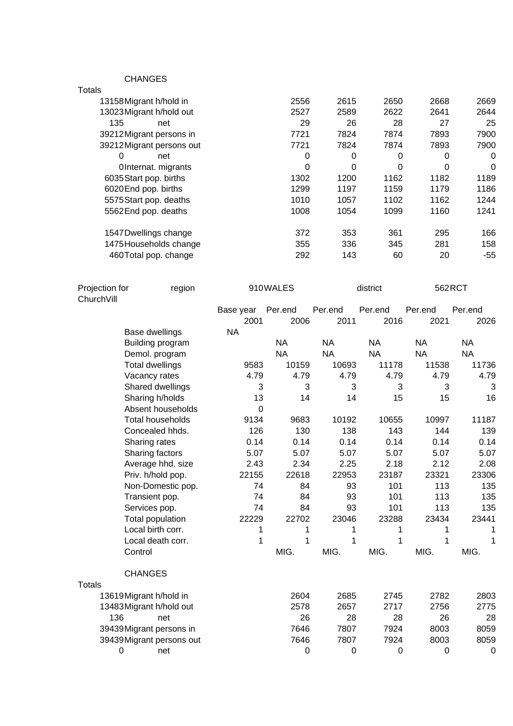CHANGES

| 2556     | 2615 | 2650 | 2668     | 2669     |
|----------|------|------|----------|----------|
| 2527     | 2589 | 2622 | 2641     | 2644     |
| 29       | 26   | 28   | 27       | 25       |
| 7721     | 7824 | 7874 | 7893     | 7900     |
| 7721     | 7824 | 7874 | 7893     | 7900     |
| 0        | 0    | 0    | 0        | $\Omega$ |
| $\Omega$ | 0    | 0    | $\Omega$ | $\Omega$ |
| 1302     | 1200 | 1162 | 1182     | 1189     |
| 1299     | 1197 | 1159 | 1179     | 1186     |
| 1010     | 1057 | 1102 | 1162     | 1244     |
| 1008     | 1054 | 1099 | 1160     | 1241     |
| 372      | 353  | 361  | 295      | 166      |
| 355      | 336  | 345  | 281      | 158      |
| 292      | 143  | 60   | 20       | $-55$    |
|          |      |      |          |          |

| Projection for |                          | region |                   | 910WALES         | district  |           | 562RCT    |              |
|----------------|--------------------------|--------|-------------------|------------------|-----------|-----------|-----------|--------------|
| ChurchVill     |                          |        |                   | Per.end          | Per.end   | Per.end   | Per.end   | Per.end      |
|                |                          |        | Base year<br>2001 | 2006             | 2011      | 2016      | 2021      | 2026         |
|                | Base dwellings           |        | <b>NA</b>         |                  |           |           |           |              |
|                |                          |        |                   | <b>NA</b>        | <b>NA</b> | <b>NA</b> | <b>NA</b> | <b>NA</b>    |
|                | Building program         |        |                   | <b>NA</b>        | <b>NA</b> | <b>NA</b> | <b>NA</b> | <b>NA</b>    |
|                | Demol. program           |        | 9583              | 10159            | 10693     | 11178     | 11538     | 11736        |
|                | <b>Total dwellings</b>   |        |                   |                  |           |           |           |              |
|                | Vacancy rates            |        | 4.79              | 4.79             | 4.79      | 4.79      | 4.79      | 4.79         |
|                | Shared dwellings         |        | 3                 | 3                | 3         | 3         | 3         | $\mathbf{3}$ |
|                | Sharing h/holds          |        | 13                | 14               | 14        | 15        | 15        | 16           |
|                | Absent households        |        | $\mathbf 0$       |                  |           |           |           |              |
|                | <b>Total households</b>  |        | 9134              | 9683             | 10192     | 10655     | 10997     | 11187        |
|                | Concealed hhds.          |        | 126               | 130              | 138       | 143       | 144       | 139          |
|                | Sharing rates            |        | 0.14              | 0.14             | 0.14      | 0.14      | 0.14      | 0.14         |
|                | Sharing factors          |        | 5.07              | 5.07             | 5.07      | 5.07      | 5.07      | 5.07         |
|                | Average hhd. size        |        | 2.43              | 2.34             | 2.25      | 2.18      | 2.12      | 2.08         |
|                | Priv. h/hold pop.        |        | 22155             | 22618            | 22953     | 23187     | 23321     | 23306        |
|                | Non-Domestic pop.        |        | 74                | 84               | 93        | 101       | 113       | 135          |
|                | Transient pop.           |        | 74                | 84               | 93        | 101       | 113       | 135          |
|                | Services pop.            |        | 74                | 84               | 93        | 101       | 113       | 135          |
|                | <b>Total population</b>  |        | 22229             | 22702            | 23046     | 23288     | 23434     | 23441        |
|                | Local birth corr.        |        | 1                 | 1                | 1         |           | 1         | 1            |
|                | Local death corr.        |        | 1                 | 1                | 1         | 1         | 1         | 1            |
|                | Control                  |        |                   | MIG.             | MIG.      | MIG.      | MIG.      | MIG.         |
|                | <b>CHANGES</b>           |        |                   |                  |           |           |           |              |
| <b>Totals</b>  |                          |        |                   |                  |           |           |           |              |
|                | 13619Migrant h/hold in   |        |                   | 2604             | 2685      | 2745      | 2782      | 2803         |
|                | 13483 Migrant h/hold out |        |                   | 2578             | 2657      | 2717      | 2756      | 2775         |
| 136            | net                      |        |                   | 26               | 28        | 28        | 26        | 28           |
|                | 39439Migrant persons in  |        |                   | 7646             | 7807      | 7924      | 8003      | 8059         |
|                | 39439Migrant persons out |        |                   | 7646             | 7807      | 7924      | 8003      | 8059         |
|                | 0<br>net                 |        |                   | $\boldsymbol{0}$ | 0         | 0         | 0         | $\mathbf 0$  |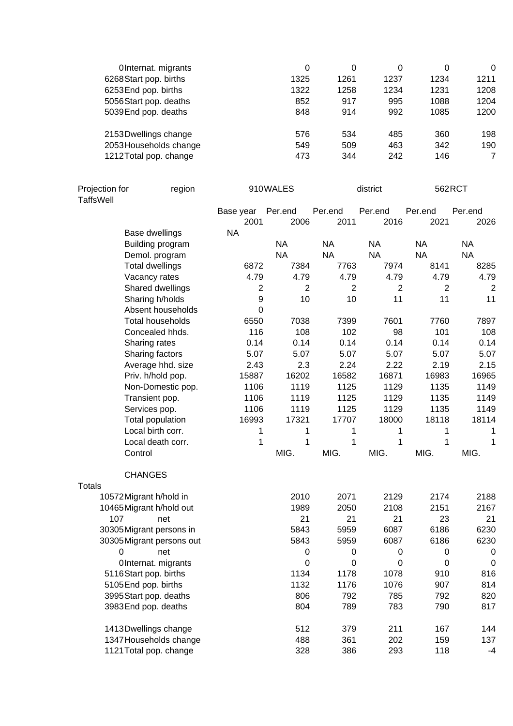| OInternat. migrants    | 0    | 0    | 0    | 0    | 0    |
|------------------------|------|------|------|------|------|
| 6268 Start pop. births | 1325 | 1261 | 1237 | 1234 | 1211 |
| 6253End pop. births    | 1322 | 1258 | 1234 | 1231 | 1208 |
| 5056Start pop. deaths  | 852  | 917  | 995  | 1088 | 1204 |
| 5039 End pop. deaths   | 848  | 914  | 992  | 1085 | 1200 |
| 2153Dwellings change   | 576  | 534  | 485  | 360  | 198  |
| 2053 Households change | 549  | 509  | 463  | 342  | 190  |
| 1212Total pop. change  | 473  | 344  | 242  | 146  | 7    |

| Projection for<br><b>TaffsWell</b> | region                              | 910WALES               |                        | district               |                        | 562RCT                 |                      |
|------------------------------------|-------------------------------------|------------------------|------------------------|------------------------|------------------------|------------------------|----------------------|
|                                    |                                     | Base year              | Per.end                | Per.end                | Per.end                | Per.end                | Per.end              |
|                                    |                                     | 2001                   | 2006                   | 2011                   | 2016                   | 2021                   | 2026                 |
|                                    | Base dwellings                      | <b>NA</b>              |                        |                        |                        |                        |                      |
|                                    | Building program                    |                        | <b>NA</b>              | <b>NA</b>              | <b>NA</b>              | <b>NA</b>              | <b>NA</b>            |
|                                    | Demol. program                      |                        | <b>NA</b>              | <b>NA</b>              | <b>NA</b><br>7974      | <b>NA</b><br>8141      | <b>NA</b>            |
|                                    | <b>Total dwellings</b>              | 6872                   | 7384                   | 7763                   |                        |                        | 8285                 |
|                                    | Vacancy rates                       | 4.79<br>$\overline{2}$ | 4.79<br>$\overline{2}$ | 4.79<br>$\overline{2}$ | 4.79<br>$\overline{2}$ | 4.79<br>$\overline{2}$ | 4.79                 |
|                                    | Shared dwellings<br>Sharing h/holds | 9                      | 10                     | 10                     | 11                     | 11                     | $\overline{2}$<br>11 |
|                                    | Absent households                   | $\mathbf 0$            |                        |                        |                        |                        |                      |
|                                    | <b>Total households</b>             |                        | 7038                   | 7399                   | 7601                   |                        | 7897                 |
|                                    |                                     | 6550                   | 108                    | 102                    |                        | 7760<br>101            |                      |
|                                    | Concealed hhds.                     | 116                    |                        |                        | 98                     |                        | 108                  |
|                                    | Sharing rates                       | 0.14                   | 0.14                   | 0.14                   | 0.14                   | 0.14                   | 0.14                 |
|                                    | Sharing factors                     | 5.07                   | 5.07                   | 5.07                   | 5.07                   | 5.07                   | 5.07                 |
|                                    | Average hhd. size                   | 2.43                   | 2.3                    | 2.24                   | 2.22                   | 2.19                   | 2.15                 |
|                                    | Priv. h/hold pop.                   | 15887                  | 16202                  | 16582                  | 16871                  | 16983                  | 16965                |
|                                    | Non-Domestic pop.                   | 1106                   | 1119                   | 1125                   | 1129                   | 1135                   | 1149                 |
|                                    | Transient pop.                      | 1106                   | 1119                   | 1125                   | 1129                   | 1135                   | 1149                 |
|                                    | Services pop.                       | 1106                   | 1119                   | 1125                   | 1129                   | 1135                   | 1149                 |
|                                    | Total population                    | 16993                  | 17321                  | 17707                  | 18000                  | 18118                  | 18114                |
|                                    | Local birth corr.                   | 1                      | 1                      | 1                      | 1                      | 1                      | 1                    |
|                                    | Local death corr.                   | 1                      | 1                      | 1                      | 1                      | 1                      | 1                    |
| Control                            |                                     |                        | MIG.                   | MIG.                   | MIG.                   | MIG.                   | MIG.                 |
|                                    | <b>CHANGES</b>                      |                        |                        |                        |                        |                        |                      |
| <b>Totals</b>                      |                                     |                        |                        |                        |                        |                        |                      |
| 10572 Migrant h/hold in            |                                     |                        | 2010                   | 2071                   | 2129                   | 2174                   | 2188                 |
|                                    | 10465 Migrant h/hold out            |                        | 1989                   | 2050                   | 2108                   | 2151                   | 2167                 |
| 107                                | net                                 |                        | 21                     | 21                     | 21                     | 23                     | 21                   |
|                                    | 30305Migrant persons in             |                        | 5843                   | 5959                   | 6087                   | 6186                   | 6230                 |
|                                    | 30305 Migrant persons out           |                        | 5843                   | 5959                   | 6087                   | 6186                   | 6230                 |
| 0                                  | net                                 |                        | $\mathbf 0$            | 0                      | $\pmb{0}$              | $\mathbf 0$            | $\mathbf 0$          |
|                                    | OInternat. migrants                 |                        | 0                      | 0                      | 0                      | $\Omega$               | 0                    |
|                                    | 5116Start pop. births               |                        | 1134                   | 1178                   | 1078                   | 910                    | 816                  |
| 5105End pop. births                |                                     |                        | 1132                   | 1176                   | 1076                   | 907                    | 814                  |
|                                    | 3995 Start pop. deaths              |                        | 806                    | 792                    | 785                    | 792                    | 820                  |
|                                    | 3983End pop. deaths                 |                        | 804                    | 789                    | 783                    | 790                    | 817                  |
|                                    | 1413Dwellings change                |                        | 512                    | 379                    | 211                    | 167                    | 144                  |
|                                    | 1347 Households change              |                        | 488                    | 361                    | 202                    | 159                    | 137                  |
|                                    | 1121 Total pop. change              |                        | 328                    | 386                    | 293                    | 118                    | $-4$                 |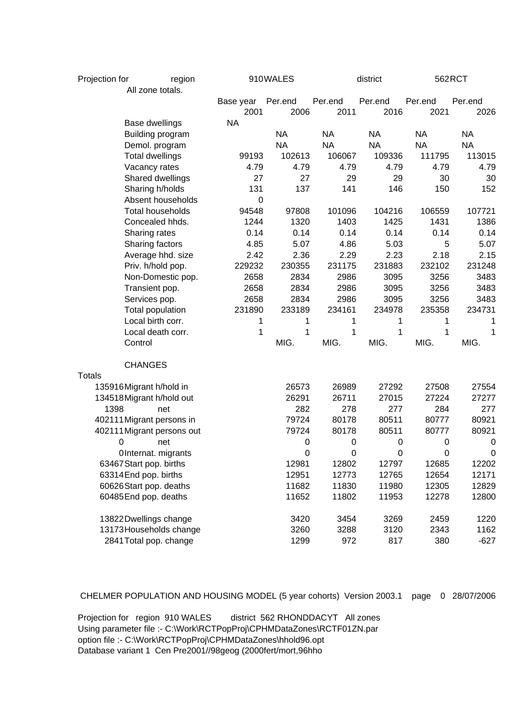| Projection for<br>region |                            |  | 910WALES  |           | district  |                  | 562RCT    |             |
|--------------------------|----------------------------|--|-----------|-----------|-----------|------------------|-----------|-------------|
|                          | All zone totals.           |  |           |           |           |                  |           |             |
|                          |                            |  | Base year | Per.end   | Per.end   | Per.end          | Per.end   | Per.end     |
|                          |                            |  | 2001      | 2006      | 2011      | 2016             | 2021      | 2026        |
|                          | <b>Base dwellings</b>      |  | <b>NA</b> |           |           |                  |           |             |
|                          | Building program           |  |           | <b>NA</b> | <b>NA</b> | <b>NA</b>        | <b>NA</b> | <b>NA</b>   |
|                          | Demol. program             |  |           | <b>NA</b> | <b>NA</b> | <b>NA</b>        | <b>NA</b> | <b>NA</b>   |
|                          | <b>Total dwellings</b>     |  | 99193     | 102613    | 106067    | 109336           | 111795    | 113015      |
|                          | Vacancy rates              |  | 4.79      | 4.79      | 4.79      | 4.79             | 4.79      | 4.79        |
|                          | Shared dwellings           |  | 27        | 27        | 29        | 29               | 30        | 30          |
|                          | Sharing h/holds            |  | 131       | 137       | 141       | 146              | 150       | 152         |
|                          | Absent households          |  | 0         |           |           |                  |           |             |
|                          | <b>Total households</b>    |  | 94548     | 97808     | 101096    | 104216           | 106559    | 107721      |
|                          | Concealed hhds.            |  | 1244      | 1320      | 1403      | 1425             | 1431      | 1386        |
|                          | Sharing rates              |  | 0.14      | 0.14      | 0.14      | 0.14             | 0.14      | 0.14        |
|                          | Sharing factors            |  | 4.85      | 5.07      | 4.86      | 5.03             | 5         | 5.07        |
|                          | Average hhd. size          |  | 2.42      | 2.36      | 2.29      | 2.23             | 2.18      | 2.15        |
|                          | Priv. h/hold pop.          |  | 229232    | 230355    | 231175    | 231883           | 232102    | 231248      |
|                          | Non-Domestic pop.          |  | 2658      | 2834      | 2986      | 3095             | 3256      | 3483        |
|                          | Transient pop.             |  | 2658      | 2834      | 2986      | 3095             | 3256      | 3483        |
|                          | Services pop.              |  | 2658      | 2834      | 2986      | 3095             | 3256      | 3483        |
|                          | Total population           |  | 231890    | 233189    | 234161    | 234978           | 235358    | 234731      |
|                          | Local birth corr.          |  | 1         | 1         | 1         | 1                | 1         | 1           |
|                          | Local death corr.          |  | 1         | 1         | 1         | 1                | 1         | 1           |
|                          | Control                    |  |           | MIG.      | MIG.      | MIG.             | MIG.      | MIG.        |
|                          | <b>CHANGES</b>             |  |           |           |           |                  |           |             |
| <b>Totals</b>            |                            |  |           |           |           |                  |           |             |
|                          | 135916Migrant h/hold in    |  |           | 26573     | 26989     | 27292            | 27508     | 27554       |
|                          | 134518 Migrant h/hold out  |  |           | 26291     | 26711     | 27015            | 27224     | 27277       |
| 1398                     | net                        |  |           | 282       | 278       | 277              | 284       | 277         |
|                          | 402111 Migrant persons in  |  |           | 79724     | 80178     | 80511            | 80777     | 80921       |
|                          | 402111 Migrant persons out |  |           | 79724     | 80178     | 80511            | 80777     | 80921       |
| 0                        | net                        |  |           | 0         | 0         | $\pmb{0}$        | $\pmb{0}$ | $\mathbf 0$ |
|                          | OInternat. migrants        |  |           | 0         | 0         | $\boldsymbol{0}$ | 0         | $\pmb{0}$   |
|                          | 63467 Start pop. births    |  |           | 12981     | 12802     | 12797            | 12685     | 12202       |
|                          | 63314 End pop. births      |  |           | 12951     | 12773     | 12765            | 12654     | 12171       |
|                          | 60626Start pop. deaths     |  |           | 11682     | 11830     | 11980            | 12305     | 12829       |
|                          | 60485 End pop. deaths      |  |           | 11652     | 11802     | 11953            | 12278     | 12800       |
|                          | 13822Dwellings change      |  |           | 3420      | 3454      | 3269             | 2459      | 1220        |
|                          | 13173 Households change    |  |           | 3260      | 3288      | 3120             | 2343      | 1162        |
|                          | 2841 Total pop. change     |  |           | 1299      | 972       | 817              | 380       | $-627$      |

CHELMER POPULATION AND HOUSING MODEL (5 year cohorts) Version 2003.1 page 0 28/07/2006

Projection for region 910 WALES district 562 RHONDDACYT All zones Using parameter file :- C:\Work\RCTPopProj\CPHMDataZones\RCTF01ZN.par option file :- C:\Work\RCTPopProj\CPHMDataZones\hhold96.opt Database variant 1 Cen Pre2001//98geog (2000fert/mort,96hho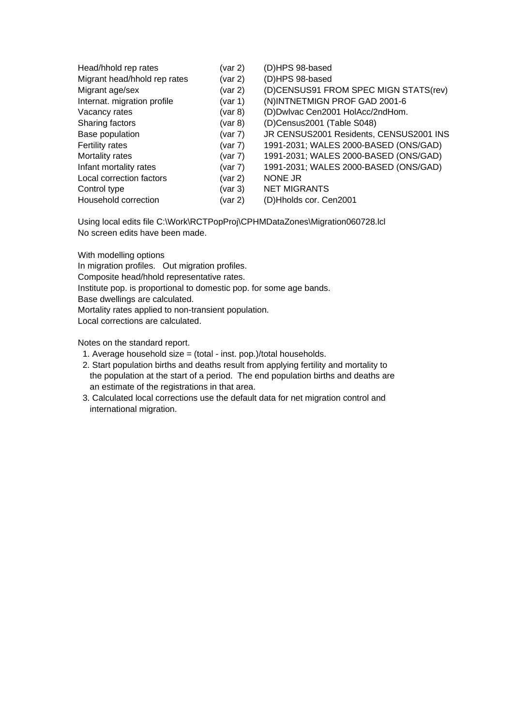| Head/hhold rep rates         | (var 2)       | (D)HPS 98-based                         |
|------------------------------|---------------|-----------------------------------------|
| Migrant head/hhold rep rates | (var 2)       | (D)HPS 98-based                         |
| Migrant age/sex              | (var 2)       | (D)CENSUS91 FROM SPEC MIGN STATS(rev)   |
| Internat. migration profile  | (var 1)       | (N)INTNETMIGN PROF GAD 2001-6           |
| Vacancy rates                | $($ var 8 $)$ | (D)Dwlvac Cen2001 HolAcc/2ndHom.        |
| Sharing factors              | $($ var 8 $)$ | (D)Census2001 (Table S048)              |
| Base population              | (var 7)       | JR CENSUS2001 Residents, CENSUS2001 INS |
| Fertility rates              | (var 7)       | 1991-2031; WALES 2000-BASED (ONS/GAD)   |
| Mortality rates              | (var 7)       | 1991-2031; WALES 2000-BASED (ONS/GAD)   |
| Infant mortality rates       | (var 7)       | 1991-2031; WALES 2000-BASED (ONS/GAD)   |
| Local correction factors     | (var 2)       | NONE JR                                 |
| Control type                 | $($ var 3 $)$ | <b>NET MIGRANTS</b>                     |
| Household correction         | (var 2)       | (D)Hholds cor. Cen2001                  |

Using local edits file C:\Work\RCTPopProj\CPHMDataZones\Migration060728.lcl No screen edits have been made.

With modelling options

In migration profiles. Out migration profiles.

Composite head/hhold representative rates.

Institute pop. is proportional to domestic pop. for some age bands.

Base dwellings are calculated.

Mortality rates applied to non-transient population.

Local corrections are calculated.

Notes on the standard report.

1. Average household size = (total - inst. pop.)/total households.

- 2. Start population births and deaths result from applying fertility and mortality to the population at the start of a period. The end population births and deaths are an estimate of the registrations in that area.
- 3. Calculated local corrections use the default data for net migration control and international migration.